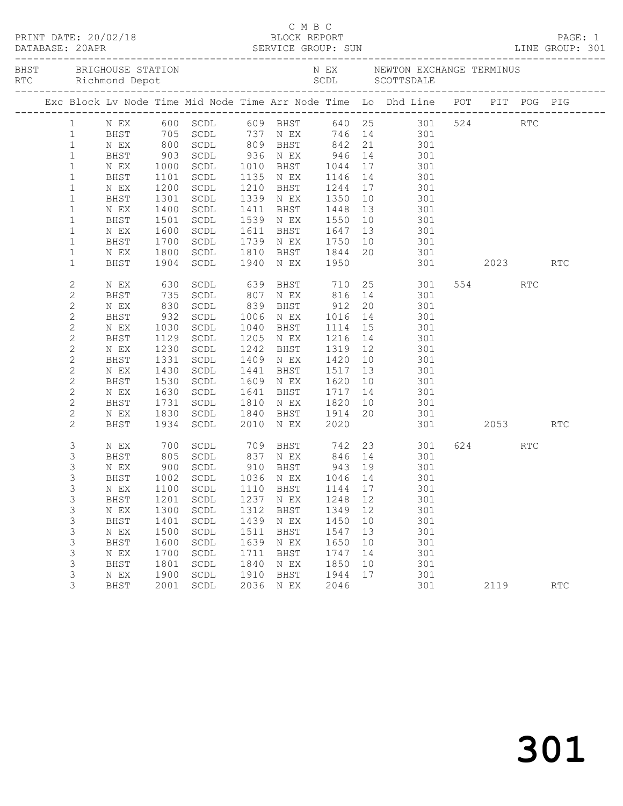|              |             |              |                                  |      |                                                             |                      |    | Exc Block Lv Node Time Mid Node Time Arr Node Time Lo Dhd Line POT PIT POG PIG                     |      |     |            |  |
|--------------|-------------|--------------|----------------------------------|------|-------------------------------------------------------------|----------------------|----|----------------------------------------------------------------------------------------------------|------|-----|------------|--|
| $\mathbf{1}$ |             |              |                                  |      |                                                             |                      |    | N EX 600 SCDL 609 BHST 640 25 301 524 RTC                                                          |      |     |            |  |
| $\mathbf{1}$ | BHST        |              |                                  |      |                                                             |                      |    | 705 SCDL 737 N EX 746 14 301                                                                       |      |     |            |  |
| $\mathbf{1}$ | N EX        |              | 800 SCDL                         |      |                                                             |                      |    | 809 BHST 842 21 301                                                                                |      |     |            |  |
| $\mathbf{1}$ | BHST        |              |                                  |      |                                                             |                      |    | 903 SCDL 936 N EX 946 14 301<br>1000 SCDL 1010 BHST 1044 17 301<br>1101 SCDL 1135 N EX 1146 14 301 |      |     |            |  |
| $\mathbf{1}$ | N EX        |              |                                  |      |                                                             |                      |    |                                                                                                    |      |     |            |  |
| $\mathbf{1}$ | BHST        |              |                                  |      |                                                             |                      |    |                                                                                                    |      |     |            |  |
| $\mathbf{1}$ | N EX        | 1200         | SCDL                             |      | 1210 BHST 1244                                              |                      |    | 17 301                                                                                             |      |     |            |  |
| $\mathbf{1}$ | BHST        | 1301         | SCDL                             |      |                                                             |                      |    | 301                                                                                                |      |     |            |  |
| $\mathbf{1}$ | N EX        |              | SCDL                             |      | 1339 N EX 1350 10<br>1411 BHST 1448 13<br>1539 N EX 1550 10 |                      |    | 301                                                                                                |      |     |            |  |
| $\mathbf{1}$ | BHST        | 1400<br>1501 | SCDL                             |      |                                                             |                      |    | 301<br>301                                                                                         |      |     |            |  |
| $\mathbf{1}$ | N EX        | 1600         | SCDL                             |      | 1611 BHST 1647                                              |                      |    | 13 301                                                                                             |      |     |            |  |
| $\mathbf{1}$ | BHST        | 1700         | SCDL                             |      | 1739 N EX 1750                                              |                      | 10 | 301                                                                                                |      |     |            |  |
| $\mathbf{1}$ | N EX        |              | SCDL                             |      |                                                             |                      |    | 301                                                                                                |      |     |            |  |
| $\mathbf{1}$ | BHST        | 1800<br>1904 | 1904 SCDL                        |      | 1810 BHST 1844 20<br>1940 NEX 1950                          |                      |    | 301 2023 RTC                                                                                       |      |     |            |  |
|              |             |              |                                  |      |                                                             |                      |    |                                                                                                    |      |     |            |  |
| $\mathbf{2}$ | N EX        | 630          | SCDL                             |      |                                                             |                      |    | 639 BHST 710 25 301                                                                                | 554  | RTC |            |  |
| $\mathbf{2}$ | BHST        |              | SCDL                             |      |                                                             |                      |    | 301                                                                                                |      |     |            |  |
| $\mathbf{2}$ | N EX        | 735<br>830   | SCDL                             |      |                                                             |                      |    |                                                                                                    |      |     |            |  |
| $\mathbf{2}$ | BHST        | 932          | SCDL                             |      | 1006 N EX                                                   |                      |    | $1016$ $14$ $301$                                                                                  |      |     |            |  |
| $\mathbf{2}$ | N EX        | 1030         | SCDL                             |      | 1040 BHST                                                   | 1114                 | 15 | 301                                                                                                |      |     |            |  |
| $\mathbf{2}$ | BHST        |              | 1129 SCDL                        |      | 1205 N EX                                                   |                      |    | 301                                                                                                |      |     |            |  |
| $\mathbf{2}$ | N EX        | 1230         | SCDL                             |      | 1242 BHST                                                   | 1216 14<br>1319 12   |    | 301                                                                                                |      |     |            |  |
| $\mathbf{2}$ | BHST        | 1331         | SCDL                             |      | 1409 N EX                                                   |                      |    | 1420 10 301                                                                                        |      |     |            |  |
| $\mathbf{2}$ | N EX        | 1430         | SCDL                             |      | 1441 BHST 1517                                              |                      | 13 | 301                                                                                                |      |     |            |  |
| 2            | BHST        |              | SCDL                             |      | 1609 N EX                                                   |                      |    | 301                                                                                                |      |     |            |  |
| $\mathbf{2}$ | N EX        | 1530<br>1630 | SCDL                             |      | 1641 BHST                                                   | $1620$ 10<br>1717 14 |    | 301                                                                                                |      |     |            |  |
| 2            | BHST        | 1731         | SCDL                             |      | 1810 N EX 1820                                              |                      |    | $\frac{1}{10}$ $\frac{1}{301}$                                                                     |      |     |            |  |
| $\mathbf{2}$ | N EX        | 1830         | SCDL                             |      | 1840 BHST 1914 20                                           |                      |    | 301                                                                                                |      |     |            |  |
| $\mathbf{2}$ | BHST        | 1934         | SCDL                             |      | 2010 N EX                                                   | 2020                 |    | 301 2053                                                                                           |      |     | <b>RTC</b> |  |
|              |             |              |                                  |      |                                                             |                      |    |                                                                                                    |      |     |            |  |
| 3            | N EX        |              |                                  |      |                                                             |                      |    | 700 SCDL 709 BHST 742 23 301                                                                       | 624  | RTC |            |  |
| 3            | BHST        |              |                                  |      |                                                             |                      |    | 805 SCDL 837 N EX 846 14 301                                                                       |      |     |            |  |
| 3            | N EX        | 900          | SCDL                             |      | 910 BHST                                                    | 943 19               |    | 301                                                                                                |      |     |            |  |
| 3            |             |              | BHST 1002 SCDL 1036 N EX 1046 14 |      |                                                             |                      |    | 301                                                                                                |      |     |            |  |
| 3            | N EX        | 1100         | SCDL                             | 1110 | BHST                                                        | 1144                 | 17 | 301                                                                                                |      |     |            |  |
| 3            | <b>BHST</b> | 1201         | $\operatorname{\mathsf{SCDL}}$   | 1237 | N EX                                                        | 1248                 | 12 | 301                                                                                                |      |     |            |  |
| 3            | N EX        | 1300         | SCDL                             | 1312 | <b>BHST</b>                                                 | 1349                 | 12 | 301                                                                                                |      |     |            |  |
| 3            | BHST        | 1401         | $\operatorname{\mathsf{SCDL}}$   | 1439 | N EX                                                        | 1450                 | 10 | 301                                                                                                |      |     |            |  |
| 3            | N EX        | 1500         | SCDL                             | 1511 | <b>BHST</b>                                                 | 1547                 | 13 | 301                                                                                                |      |     |            |  |
| 3            | BHST        | 1600         | $\operatorname{\mathsf{SCDL}}$   | 1639 | N EX                                                        | 1650                 | 10 | 301                                                                                                |      |     |            |  |
| 3            | N EX        | 1700         | SCDL                             | 1711 | <b>BHST</b>                                                 | 1747                 | 14 | 301                                                                                                |      |     |            |  |
| 3            | BHST        | 1801         | $\operatorname{\mathsf{SCDL}}$   | 1840 | N EX                                                        | 1850                 | 10 | 301                                                                                                |      |     |            |  |
| 3            | N EX        | 1900         | SCDL                             | 1910 | <b>BHST</b>                                                 | 1944                 | 17 | 301                                                                                                |      |     |            |  |
| 3            | <b>BHST</b> | 2001         | SCDL                             | 2036 | N EX                                                        | 2046                 |    | 301                                                                                                | 2119 |     | RTC        |  |
|              |             |              |                                  |      |                                                             |                      |    |                                                                                                    |      |     |            |  |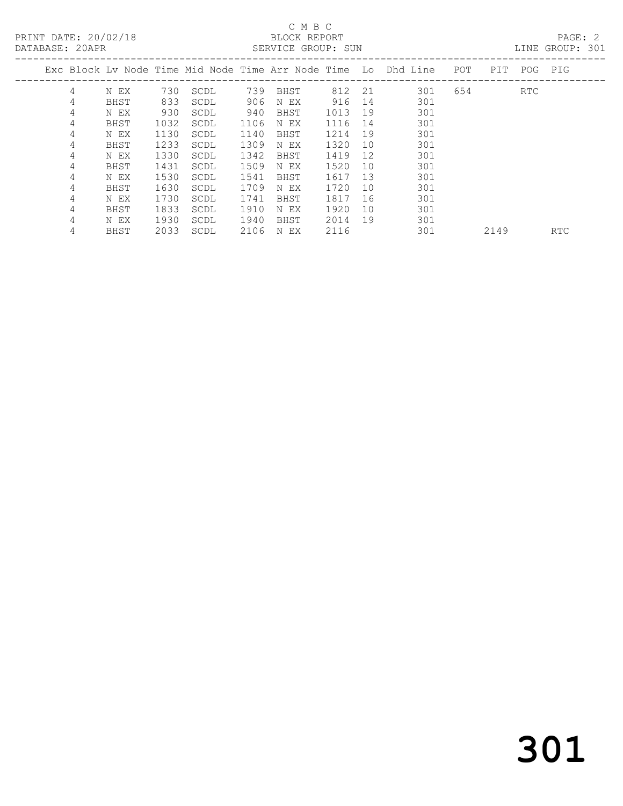# C M B C<br>BLOCK REPORT

PAGE: 2<br>LINE GROUP: 301

|   |      |      |      |      |      |        |    | Exc Block Ly Node Time Mid Node Time Arr Node Time Lo Dhd Line | POT | PIT  | POG | PIG        |
|---|------|------|------|------|------|--------|----|----------------------------------------------------------------|-----|------|-----|------------|
| 4 | N EX | 730  | SCDL | 739  | BHST | 812 21 |    | 301                                                            | 654 |      | RTC |            |
| 4 | BHST | 833  | SCDL | 906  | N EX | 916    | 14 | 301                                                            |     |      |     |            |
| 4 | N EX | 930  | SCDL | 940  | BHST | 1013   | 19 | 301                                                            |     |      |     |            |
| 4 | BHST | 1032 | SCDL | 1106 | N EX | 1116   | 14 | 301                                                            |     |      |     |            |
| 4 | N EX | 1130 | SCDL | 1140 | BHST | 1214   | 19 | 301                                                            |     |      |     |            |
| 4 | BHST | 1233 | SCDL | 1309 | N EX | 1320   | 10 | 301                                                            |     |      |     |            |
| 4 | N EX | 1330 | SCDL | 1342 | BHST | 1419   | 12 | 301                                                            |     |      |     |            |
| 4 | BHST | 1431 | SCDL | 1509 | N EX | 1520   | 10 | 301                                                            |     |      |     |            |
| 4 | N EX | 1530 | SCDL | 1541 | BHST | 1617   | 13 | 301                                                            |     |      |     |            |
| 4 | BHST | 1630 | SCDL | 1709 | N EX | 1720   | 10 | 301                                                            |     |      |     |            |
| 4 | N EX | 1730 | SCDL | 1741 | BHST | 1817   | 16 | 301                                                            |     |      |     |            |
| 4 | BHST | 1833 | SCDL | 1910 | N EX | 1920   | 10 | 301                                                            |     |      |     |            |
| 4 | N EX | 1930 | SCDL | 1940 | BHST | 2014   | 19 | 301                                                            |     |      |     |            |
| 4 | BHST | 2033 | SCDL | 2106 | N EX | 2116   |    | 301                                                            |     | 2149 |     | <b>RTC</b> |
|   |      |      |      |      |      |        |    |                                                                |     |      |     |            |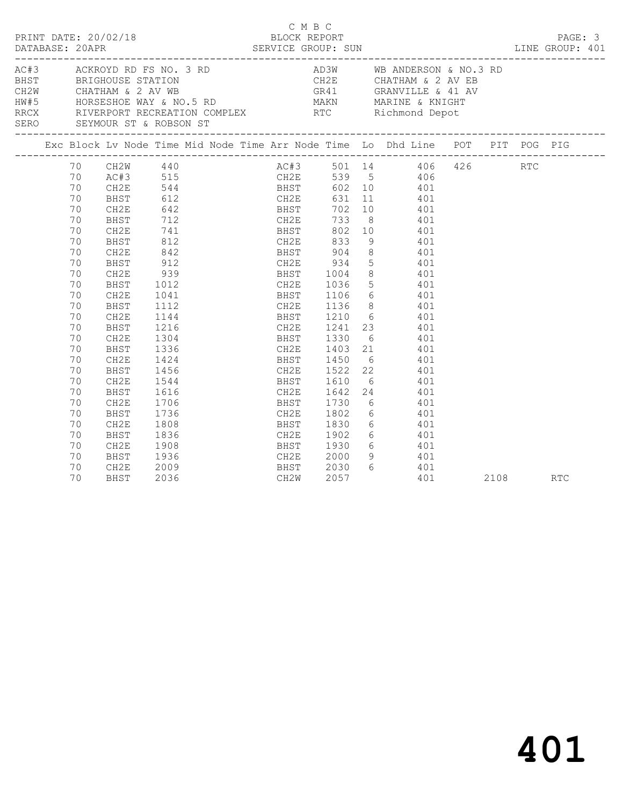| PRINT DATE: 20/02/18<br>DATABASE: 20APR                    |                                                                                                                                                                            |                                                                                                                                                                                                                           |                                                                                                                                                             |                                                                                        |  | C M B C | BLOCK REPORT                                     | DATABASE: 20APR SERVICE GROUP: SUN LINE GROUP: 401                                                                                                                                                                                                                                                                                                                                                                                                                                                                                                                                                             |  |          | PAGE: 3 |
|------------------------------------------------------------|----------------------------------------------------------------------------------------------------------------------------------------------------------------------------|---------------------------------------------------------------------------------------------------------------------------------------------------------------------------------------------------------------------------|-------------------------------------------------------------------------------------------------------------------------------------------------------------|----------------------------------------------------------------------------------------|--|---------|--------------------------------------------------|----------------------------------------------------------------------------------------------------------------------------------------------------------------------------------------------------------------------------------------------------------------------------------------------------------------------------------------------------------------------------------------------------------------------------------------------------------------------------------------------------------------------------------------------------------------------------------------------------------------|--|----------|---------|
| AC#3 ACKROYD RD FS NO. 3 RD<br>SERO SEYMOUR ST & ROBSON ST |                                                                                                                                                                            |                                                                                                                                                                                                                           |                                                                                                                                                             |                                                                                        |  |         |                                                  | AD3W WB ANDERSON & NO.3 RD<br>BHST BRIGHOUSE STATION<br>CHATHAM & 2 AV WB<br>HORSESHOE WAY & NO.5 RD MAKN MARINE & KNIGHT<br>RRCX RIVERPORT RECREATION COMPLEX RTC Richmond Depot                                                                                                                                                                                                                                                                                                                                                                                                                              |  |          |         |
|                                                            |                                                                                                                                                                            |                                                                                                                                                                                                                           |                                                                                                                                                             |                                                                                        |  |         |                                                  | Exc Block Lv Node Time Mid Node Time Arr Node Time Lo Dhd Line POT PIT POG PIG                                                                                                                                                                                                                                                                                                                                                                                                                                                                                                                                 |  |          |         |
|                                                            | 70<br>70<br>70<br>70<br>70<br>70<br>70<br>70<br>70<br>70<br>70<br>70<br>70<br>70<br>70<br>70<br>70<br>70<br>70<br>70<br>70<br>70<br>70<br>70<br>70<br>70<br>70<br>70<br>70 | $CH2W$ 440<br>CH2E<br>BHST<br>CH2E<br><b>BHST</b><br>CH2E<br>BHST<br>CH2E<br>BHST<br>CH2E<br>BHST<br>CH2E<br>BHST<br>CH2E<br>BHST<br>CH2E<br>BHST<br>CH2E<br>BHST<br>CH2E<br>BHST<br>CH2E<br>BHST<br>CH2E<br>BHST<br>CH2E | 642<br>$912$<br>939<br>1012<br>1041<br>1112<br>1216<br>1304<br>1336<br>1424<br>1456<br>1544<br>1616<br>1706<br>1736<br>1808<br>1836<br>1908<br>1936<br>2009 | 642<br>712<br>741 BHST 002<br>812 CH2E 833<br>BHST 904<br>742E 934<br>$1112$<br>$1144$ |  |         | BHST 1830<br>CH2E 1902<br>BHST 1930<br>CH2E 2000 | AC#3 501 14 406 426 RTC<br>AC#3 515 CH2E 539 5 406<br>CH2E 544 BHST 602 10 401<br>BHST 612 CH2E 631 11 401<br>CH2E 539 5 406<br>BHST 602 10 401<br>BHST 702 10 401<br>CH2E 733 8 401<br>BHST 802 10 401<br>9 401<br>BHST 904 8 401<br>CH2E 934 5 401<br>BHST 1004 8 401<br>CH2E 1036 5 401<br>BHST 1106 6 401<br>CH2E 1136 8 401<br>BHST 1210 6 401<br>CH2E 1241 23 401<br>BHST 1330 6 401<br>CH2E 1403 21 401<br>BHST 1450 6 401<br>CH2E 1522 22 401<br>BHST 1610 6 401<br>CH2E 1642 24 401<br>BHST 1730 6 401<br>CH2E 1802 6 401<br>$6$ $401$<br>$6$ $401$<br>$\begin{matrix} 6 & 101 \end{matrix}$<br>9 401 |  |          |         |
|                                                            | 70                                                                                                                                                                         | BHST                                                                                                                                                                                                                      | 2036                                                                                                                                                        |                                                                                        |  |         | BHST 2030<br>CH2W 2057                           | $\begin{matrix} 6 & 401 \end{matrix}$<br>401                                                                                                                                                                                                                                                                                                                                                                                                                                                                                                                                                                   |  | 2108 RTC |         |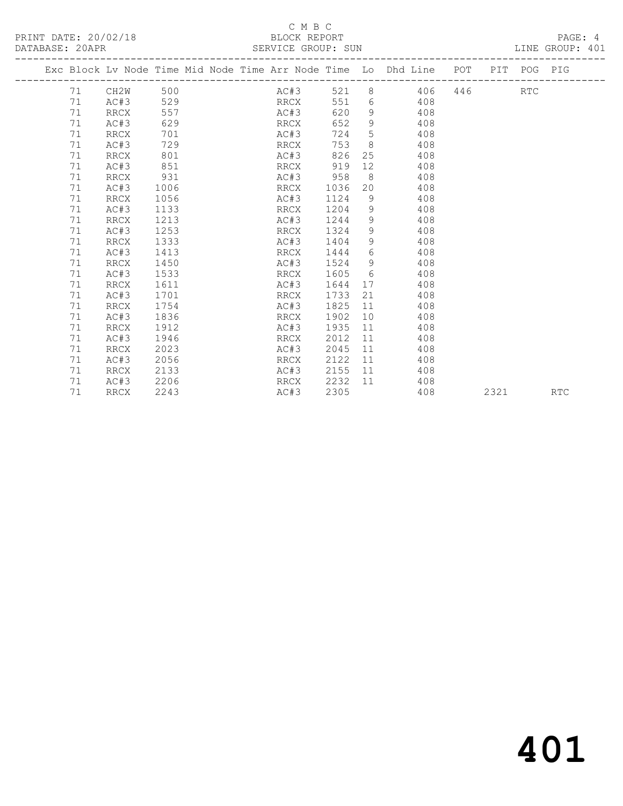### C M B C<br>BLOCK REPORT SERVICE GROUP: SUN

|  | Exc Block Lv Node Time Mid Node Time Arr Node Time Lo Dhd Line POT |             |      |  |      |      |         |                 |                   |           |     | PIT | POG PIG    |  |
|--|--------------------------------------------------------------------|-------------|------|--|------|------|---------|-----------------|-------------------|-----------|-----|-----|------------|--|
|  | 71                                                                 | CH2W        | 500  |  |      | AC#3 |         |                 |                   | 521 8 406 | 446 |     | <b>RTC</b> |  |
|  | 71                                                                 | AC#3        | 529  |  |      | RRCX | 551     | $6\overline{6}$ |                   | 408       |     |     |            |  |
|  | 71                                                                 | RRCX        | 557  |  |      | AC#3 | 620     |                 | $9 \quad \bullet$ | 408       |     |     |            |  |
|  | 71                                                                 | AC#3        | 629  |  | RRCX |      | 652     | 9               |                   | 408       |     |     |            |  |
|  | 71                                                                 | RRCX        | 701  |  |      | AC#3 | 724     | 5               |                   | 408       |     |     |            |  |
|  | 71                                                                 | AC#3        | 729  |  | RRCX |      | 753     | 8 <sup>8</sup>  |                   | 408       |     |     |            |  |
|  | 71                                                                 | RRCX        | 801  |  | AC#3 |      | 826     |                 | 25                | 408       |     |     |            |  |
|  | 71                                                                 | AC#3        | 851  |  | RRCX |      | 919     | 12              |                   | 408       |     |     |            |  |
|  | 71                                                                 | <b>RRCX</b> | 931  |  |      | AC#3 | 958     | 8 <sup>8</sup>  |                   | 408       |     |     |            |  |
|  | 71                                                                 | AC#3        | 1006 |  | RRCX |      | 1036    | 20              |                   | 408       |     |     |            |  |
|  | 71                                                                 | RRCX        | 1056 |  | AC#3 |      | 1124    | 9               |                   | 408       |     |     |            |  |
|  | 71                                                                 | AC#3        | 1133 |  | RRCX |      | 1204    | 9               |                   | 408       |     |     |            |  |
|  | 71                                                                 | RRCX        | 1213 |  | AC#3 |      | 1244    | 9               |                   | 408       |     |     |            |  |
|  | 71                                                                 | AC#3        | 1253 |  | RRCX |      | 1324    | 9               |                   | 408       |     |     |            |  |
|  | 71                                                                 | RRCX        | 1333 |  | AC#3 |      | 1404    |                 | $9 \quad \bullet$ | 408       |     |     |            |  |
|  | 71                                                                 | AC#3        | 1413 |  | RRCX |      | 1444    | 6               |                   | 408       |     |     |            |  |
|  | 71                                                                 | RRCX        | 1450 |  | AC#3 |      | 1524    | 9               |                   | 408       |     |     |            |  |
|  | 71                                                                 | AC#3        | 1533 |  | RRCX |      | 1605    | 6               |                   | 408       |     |     |            |  |
|  | 71                                                                 | RRCX        | 1611 |  | AC#3 |      | 1644    |                 | 17                | 408       |     |     |            |  |
|  | 71                                                                 | AC#3        | 1701 |  | RRCX |      | 1733    | 21              |                   | 408       |     |     |            |  |
|  | 71                                                                 | RRCX        | 1754 |  | AC#3 |      | 1825    | 11              |                   | 408       |     |     |            |  |
|  | 71                                                                 | AC#3        | 1836 |  | RRCX |      | 1902    | 10              |                   | 408       |     |     |            |  |
|  | 71                                                                 | RRCX        | 1912 |  | AC#3 |      | 1935    | 11              |                   | 408       |     |     |            |  |
|  | 71                                                                 | AC#3        | 1946 |  | RRCX |      | 2012    | 11              |                   | 408       |     |     |            |  |
|  | 71                                                                 | RRCX        | 2023 |  | AC#3 |      | 2045    | 11              |                   | 408       |     |     |            |  |
|  | 71                                                                 | AC#3        | 2056 |  | RRCX |      | 2122    | 11              |                   | 408       |     |     |            |  |
|  | 71                                                                 | RRCX        | 2133 |  | AC#3 |      | 2155 11 |                 |                   | 408       |     |     |            |  |

71 RRCX 2243 AC#3 2305 408 2321 RTC

71 AC#3 2206 RRCX 2232 11 408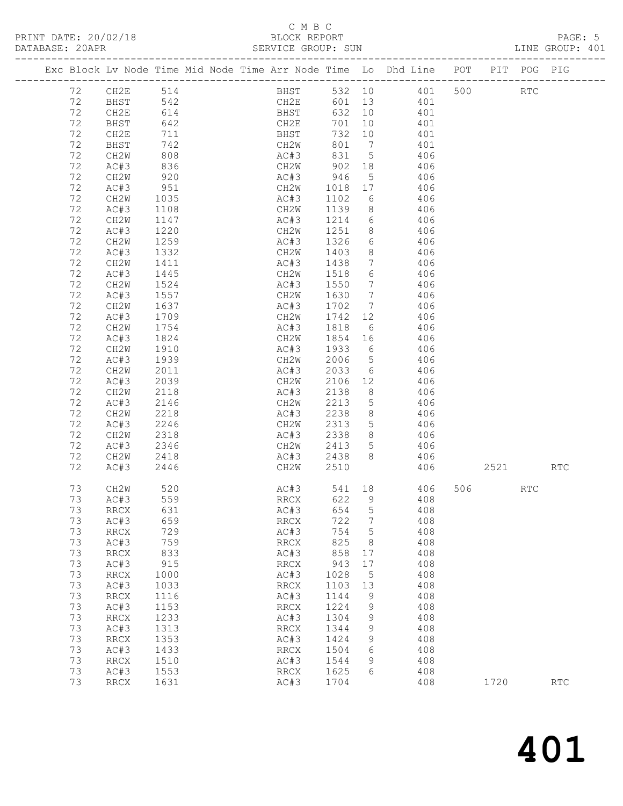# C M B C<br>BLOCK REPORT

LINE GROUP: 401

|          |                              |              |  |                              |              |                      | Exc Block Lv Node Time Mid Node Time Arr Node Time Lo Dhd Line POT PIT POG PIG |     |      |            |                      |
|----------|------------------------------|--------------|--|------------------------------|--------------|----------------------|--------------------------------------------------------------------------------|-----|------|------------|----------------------|
| 72       | CH2E                         | 514          |  | BHST                         | 532 10       |                      | 401                                                                            | 500 |      | RTC        |                      |
| 72       | BHST                         | 542          |  | CH2E                         | 601 13       |                      | 401                                                                            |     |      |            |                      |
| 72       | CH2E                         | 614          |  | BHST                         | 632 10       |                      | 401                                                                            |     |      |            |                      |
| 72       | BHST                         | 642          |  | CH2E                         | 701          | 10                   | 401                                                                            |     |      |            |                      |
| 72       | CH2E                         | 711          |  | BHST                         | 732          | 10                   | 401                                                                            |     |      |            |                      |
| 72       | BHST                         | 742          |  | CH2W                         | 801          | $\overline{7}$       | 401                                                                            |     |      |            |                      |
| 72       | CH2W                         | 808          |  | AC#3                         | 831          | $5\overline{)}$      | 406                                                                            |     |      |            |                      |
| 72       | AC#3                         | 836          |  | CH2W                         | 902          | 18                   | 406                                                                            |     |      |            |                      |
| 72       | CH2W                         | 920          |  | AC#3                         | 946          | $5\phantom{.0}$      | 406                                                                            |     |      |            |                      |
| 72       | AC#3                         | 951          |  | CH2W                         | 1018         | 17                   | 406                                                                            |     |      |            |                      |
| 72       | CH2W                         | 1035         |  | AC#3                         | 1102         | 6                    | 406                                                                            |     |      |            |                      |
| 72       | AC#3                         | 1108         |  | CH2W                         | 1139         | 8                    | 406                                                                            |     |      |            |                      |
| 72       | CH2W                         | 1147         |  | AC#3                         | 1214         | 6                    | 406                                                                            |     |      |            |                      |
| 72       | AC#3                         | 1220         |  | CH2W                         | 1251         |                      | 406<br>$8 - 8$                                                                 |     |      |            |                      |
| 72       | CH2W                         | 1259         |  | AC#3                         | 1326         |                      | $6\overline{}$<br>406                                                          |     |      |            |                      |
| 72       | AC#3                         | 1332         |  | CH2W                         | 1403         | 8                    | 406                                                                            |     |      |            |                      |
| 72       | CH2W                         | 1411         |  | AC#3                         | 1438         | $7\overline{ }$      | 406                                                                            |     |      |            |                      |
| 72<br>72 | AC#3                         | 1445         |  | CH2W                         | 1518         | 6<br>$7\overline{ }$ | 406                                                                            |     |      |            |                      |
| 72       | CH2W                         | 1524<br>1557 |  | AC#3<br>CH2W                 | 1550<br>1630 | $7\overline{ }$      | 406<br>406                                                                     |     |      |            |                      |
| 72       | AC#3<br>CH2W                 | 1637         |  | AC#3                         | 1702         | $7\overline{ }$      | 406                                                                            |     |      |            |                      |
| 72       | AC#3                         | 1709         |  | CH2W                         | 1742         | 12                   | 406                                                                            |     |      |            |                      |
| 72       | CH2W                         | 1754         |  | AC#3                         | 1818         | $6\overline{6}$      | 406                                                                            |     |      |            |                      |
| 72       | AC#3                         | 1824         |  | CH2W                         | 1854         | 16                   | 406                                                                            |     |      |            |                      |
| 72       | CH2W                         | 1910         |  | AC#3                         | 1933         | 6                    | 406                                                                            |     |      |            |                      |
| 72       | AC#3                         | 1939         |  | CH2W                         | 2006         | 5 <sup>5</sup>       | 406                                                                            |     |      |            |                      |
| 72       | CH2W                         | 2011         |  | AC#3                         | 2033         |                      | 406<br>$6 \qquad \qquad$                                                       |     |      |            |                      |
| 72       | AC#3                         | 2039         |  | CH2W                         | 2106         | 12                   | 406                                                                            |     |      |            |                      |
| 72       | CH2W                         | 2118         |  | AC#3                         | 2138         | 8                    | 406                                                                            |     |      |            |                      |
| 72       | AC#3                         | 2146         |  | CH2W                         | 2213         | 5 <sub>5</sub>       | 406                                                                            |     |      |            |                      |
| 72       | CH2W                         | 2218         |  | AC#3                         | 2238         | 8                    | 406                                                                            |     |      |            |                      |
| 72       | AC#3                         | 2246         |  | CH2W                         | 2313         | 5 <sub>5</sub>       | 406                                                                            |     |      |            |                      |
| 72       | CH2W                         | 2318         |  | AC#3                         | 2338         | 8                    | 406                                                                            |     |      |            |                      |
| 72       | AC#3                         | 2346         |  | CH2W                         | 2413         | 5 <sup>5</sup>       | 406                                                                            |     |      |            |                      |
| 72       | CH2W                         | 2418         |  | AC#3                         | 2438         | 8                    | 406                                                                            |     |      |            |                      |
| 72       | AC#3                         | 2446         |  | CH2W                         | 2510         |                      | 406                                                                            |     | 2521 |            | $\operatorname{RTC}$ |
| 73       | CH2W                         | 520          |  | AC#3                         | 541          | 18                   | 406                                                                            | 506 |      | <b>RTC</b> |                      |
| 73       | AC#3                         | 559          |  | <b>RRCX</b>                  | 622          | 9                    | 408                                                                            |     |      |            |                      |
| 73       | RRCX                         | 631          |  | AC#3                         | 654          | 5                    | 408                                                                            |     |      |            |                      |
| 73       | AC#3                         | 659          |  | <b>RRCX</b>                  | 722          | 7                    | 408                                                                            |     |      |            |                      |
| 73       | RRCX                         | 729          |  | AC#3                         | 754          | 5                    | 408                                                                            |     |      |            |                      |
| 73       | AC#3                         | 759          |  | <b>RRCX</b>                  | 825          | 8                    | 408                                                                            |     |      |            |                      |
| 73       | RRCX                         | 833          |  | AC#3                         | 858          | 17                   | 408                                                                            |     |      |            |                      |
| 73       | AC#3                         | 915          |  | <b>RRCX</b>                  | 943          | 17                   | 408                                                                            |     |      |            |                      |
| 73       | $\mathop{\rm RRCX}\nolimits$ | 1000         |  | AC#3                         | 1028         | 5                    | 408                                                                            |     |      |            |                      |
| 73       | AC#3                         | 1033         |  | $\mathop{\rm RRCX}\nolimits$ | 1103         | 13                   | 408                                                                            |     |      |            |                      |
| 73       | RRCX                         | 1116         |  | AC#3                         | 1144         | 9                    | 408                                                                            |     |      |            |                      |
| 73       | AC#3                         | 1153         |  | <b>RRCX</b>                  | 1224         | 9                    | 408                                                                            |     |      |            |                      |

73 RRCX 1631 AC#3 1704 408 1720 RTC

 73 RRCX 1233 AC#3 1304 9 408 73 AC#3 1313 RRCX 1344 9 408 73 RRCX 1353 AC#3 1424 9 408 73 AC#3 1433 RRCX 1504 6 408 73 RRCX 1510 AC#3 1544 9 408 73 AC#3 1553 RRCX 1625 6 408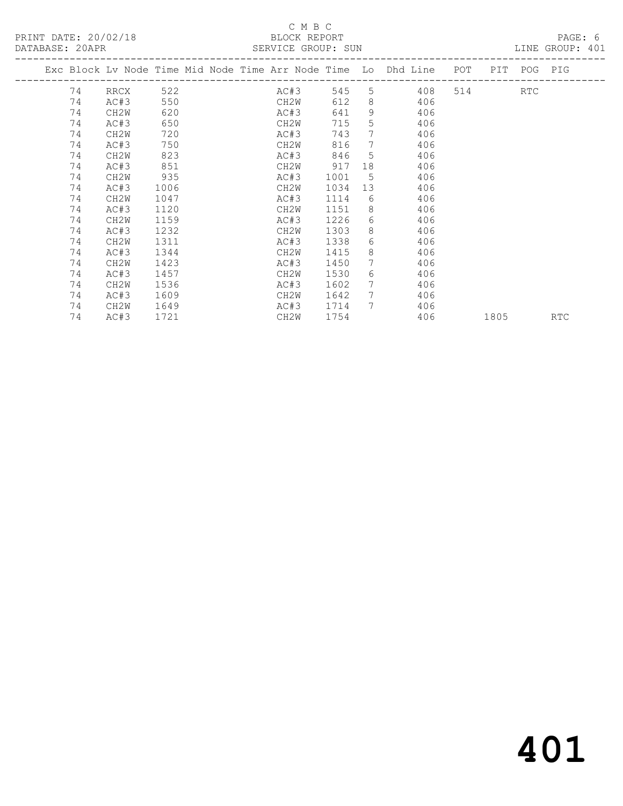|    |                   |      | Exc Block Lv Node Time Mid Node Time Arr Node Time Lo Dhd Line |      |                 |                                         | POT |      | PIT POG PIG |            |
|----|-------------------|------|----------------------------------------------------------------|------|-----------------|-----------------------------------------|-----|------|-------------|------------|
| 74 | RRCX              | 522  | AC#3                                                           | 545  |                 | $5 \quad \overline{\phantom{1}}$<br>408 |     | 514  | RTC         |            |
| 74 | AC#3              | 550  | CH2W                                                           | 612  | 8               | 406                                     |     |      |             |            |
| 74 | CH <sub>2</sub> W | 620  | AC#3                                                           | 641  | 9               | 406                                     |     |      |             |            |
| 74 | AC#3              | 650  | CH2W                                                           | 715  | 5               | 406                                     |     |      |             |            |
| 74 | CH <sub>2</sub> W | 720  | AC#3                                                           | 743  | $7^{\circ}$     | 406                                     |     |      |             |            |
| 74 | AC#3              | 750  | CH2W                                                           | 816  | $7^{\circ}$     | 406                                     |     |      |             |            |
| 74 | CH2W              | 823  | AC#3                                                           | 846  | 5               | 406                                     |     |      |             |            |
| 74 | AC#3              | 851  | CH2W                                                           | 917  | 18              | 406                                     |     |      |             |            |
| 74 | CH <sub>2</sub> W | 935  | AC#3                                                           | 1001 | 5               | 406                                     |     |      |             |            |
| 74 | AC#3              | 1006 | CH2W                                                           | 1034 | 13              | 406                                     |     |      |             |            |
| 74 | CH2W              | 1047 | AC#3                                                           | 1114 | 6               | 406                                     |     |      |             |            |
| 74 | AC#3              | 1120 | CH2W                                                           | 1151 | 8               | 406                                     |     |      |             |            |
| 74 | CH <sub>2</sub> W | 1159 | AC#3                                                           | 1226 | 6               | 406                                     |     |      |             |            |
| 74 | AC#3              | 1232 | CH2W                                                           | 1303 | 8               | 406                                     |     |      |             |            |
| 74 | CH <sub>2</sub> W | 1311 | AC#3                                                           | 1338 | 6               | 406                                     |     |      |             |            |
| 74 | AC#3              | 1344 | CH2W                                                           | 1415 | 8               | 406                                     |     |      |             |            |
| 74 | CH <sub>2</sub> W | 1423 | AC#3                                                           | 1450 | 7               | 406                                     |     |      |             |            |
| 74 | AC#3              | 1457 | CH2W                                                           | 1530 | 6               | 406                                     |     |      |             |            |
| 74 | CH <sub>2</sub> M | 1536 | AC#3                                                           | 1602 | 7               | 406                                     |     |      |             |            |
| 74 | AC#3              | 1609 | CH2W                                                           | 1642 | $7\phantom{0}$  | 406                                     |     |      |             |            |
| 74 | CH <sub>2</sub> W | 1649 | AC#3                                                           | 1714 | $7\phantom{.0}$ | 406                                     |     |      |             |            |
| 74 | AC#3              | 1721 | CH2W                                                           | 1754 |                 | 406                                     |     | 1805 |             | <b>RTC</b> |
|    |                   |      |                                                                |      |                 |                                         |     |      |             |            |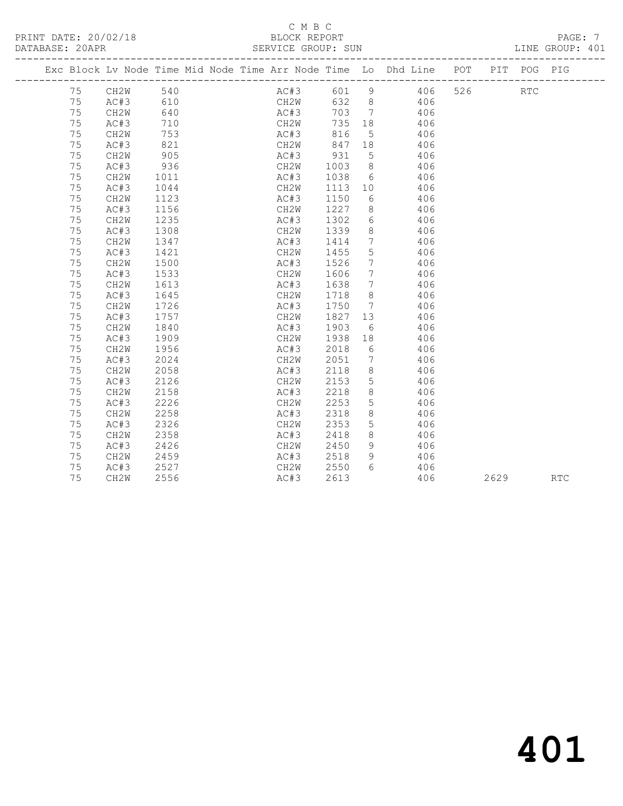### C M B C<br>BLOCK REPORT SERVICE GROUP: SUN

|  |    |                   |      |  |      |      |       |                              | Exc Block Lv Node Time Mid Node Time Arr Node Time Lo Dhd Line POT |     | PIT POG PIG |  |
|--|----|-------------------|------|--|------|------|-------|------------------------------|--------------------------------------------------------------------|-----|-------------|--|
|  | 75 | CH2W              | 540  |  | AC#3 |      | 601 9 |                              | 406                                                                | 526 | <b>RTC</b>  |  |
|  | 75 | AC#3              | 610  |  | CH2W |      | 632 8 |                              | 406                                                                |     |             |  |
|  | 75 | CH2W              | 640  |  | AC#3 |      | 703   | $7\phantom{0}$               | 406                                                                |     |             |  |
|  | 75 | AC#3              | 710  |  | CH2W |      | 735   | 18                           | 406                                                                |     |             |  |
|  | 75 | CH2W              | 753  |  |      | AC#3 | 816   | 5 <sup>5</sup>               | 406                                                                |     |             |  |
|  | 75 | AC#3              | 821  |  | CH2W |      | 847   | 18                           | 406                                                                |     |             |  |
|  | 75 | CH2W              | 905  |  | AC#3 |      | 931   | $5^{\circ}$                  | 406                                                                |     |             |  |
|  | 75 | AC#3              | 936  |  | CH2W |      | 1003  | 8 <sup>8</sup>               | 406                                                                |     |             |  |
|  | 75 | CH2W              | 1011 |  | AC#3 |      | 1038  |                              | $6\degree$<br>406                                                  |     |             |  |
|  | 75 | AC#3              | 1044 |  | CH2W |      | 1113  | 10                           | 406                                                                |     |             |  |
|  | 75 | CH2W              | 1123 |  | AC#3 |      | 1150  | 6                            | 406                                                                |     |             |  |
|  | 75 | AC#3              | 1156 |  | CH2W |      | 1227  | 8 <sup>8</sup>               | 406                                                                |     |             |  |
|  | 75 | CH2W              | 1235 |  | AC#3 |      | 1302  | 6                            | 406                                                                |     |             |  |
|  | 75 | AC#3              | 1308 |  | CH2W |      | 1339  | 8 <sup>8</sup>               | 406                                                                |     |             |  |
|  | 75 | CH2W              | 1347 |  | AC#3 |      | 1414  | $7\phantom{.0}\phantom{.0}7$ | 406                                                                |     |             |  |
|  | 75 | AC#3              | 1421 |  | CH2W |      | 1455  | $5\overline{)}$              | 406                                                                |     |             |  |
|  | 75 | CH2W              | 1500 |  | AC#3 |      | 1526  | 7                            | 406                                                                |     |             |  |
|  | 75 | AC#3              | 1533 |  | CH2W |      | 1606  | $7\overline{ }$              | 406                                                                |     |             |  |
|  | 75 | CH2W              | 1613 |  | AC#3 |      | 1638  | $7\phantom{0}$               | 406                                                                |     |             |  |
|  | 75 | AC#3              | 1645 |  | CH2W |      | 1718  | 8                            | 406                                                                |     |             |  |
|  | 75 | CH2W              | 1726 |  | AC#3 |      | 1750  | $7\phantom{0}$               | 406                                                                |     |             |  |
|  | 75 | AC#3              | 1757 |  | CH2W |      | 1827  | 13                           | 406                                                                |     |             |  |
|  | 75 | CH2W              | 1840 |  | AC#3 |      | 1903  | 6                            | 406                                                                |     |             |  |
|  | 75 | AC#3              | 1909 |  | CH2W |      | 1938  | 18                           | 406                                                                |     |             |  |
|  | 75 | CH2W              | 1956 |  | AC#3 |      | 2018  | 6                            | 406                                                                |     |             |  |
|  | 75 | AC#3              | 2024 |  | CH2W |      | 2051  | $7\phantom{.0}\,$            | 406                                                                |     |             |  |
|  | 75 | CH2W              | 2058 |  | AC#3 |      | 2118  | 8                            | 406                                                                |     |             |  |
|  | 75 | AC#3              | 2126 |  | CH2W |      | 2153  | 5                            | 406                                                                |     |             |  |
|  | 75 | CH2W              | 2158 |  | AC#3 |      | 2218  | 8                            | 406                                                                |     |             |  |
|  | 75 | AC#3              | 2226 |  | CH2W |      | 2253  | 5                            | 406                                                                |     |             |  |
|  | 75 | CH2W              | 2258 |  | AC#3 |      | 2318  | 8                            | 406                                                                |     |             |  |
|  | 75 | AC#3              | 2326 |  | CH2W |      | 2353  | 5                            | 406                                                                |     |             |  |
|  | 75 | CH2W              | 2358 |  | AC#3 |      | 2418  | 8                            | 406                                                                |     |             |  |
|  | 75 | AC#3              | 2426 |  | CH2W |      | 2450  | 9                            | 406                                                                |     |             |  |
|  | 75 | CH <sub>2</sub> W | 2459 |  | AC#3 |      | 2518  | 9                            | 406                                                                |     |             |  |
|  | 75 | AC#3              | 2527 |  | CH2W |      | 2550  | 6                            | 406                                                                |     |             |  |
|  |    |                   |      |  |      |      |       |                              |                                                                    |     |             |  |

75 CH2W 2556 AC#3 2613 406 2629 RTC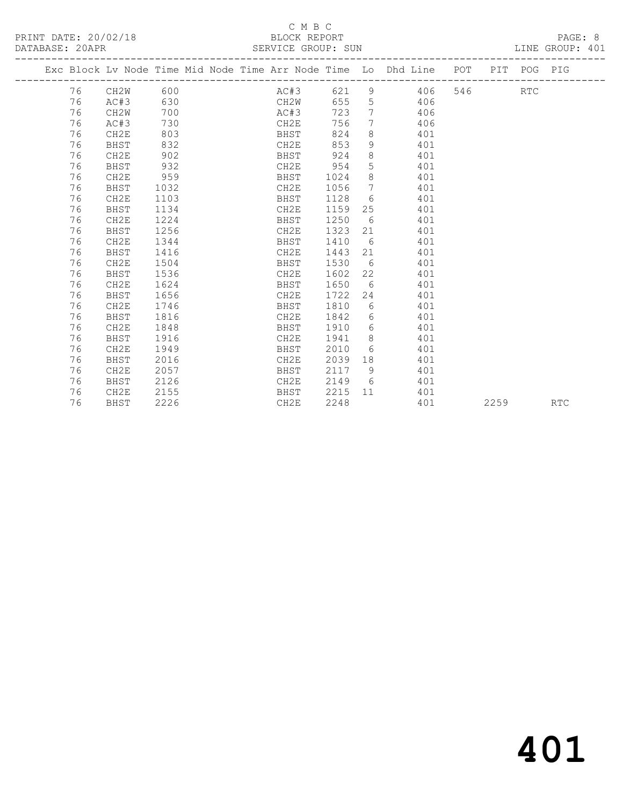PRINT DATE: 20/02/18 BLOCK REPORT PAGE: 8 DATABASE: 20APR

# C M B C

 76 CH2E 1224 BHST 1250 6 401 76 BHST 1256 CH2E 1323 21 401 76 CH2E 1344 BHST 1410 6 401

 76 CH2E 1504 BHST 1530 6 401 76 BHST 1536 CH2E 1602 22 401 76 CH2E 1624 BHST 1650 6 401 76 BHST 1656 CH2E 1722 24 401 76 CH2E 1746 BHST 1810 6 401 76 BHST 1816 CH2E 1842 6 401 76 CH2E 1848 BHST 1910 6 401

 76 CH2E 1949 BHST 2010 6 401 76 BHST 2016 CH2E 2039 18 401 76 CH2E 2057 BHST 2117 9 401 76 BHST 2126 CH2E 2149 6 401 76 CH2E 2155 BHST 2215 11 401

76 BHST 1416 CH2E 1443 21 401

76 BHST 1916 CH2E 1941 8 401

| PHILIPINH. 201111 |    |      |      |  |      | DUINTLON UNUUL. DUIN                                           |    |     |     |     |     | TALLAM CITO OT SALL |
|-------------------|----|------|------|--|------|----------------------------------------------------------------|----|-----|-----|-----|-----|---------------------|
|                   |    |      |      |  |      | Exc Block Ly Node Time Mid Node Time Arr Node Time Lo Dhd Line |    |     | POT | PIT | POG | PIG                 |
|                   | 76 | CH2W | 600  |  | AC#3 | 621                                                            | 9  | 406 | 546 |     | RTC |                     |
|                   | 76 | AC#3 | 630  |  | CH2W | 655                                                            | 5  | 406 |     |     |     |                     |
|                   | 76 | CH2W | 700  |  | AC#3 | 723                                                            | 7  | 406 |     |     |     |                     |
|                   | 76 | AC#3 | 730  |  | CH2E | 756                                                            | 7  | 406 |     |     |     |                     |
|                   | 76 | CH2E | 803  |  | BHST | 824                                                            | 8  | 401 |     |     |     |                     |
|                   | 76 | BHST | 832  |  | CH2E | 853                                                            | 9  | 401 |     |     |     |                     |
|                   | 76 | CH2E | 902  |  | BHST | 924                                                            | 8  | 401 |     |     |     |                     |
| 76                |    | BHST | 932  |  | CH2E | 954                                                            | 5. | 401 |     |     |     |                     |
|                   | 76 | CH2E | 959  |  | BHST | 1024                                                           | 8  | 401 |     |     |     |                     |
|                   | 76 | BHST | 1032 |  | CH2E | 1056                                                           | 7  | 401 |     |     |     |                     |
|                   | 76 | CH2E | 1103 |  | BHST | 1128                                                           | 6  | 401 |     |     |     |                     |
|                   | 76 | BHST | 1134 |  | CH2E | 1159                                                           | 25 | 401 |     |     |     |                     |
|                   |    |      |      |  |      |                                                                |    |     |     |     |     |                     |

|  | ناكللا | ل ل ⊥ ∠<br>___ | _______ |      | ュぃェ |      |     |
|--|--------|----------------|---------|------|-----|------|-----|
|  | BHST   | 2226           | CH2E    | 2248 | 401 | 2259 | RTC |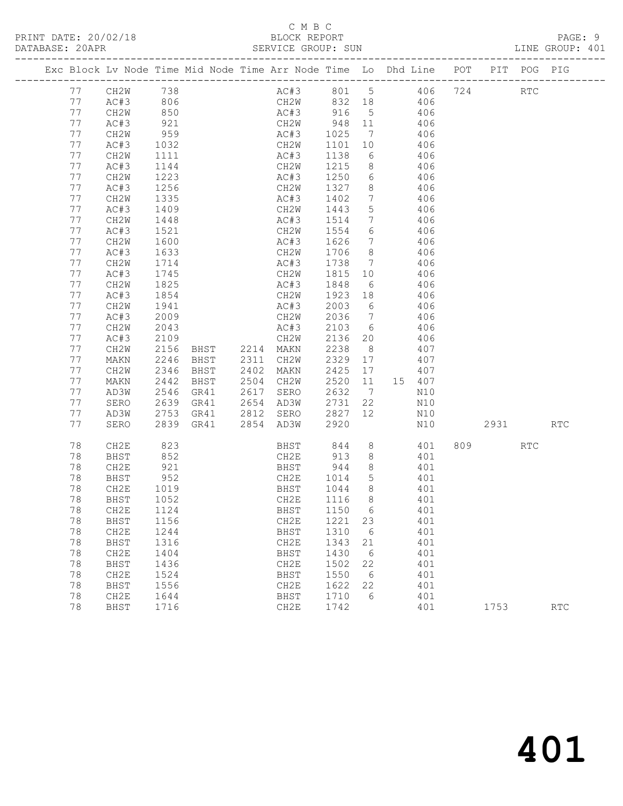|          |              |              |              |      | Exc Block Lv Node Time Mid Node Time Arr Node Time Lo Dhd Line POT PIT POG PIG |              |                 |                       |            |      |                             |            |
|----------|--------------|--------------|--------------|------|--------------------------------------------------------------------------------|--------------|-----------------|-----------------------|------------|------|-----------------------------|------------|
| 77       |              | CH2W 738     |              |      | AC#3 801 5 406 724                                                             |              |                 |                       |            |      | $\mathop{\rm RTC}\nolimits$ |            |
| 77       | AC#3         | 806          |              |      | CH2W 832 18 406                                                                |              |                 |                       |            |      |                             |            |
| 77       | CH2W         |              |              |      |                                                                                |              |                 |                       |            |      |                             |            |
| 77       | AC#3         | 850<br>921   |              |      | AC#3 916 5 406<br>CH2W 948 11 406                                              |              |                 |                       |            |      |                             |            |
| 77       | CH2W         | 959          |              |      | AC#3                                                                           | 1025         |                 | 7 406                 |            |      |                             |            |
| 77       | AC#3         | 1032         |              |      | CH2W                                                                           | 1101         | 10              | 406                   |            |      |                             |            |
| 77       | CH2W         | 1111         |              |      | AC#3                                                                           | 1138         | 6               |                       | 406        |      |                             |            |
| 77       | AC#3         | 1144         |              |      | CH2W                                                                           | 1215         | 8 <sup>1</sup>  |                       | 406        |      |                             |            |
| 77       | CH2W         | 1223         |              |      | AC#3                                                                           | 1250         |                 | 6 406                 |            |      |                             |            |
| 77       | AC#3         | 1256         |              |      | CH2W                                                                           | 1327         | 8 <sup>8</sup>  | 406                   |            |      |                             |            |
| 77       | CH2W         | 1335         |              |      | AC#3                                                                           | 1402         | $7\overline{ }$ |                       | 406        |      |                             |            |
| 77       | AC#3         | 1409         |              |      | CH2W                                                                           | 1443         | 5 <sup>5</sup>  |                       | 406        |      |                             |            |
| 77       | CH2W         | 1448         |              |      | AC#3                                                                           | 1514         | $\overline{7}$  | 406                   |            |      |                             |            |
| 77       | AC#3         | 1521         |              |      | CH2W                                                                           | 1554         |                 | 6 406                 |            |      |                             |            |
| 77       | CH2W         | 1600         |              |      | AC#3                                                                           | 1626         |                 | 7 406                 |            |      |                             |            |
| 77       | AC#3         | 1633         |              |      | CH2W                                                                           | 1706         | 8 <sup>8</sup>  |                       | 406        |      |                             |            |
| 77       | CH2W         | 1714         |              |      | AC#3                                                                           | 1738         |                 | $7 \qquad \qquad 406$ |            |      |                             |            |
| 77       | AC#3         | 1745         |              |      | CH2W                                                                           | 1815         | 10              | 406                   |            |      |                             |            |
| 77       | CH2W         | 1825         |              |      | AC#3                                                                           | 1848         | 6               |                       | 406        |      |                             |            |
| 77       | AC#3         | 1854         |              |      | CH2W                                                                           | 1923 18      |                 |                       | 406        |      |                             |            |
| 77       | CH2W         | 1941         |              |      | AC#3                                                                           | 2003 6       |                 |                       | 406        |      |                             |            |
| 77       | AC#3         | 2009         |              |      | CH2W                                                                           | 2036         |                 | 7 406                 |            |      |                             |            |
| 77       | CH2W         | 2043         |              |      | AC#3                                                                           | 2103         | 6               | 406                   |            |      |                             |            |
| 77       | AC#3         | 2109         |              |      | CH2W                                                                           | 2136         | 20              |                       | 406        |      |                             |            |
| 77       | CH2W         | 2156         |              |      | BHST 2214 MAKN                                                                 | 2238         | 8 <sup>8</sup>  |                       | 407        |      |                             |            |
| 77       | MAKN         | 2246         | BHST         |      | 2311 CH2W                                                                      | 2329         | 17              | 407                   |            |      |                             |            |
| 77<br>77 | CH2W         | 2346<br>2442 | BHST         | 2402 | MAKN<br>2504 CH2W                                                              | 2425         | 17              | 407<br>11  15  407    |            |      |                             |            |
| 77       | MAKN         | 2546         | BHST         |      | 2617 SERO                                                                      | 2520<br>2632 | $7\overline{ }$ |                       | N10        |      |                             |            |
| 77       | AD3W<br>SERO | 2639         | GR41<br>GR41 |      | 2654 AD3W                                                                      | 2731         | 22              |                       | N10        |      |                             |            |
| 77       | AD3W         | 2753         | GR41         |      | 2812 SERO                                                                      | 2827         | 12 <sup>7</sup> |                       | N10        |      |                             |            |
| 77       | SERO         | 2839         | GR41         |      | 2854 AD3W                                                                      | 2920         |                 |                       | N10        | 2931 |                             | <b>RTC</b> |
|          |              |              |              |      |                                                                                |              |                 |                       |            |      |                             |            |
| 78       | CH2E         | 823          |              |      | BHST                                                                           | 844          |                 | $8 - 8$               | 401        | 809  | RTC                         |            |
| 78       | BHST         | 852          |              |      | CH2E                                                                           | 913          | 8 <sup>8</sup>  | 401                   |            |      |                             |            |
| 78       | CH2E         | 921          |              |      | BHST                                                                           | 944          | 8 <sup>8</sup>  |                       | 401        |      |                             |            |
| 78       | BHST         | 952          |              |      | CH2E                                                                           | 1014         | 5 <sup>5</sup>  |                       | 401        |      |                             |            |
| 78       | CH2E         | 1019         |              |      | BHST 1044                                                                      |              | 8 <sup>8</sup>  |                       | 401        |      |                             |            |
| 78       | BHST         | 1052         |              |      | CH2E                                                                           | 1116         | 8 <sup>8</sup>  | 401                   |            |      |                             |            |
| 78       | CH2E         | 1124         |              |      | BHST                                                                           | 1150 6       |                 |                       | 401        |      |                             |            |
| 78       | BHST         | 1156         |              |      | CH2E                                                                           | 1221         | 23              |                       | 401        |      |                             |            |
| 78       | CH2E         | 1244         |              |      | BHST                                                                           | 1310         | 6               |                       | 401        |      |                             |            |
| 78<br>78 | <b>BHST</b>  | 1316         |              |      | CH2E                                                                           | 1343<br>1430 | 21              |                       | 401<br>401 |      |                             |            |
| 78       | CH2E<br>BHST | 1404<br>1436 |              |      | BHST<br>CH2E                                                                   | 1502         | 6<br>22         |                       | 401        |      |                             |            |
| 78       | CH2E         | 1524         |              |      | BHST                                                                           | 1550         | 6               |                       | 401        |      |                             |            |
| 78       | BHST         | 1556         |              |      | CH2E                                                                           | 1622         | 22              |                       | 401        |      |                             |            |
| 78       | CH2E         | 1644         |              |      | BHST                                                                           | 1710         | 6               |                       | 401        |      |                             |            |
| 78       | BHST         | 1716         |              |      | CH2E                                                                           | 1742         |                 |                       | 401        | 1753 |                             | <b>RTC</b> |
|          |              |              |              |      |                                                                                |              |                 |                       |            |      |                             |            |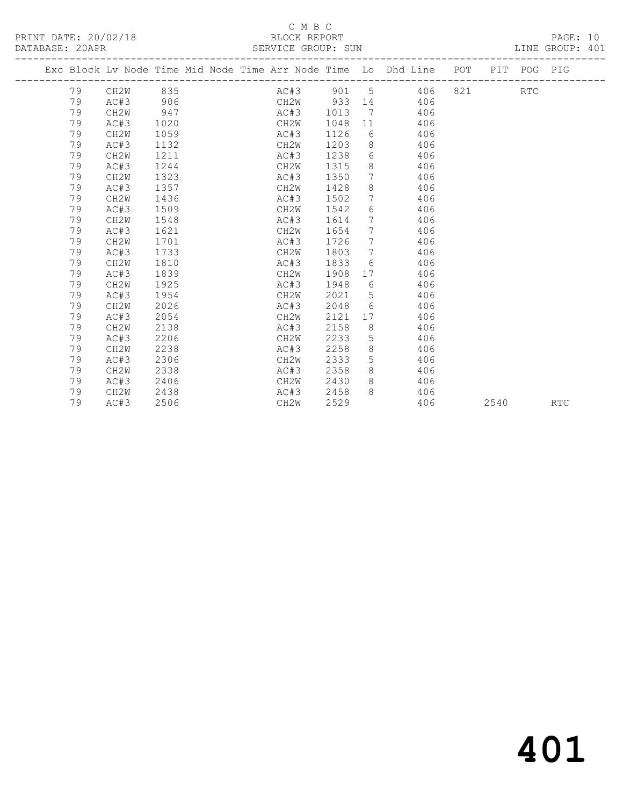### C M B C<br>BLOCK REPORT SERVICE GROUP: SUN

|  |    | Exc Block Lv Node Time Mid Node Time Arr Node Time Lo Dhd Line POT |      |  |      |          |                 |                                  |     |     |      | PIT POG PIG |            |
|--|----|--------------------------------------------------------------------|------|--|------|----------|-----------------|----------------------------------|-----|-----|------|-------------|------------|
|  | 79 | CH2W                                                               | 835  |  |      | AC#3 901 |                 | $5 \quad \overline{\phantom{1}}$ | 406 | 821 |      | <b>RTC</b>  |            |
|  | 79 | AC#3                                                               | 906  |  | CH2W | 933      |                 |                                  | 406 |     |      |             |            |
|  | 79 | CH2W                                                               | 947  |  | AC#3 | 1013     | $7\phantom{0}$  |                                  | 406 |     |      |             |            |
|  | 79 | AC#3                                                               | 1020 |  | CH2W | 1048     | 11              |                                  | 406 |     |      |             |            |
|  | 79 | CH <sub>2</sub> W                                                  | 1059 |  | AC#3 | 1126     | 6               |                                  | 406 |     |      |             |            |
|  | 79 | AC#3                                                               | 1132 |  | CH2W | 1203     | 8               |                                  | 406 |     |      |             |            |
|  | 79 | CH2W                                                               | 1211 |  | AC#3 | 1238     |                 | $6 \qquad \qquad$                | 406 |     |      |             |            |
|  | 79 | AC#3                                                               | 1244 |  | CH2W | 1315     | 8               |                                  | 406 |     |      |             |            |
|  | 79 | CH <sub>2</sub> W                                                  | 1323 |  | AC#3 | 1350     | $7\phantom{.0}$ |                                  | 406 |     |      |             |            |
|  | 79 | AC#3                                                               | 1357 |  | CH2W | 1428     | 8               |                                  | 406 |     |      |             |            |
|  | 79 | CH2W                                                               | 1436 |  | AC#3 | 1502     | $7\overline{ }$ |                                  | 406 |     |      |             |            |
|  | 79 | AC#3                                                               | 1509 |  | CH2W | 1542     | 6               |                                  | 406 |     |      |             |            |
|  | 79 | CH2W                                                               | 1548 |  | AC#3 | 1614     | $7\phantom{.0}$ |                                  | 406 |     |      |             |            |
|  | 79 | AC#3                                                               | 1621 |  | CH2W | 1654     | $7\phantom{0}$  |                                  | 406 |     |      |             |            |
|  | 79 | CH <sub>2</sub> W                                                  | 1701 |  | AC#3 | 1726     | $7\overline{ }$ |                                  | 406 |     |      |             |            |
|  | 79 | AC#3                                                               | 1733 |  | CH2W | 1803     | $7\overline{ }$ |                                  | 406 |     |      |             |            |
|  | 79 | CH2W                                                               | 1810 |  | AC#3 | 1833     | 6               |                                  | 406 |     |      |             |            |
|  | 79 | AC#3                                                               | 1839 |  | CH2W | 1908     | 17              |                                  | 406 |     |      |             |            |
|  | 79 | CH <sub>2</sub> W                                                  | 1925 |  | AC#3 | 1948     | 6               |                                  | 406 |     |      |             |            |
|  | 79 | AC#3                                                               | 1954 |  | CH2W | 2021     | 5               |                                  | 406 |     |      |             |            |
|  | 79 | CH <sub>2</sub> W                                                  | 2026 |  | AC#3 | 2048     | 6               |                                  | 406 |     |      |             |            |
|  | 79 | AC#3                                                               | 2054 |  | CH2W | 2121     |                 |                                  | 406 |     |      |             |            |
|  | 79 | CH2W                                                               | 2138 |  | AC#3 | 2158     | 8 <sup>8</sup>  |                                  | 406 |     |      |             |            |
|  | 79 | AC#3                                                               | 2206 |  | CH2W | 2233     | 5               |                                  | 406 |     |      |             |            |
|  | 79 | CH2W                                                               | 2238 |  | AC#3 | 2258     | 8               |                                  | 406 |     |      |             |            |
|  | 79 | AC#3                                                               | 2306 |  | CH2W | 2333     | 5               |                                  | 406 |     |      |             |            |
|  | 79 | CH2W                                                               | 2338 |  | AC#3 | 2358     | 8               |                                  | 406 |     |      |             |            |
|  | 79 | AC#3                                                               | 2406 |  | CH2W | 2430     | 8               |                                  | 406 |     |      |             |            |
|  | 79 | CH2W                                                               | 2438 |  | AC#3 | 2458     | 8               |                                  | 406 |     |      |             |            |
|  | 79 | AC#3                                                               | 2506 |  | CH2W | 2529     |                 |                                  | 406 |     | 2540 |             | <b>RTC</b> |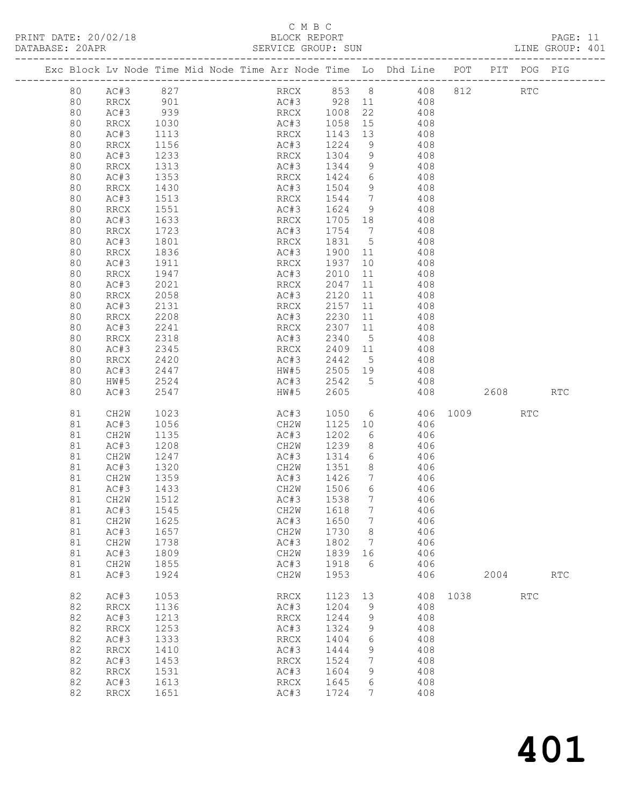### C M B C<br>BLOCK REPORT SERVICE GROUP: SUN

|  |    |      |      |  |      |      |                 | Exc Block Lv Node Time Mid Node Time Arr Node Time Lo Dhd Line | POT | PIT POG | PIG |  |
|--|----|------|------|--|------|------|-----------------|----------------------------------------------------------------|-----|---------|-----|--|
|  | 80 | AC#3 | 827  |  | RRCX | 853  | 8 <sup>8</sup>  | 408                                                            | 812 | RTC     |     |  |
|  | 80 | RRCX | 901  |  | AC#3 | 928  | 11              | 408                                                            |     |         |     |  |
|  | 80 | AC#3 | 939  |  | RRCX | 1008 | 22              | 408                                                            |     |         |     |  |
|  | 80 | RRCX | 1030 |  | AC#3 | 1058 | 15              | 408                                                            |     |         |     |  |
|  | 80 | AC#3 | 1113 |  | RRCX | 1143 | 13              | 408                                                            |     |         |     |  |
|  | 80 | RRCX | 1156 |  | AC#3 | 1224 | 9               | 408                                                            |     |         |     |  |
|  | 80 | AC#3 | 1233 |  | RRCX | 1304 | 9               | 408                                                            |     |         |     |  |
|  | 80 | RRCX | 1313 |  | AC#3 | 1344 | 9               | 408                                                            |     |         |     |  |
|  | 80 | AC#3 | 1353 |  | RRCX | 1424 | 6               | 408                                                            |     |         |     |  |
|  | 80 | RRCX | 1430 |  | AC#3 | 1504 | 9               | 408                                                            |     |         |     |  |
|  | 80 | AC#3 | 1513 |  | RRCX | 1544 | $7\phantom{.0}$ | 408                                                            |     |         |     |  |
|  | 80 | RRCX | 1551 |  | AC#3 | 1624 | 9               | 408                                                            |     |         |     |  |
|  | 80 | AC#3 | 1633 |  | RRCX | 1705 | 18              | 408                                                            |     |         |     |  |
|  | 80 | RRCX | 1723 |  | AC#3 | 1754 | 7               | 408                                                            |     |         |     |  |
|  | 80 | AC#3 | 1801 |  | RRCX | 1831 | 5               | 408                                                            |     |         |     |  |
|  | 80 | RRCX | 1836 |  | AC#3 | 1900 | 11              | 408                                                            |     |         |     |  |
|  | 80 | AC#3 | 1911 |  | RRCX | 1937 | 10              | 408                                                            |     |         |     |  |
|  | 80 | RRCX | 1947 |  | AC#3 | 2010 | 11              | 408                                                            |     |         |     |  |
|  | 80 | AC#3 | 2021 |  | RRCX | 2047 | 11              | 408                                                            |     |         |     |  |
|  | 80 | RRCX | 2058 |  | AC#3 | 2120 | 11              | 408                                                            |     |         |     |  |

| 80 | AC#3                         | 2021 | <b>RRCX</b>                  | 2047 | 11              | 408 |      |      |                             |                             |
|----|------------------------------|------|------------------------------|------|-----------------|-----|------|------|-----------------------------|-----------------------------|
| 80 | $\mathop{\mathrm{RRCX}}$     | 2058 | AC#3                         | 2120 | 11              | 408 |      |      |                             |                             |
| 80 | AC#3                         | 2131 | RRCX                         | 2157 | 11              | 408 |      |      |                             |                             |
| 80 | <b>RRCX</b>                  | 2208 | AC#3                         | 2230 | 11              | 408 |      |      |                             |                             |
| 80 | AC#3                         | 2241 | RRCX                         | 2307 | 11              | 408 |      |      |                             |                             |
| 80 | RRCX                         | 2318 | AC#3                         | 2340 | $\mathsf S$     | 408 |      |      |                             |                             |
| 80 | AC#3                         | 2345 | <b>RRCX</b>                  | 2409 | 11              | 408 |      |      |                             |                             |
| 80 | RRCX                         | 2420 | AC#3                         | 2442 | 5               | 408 |      |      |                             |                             |
| 80 | AC#3                         | 2447 | HW#5                         | 2505 | 19              | 408 |      |      |                             |                             |
| 80 | HW#5                         | 2524 | AC#3                         | 2542 | 5               | 408 |      |      |                             |                             |
| 80 | AC#3                         | 2547 | HW#5                         | 2605 |                 | 408 |      | 2608 |                             | $\mathop{\rm RTC}\nolimits$ |
|    |                              |      |                              |      |                 |     |      |      |                             |                             |
| 81 | CH2W                         | 1023 | AC#3                         | 1050 | 6               | 406 | 1009 |      | <b>RTC</b>                  |                             |
| 81 | AC#3                         | 1056 | CH2W                         | 1125 | 10              | 406 |      |      |                             |                             |
| 81 | CH2W                         | 1135 | AC#3                         | 1202 | 6               | 406 |      |      |                             |                             |
| 81 | AC#3                         | 1208 | CH2W                         | 1239 | 8               | 406 |      |      |                             |                             |
| 81 | CH2W                         | 1247 | AC#3                         | 1314 | 6               | 406 |      |      |                             |                             |
| 81 | AC#3                         | 1320 | CH2W                         | 1351 | 8               | 406 |      |      |                             |                             |
| 81 | CH2W                         | 1359 | AC#3                         | 1426 | 7               | 406 |      |      |                             |                             |
| 81 | AC#3                         | 1433 | CH2W                         | 1506 | 6               | 406 |      |      |                             |                             |
| 81 | CH2W                         | 1512 | AC#3                         | 1538 | 7               | 406 |      |      |                             |                             |
| 81 | AC#3                         | 1545 | CH <sub>2</sub> W            | 1618 | 7               | 406 |      |      |                             |                             |
| 81 | CH2W                         | 1625 | AC#3                         | 1650 | 7               | 406 |      |      |                             |                             |
| 81 | AC#3                         | 1657 | CH2W                         | 1730 | 8               | 406 |      |      |                             |                             |
| 81 | CH2W                         | 1738 | AC#3                         | 1802 | $7\phantom{.0}$ | 406 |      |      |                             |                             |
| 81 | AC#3                         | 1809 | CH2W                         | 1839 | 16              | 406 |      |      |                             |                             |
| 81 | CH <sub>2</sub> W            | 1855 | AC#3                         | 1918 | 6               | 406 |      |      |                             |                             |
| 81 | AC#3                         | 1924 | CH2W                         | 1953 |                 | 406 |      | 2004 |                             | $\mathop{\rm RTC}\nolimits$ |
|    |                              |      |                              |      |                 |     |      |      |                             |                             |
| 82 | AC#3                         | 1053 | <b>RRCX</b>                  | 1123 | 13              | 408 | 1038 |      | $\mathop{\rm RTC}\nolimits$ |                             |
| 82 | <b>RRCX</b>                  | 1136 | AC#3                         | 1204 | 9               | 408 |      |      |                             |                             |
| 82 | AC#3                         | 1213 | <b>RRCX</b>                  | 1244 | 9               | 408 |      |      |                             |                             |
| 82 | RRCX                         | 1253 | AC#3                         | 1324 | 9               | 408 |      |      |                             |                             |
| 82 | AC#3                         | 1333 | <b>RRCX</b>                  | 1404 | 6               | 408 |      |      |                             |                             |
| 82 | $\mathop{\rm RRCX}\nolimits$ | 1410 | AC#3                         | 1444 | $\mathsf 9$     | 408 |      |      |                             |                             |
| 82 | AC#3                         | 1453 | $\mathop{\rm RRCX}\nolimits$ | 1524 | 7               | 408 |      |      |                             |                             |
| 82 | RRCX                         | 1531 | AC#3                         | 1604 | 9               | 408 |      |      |                             |                             |
| 82 | AC#3                         | 1613 | <b>RRCX</b>                  | 1645 | 6               | 408 |      |      |                             |                             |
| 82 | <b>RRCX</b>                  | 1651 | AC#3                         | 1724 | 7               | 408 |      |      |                             |                             |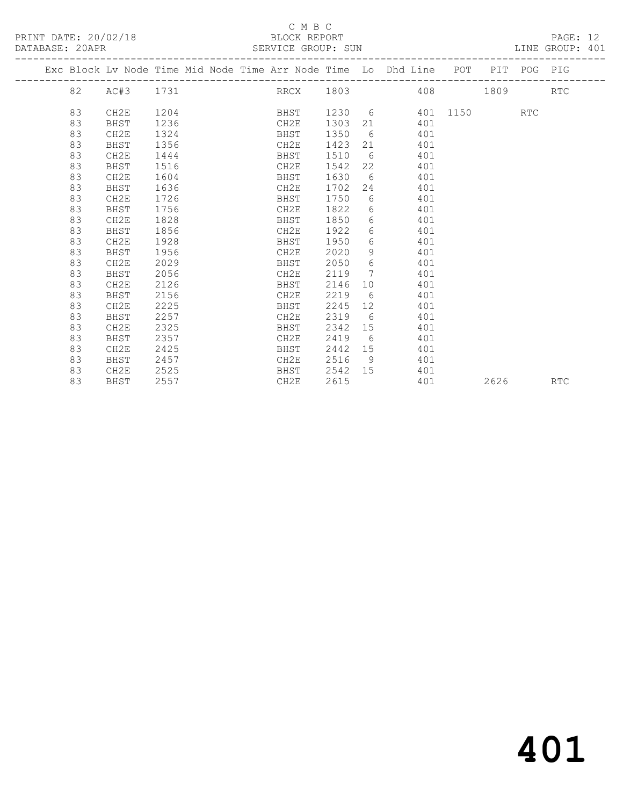## C M B C<br>BLOCK REPORT

SERVICE GROUP: SUN

|  |    | Exc Block Lv Node Time Mid Node Time Arr Node Time Lo Dhd Line POT PIT POG PIG |      |  |      |      |                 |                   |     |                    |      |     |            |
|--|----|--------------------------------------------------------------------------------|------|--|------|------|-----------------|-------------------|-----|--------------------|------|-----|------------|
|  | 82 | AC#3                                                                           | 1731 |  |      |      |                 |                   |     | RRCX 1803 408 1809 |      |     | <b>RTC</b> |
|  |    |                                                                                |      |  |      |      |                 |                   |     |                    |      |     |            |
|  | 83 | CH2E                                                                           | 1204 |  | BHST |      |                 |                   |     | 1230 6 401 1150    |      | RTC |            |
|  | 83 | BHST                                                                           | 1236 |  | CH2E | 1303 |                 |                   | 401 |                    |      |     |            |
|  | 83 | CH2E                                                                           | 1324 |  | BHST | 1350 | $6\overline{6}$ |                   | 401 |                    |      |     |            |
|  | 83 | BHST                                                                           | 1356 |  | CH2E | 1423 | 21              |                   | 401 |                    |      |     |            |
|  | 83 | CH2E                                                                           | 1444 |  | BHST | 1510 | 6               |                   | 401 |                    |      |     |            |
|  | 83 | BHST                                                                           | 1516 |  | CH2E | 1542 | 22              |                   | 401 |                    |      |     |            |
|  | 83 | CH2E                                                                           | 1604 |  | BHST | 1630 |                 | $6\degree$        | 401 |                    |      |     |            |
|  | 83 | BHST                                                                           | 1636 |  | CH2E | 1702 | 24              |                   | 401 |                    |      |     |            |
|  | 83 | CH2E                                                                           | 1726 |  | BHST | 1750 | 6               |                   | 401 |                    |      |     |            |
|  | 83 | BHST                                                                           | 1756 |  | CH2E | 1822 | 6               |                   | 401 |                    |      |     |            |
|  | 83 | CH2E                                                                           | 1828 |  | BHST | 1850 |                 | $6 \quad \sigma$  | 401 |                    |      |     |            |
|  | 83 | BHST                                                                           | 1856 |  | CH2E | 1922 |                 | $6 \qquad \qquad$ | 401 |                    |      |     |            |
|  | 83 | CH2E                                                                           | 1928 |  | BHST | 1950 | 6               |                   | 401 |                    |      |     |            |
|  | 83 | BHST                                                                           | 1956 |  | CH2E | 2020 | 9               |                   | 401 |                    |      |     |            |
|  | 83 | CH2E                                                                           | 2029 |  | BHST | 2050 | 6               |                   | 401 |                    |      |     |            |
|  | 83 | BHST                                                                           | 2056 |  | CH2E | 2119 | $7\phantom{0}$  |                   | 401 |                    |      |     |            |
|  | 83 | CH2E                                                                           | 2126 |  | BHST | 2146 |                 | 10                | 401 |                    |      |     |            |
|  | 83 | BHST                                                                           | 2156 |  | CH2E | 2219 | - 6             |                   | 401 |                    |      |     |            |
|  | 83 | CH2E                                                                           | 2225 |  | BHST | 2245 | 12 <sup>°</sup> |                   | 401 |                    |      |     |            |
|  | 83 | BHST                                                                           | 2257 |  | CH2E | 2319 | 6               |                   | 401 |                    |      |     |            |
|  | 83 | CH2E                                                                           | 2325 |  | BHST | 2342 |                 | 15                | 401 |                    |      |     |            |
|  | 83 | BHST                                                                           | 2357 |  | CH2E | 2419 | 6               |                   | 401 |                    |      |     |            |
|  | 83 | CH2E                                                                           | 2425 |  | BHST | 2442 | 15              |                   | 401 |                    |      |     |            |
|  | 83 | BHST                                                                           | 2457 |  | CH2E | 2516 | - 9             |                   | 401 |                    |      |     |            |
|  | 83 | CH2E                                                                           | 2525 |  | BHST | 2542 | 15              |                   | 401 |                    |      |     |            |
|  | 83 | BHST                                                                           | 2557 |  | CH2E | 2615 |                 |                   | 401 |                    | 2626 |     | <b>RTC</b> |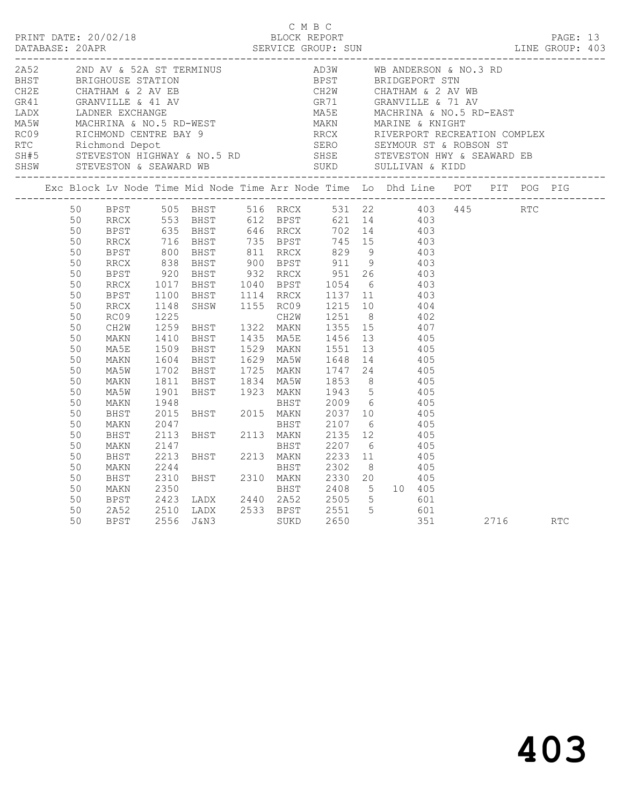|                                                                                |                                                                                                                |                                                                                      |                      |                                                                                                                                                                                                                                                                                                                                                                                                                                                                            | C M B C |  |     |          | PAGE: 13<br>LINE GROUP: 403 |  |
|--------------------------------------------------------------------------------|----------------------------------------------------------------------------------------------------------------|--------------------------------------------------------------------------------------|----------------------|----------------------------------------------------------------------------------------------------------------------------------------------------------------------------------------------------------------------------------------------------------------------------------------------------------------------------------------------------------------------------------------------------------------------------------------------------------------------------|---------|--|-----|----------|-----------------------------|--|
|                                                                                |                                                                                                                |                                                                                      |                      |                                                                                                                                                                                                                                                                                                                                                                                                                                                                            |         |  |     |          |                             |  |
| Exc Block Lv Node Time Mid Node Time Arr Node Time Lo Dhd Line POT PIT POG PIG |                                                                                                                |                                                                                      |                      |                                                                                                                                                                                                                                                                                                                                                                                                                                                                            |         |  |     |          |                             |  |
|                                                                                | 50<br>50<br>50<br>50<br>50<br>50<br>50<br>50<br>50<br>50<br>50<br>50<br>50<br>50<br>50<br>50<br>50<br>50<br>50 | MA5E<br>MAKN<br>MA5W<br>MAKN<br>MA5W<br>MAKN                                         | 1811<br>1901<br>1948 | BPST 505 BHST 516 RRCX 531 22 403 445 RTC<br>RRCX 553 BHST 612 BPST 621 14 403<br>BPST 635 BHST 646 RRCX 702 14 403<br>BPST 635 BHST 646 RRCX 702 14 403<br>RRCX 716 BHST 735 BPST 745 15 403<br>BPST 800 BHST 811 RRCX 829 9 403<br>RRCX 838 BHST 900 BPST 911 9 403<br>BPST 920 BHST 932 RRCX 951 26 403<br>RRCX 1017 BHST 1040 BPST 1054 6 403<br>BPST 1100 BH<br>1509 BHST 1529 MAKN 1551 13 405<br>1604 BHST 1629 MA5W 1648 14 405<br>1702 BHST 1725 MAKN 1747 24 405 |         |  |     |          |                             |  |
|                                                                                | 50<br>50<br>50<br>50<br>50<br>50<br>50<br>50<br>50<br>50<br>50                                                 | BHST<br>MAKN<br>BHST<br>MAKN<br>BHST<br>MAKN<br>BHST<br>MAKN<br>BPST<br>2A52<br>BPST | 2147<br>2213<br>2310 | 1702 BHST 1725 MAKN 1747 24 405<br>1811 BHST 1834 MA5W 1853 8 405<br>1901 BHST 1923 MAKN 1943 5 405<br>1948 BHST 2009 6 405<br>2015 BHST 2015 MAKN 2037 10 405<br>2047 BHST 2107 6 405<br>2113 BHST 2113 MAKN 2135 12 405<br>2147 BHST 2207<br>$2423$ LADX $2440$ 2A52 $2505$ 5 601                                                                                                                                                                                        |         |  | 351 | 2716 RTC |                             |  |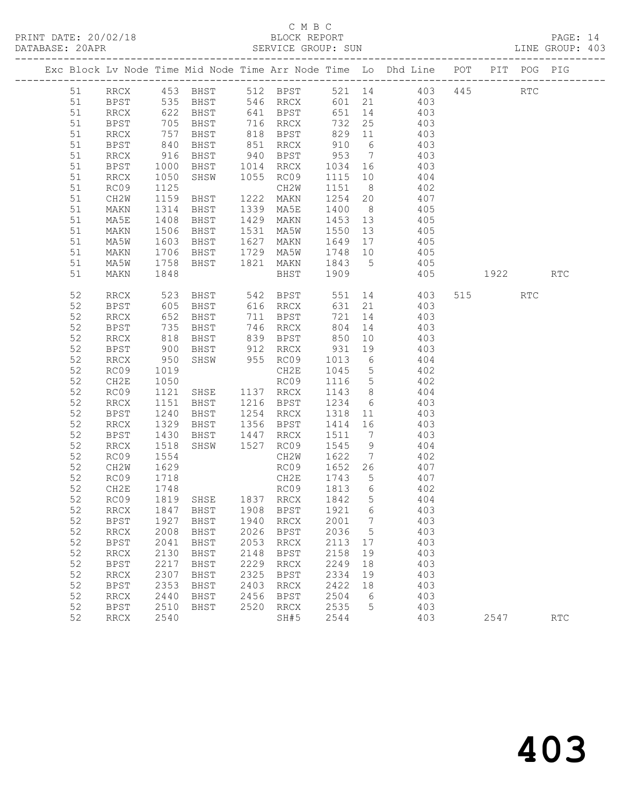|  |          |                              |                                                               |                     |      |                                    |                 |                 | Exc Block Lv Node Time Mid Node Time Arr Node Time Lo Dhd Line POT |     |             | PIT POG PIG          |                             |
|--|----------|------------------------------|---------------------------------------------------------------|---------------------|------|------------------------------------|-----------------|-----------------|--------------------------------------------------------------------|-----|-------------|----------------------|-----------------------------|
|  | 51       | RRCX                         |                                                               | 453 BHST            |      | 512 BPST                           |                 |                 | 521 14 403                                                         | 445 |             | $\operatorname{RTC}$ |                             |
|  | 51       | BPST                         | 535                                                           | BHST                |      | 546 RRCX                           |                 |                 | 601 21 403                                                         |     |             |                      |                             |
|  | 51       | RRCX                         |                                                               | BHST                |      | 641 BPST                           | 651             | 14              | 403                                                                |     |             |                      |                             |
|  | 51       | <b>BPST</b>                  | $\frac{135}{622}$                                             | BHST                |      | 716 RRCX                           | 732             | 25              | $\frac{1}{403}$                                                    |     |             |                      |                             |
|  | 51       | RRCX                         | 757                                                           | BHST                |      | 818 BPST                           | 829 11          |                 | 403                                                                |     |             |                      |                             |
|  | 51       | BPST                         | 840                                                           | BHST                | 851  | RRCX                               | 910             | 6               | 403                                                                |     |             |                      |                             |
|  | 51       | RRCX                         | 916                                                           | BHST                |      | 940 BPST                           | 953             | $\overline{7}$  | 403                                                                |     |             |                      |                             |
|  | 51       | <b>BPST</b>                  | 1000                                                          | BHST                |      | 1014 RRCX                          | 1034            | 16              | 403                                                                |     |             |                      |                             |
|  | 51       | RRCX                         | 1050                                                          | SHSW                |      | 1055 RC09                          | 1115 10         |                 | 404                                                                |     |             |                      |                             |
|  | 51       | RC09                         | 1125                                                          |                     |      | CH2W                               | 1151            | 8 <sup>8</sup>  | 402                                                                |     |             |                      |                             |
|  | 51       | CH2W                         | 1159                                                          | BHST                |      | 1222 MAKN                          | 1254 20         |                 | 407                                                                |     |             |                      |                             |
|  | 51       | MAKN                         | 1314                                                          | BHST                |      | 1339 MA5E                          | 1400            | 8 <sup>8</sup>  | 405                                                                |     |             |                      |                             |
|  | 51       | MA5E                         | 1408                                                          | BHST                | 1429 | MAKN                               | 1453 13         |                 | 405                                                                |     |             |                      |                             |
|  | 51       | MAKN                         | 1506                                                          | BHST                | 1531 | MA5W                               | 1550            | 13              | 405                                                                |     |             |                      |                             |
|  | 51       | MA5W                         | 1603                                                          | BHST                | 1627 | MAKN                               | 1649            | 17              | 405                                                                |     |             |                      |                             |
|  | 51       | MAKN                         | 1706                                                          | BHST                | 1729 | MA5W                               | 1748 10         |                 | 405                                                                |     |             |                      |                             |
|  | 51       | MA5W                         | 1758                                                          | BHST                | 1821 | MAKN                               | 1843 5          |                 | 405                                                                |     |             |                      |                             |
|  | 51       | MAKN                         | 1848                                                          |                     |      | BHST                               | 1909            |                 | 405                                                                |     | 1922   1922 |                      | $\mathop{\rm RTC}\nolimits$ |
|  | 52       | RRCX                         | 523                                                           | BHST                |      | 542 BPST                           |                 |                 | 551 14 403                                                         |     | 515         | RTC                  |                             |
|  | 52       | BPST                         | 605                                                           | BHST                |      | 616 RRCX                           | 631             |                 | 21<br>403                                                          |     |             |                      |                             |
|  | 52       | RRCX                         | 652                                                           | BHST                |      | 711 BPST                           | 721             | 14              | 403                                                                |     |             |                      |                             |
|  | 52       | <b>BPST</b>                  | $\begin{array}{c}\n 1 \\  818 \\  \hline\n 200\n \end{array}$ | BHST                |      | 746 RRCX                           | 804             | 14              | 403                                                                |     |             |                      |                             |
|  | 52       | RRCX                         |                                                               | BHST                |      | 839 BPST                           | 850             | 10              | 403                                                                |     |             |                      |                             |
|  | 52       | BPST                         | 900                                                           | BHST                |      | 912 RRCX                           | 931             | 19              | 403                                                                |     |             |                      |                             |
|  | 52       | RRCX                         | 950                                                           | SHSW                |      | 955 RC09                           | 1013            | $6\overline{6}$ | 404                                                                |     |             |                      |                             |
|  | 52       | RC09                         | 1019                                                          |                     |      | CH2E                               | 1045            | $5\overline{)}$ | 402                                                                |     |             |                      |                             |
|  | 52       | CH2E                         | 1050                                                          |                     |      | RC09                               | 1116            | 5 <sup>5</sup>  | 402                                                                |     |             |                      |                             |
|  | 52       | RC09                         | 1121                                                          | SHSE                |      | 1137 RRCX                          | 1143 8          |                 | 404                                                                |     |             |                      |                             |
|  | 52       | RRCX                         | 1151                                                          | BHST                |      | 1216 BPST                          | 1234            | 6               | 403                                                                |     |             |                      |                             |
|  | 52<br>52 | BPST<br>RRCX                 | 1240<br>1329                                                  | BHST<br>BHST        |      | 1254 RRCX<br>1356 BPST             | 1318<br>1414 16 | 11              | 403<br>403                                                         |     |             |                      |                             |
|  | 52       | <b>BPST</b>                  | 1430                                                          | BHST                |      | 1447 RRCX                          | 1511            | $7\overline{ }$ | 403                                                                |     |             |                      |                             |
|  | 52       | <b>RRCX</b>                  | 1518                                                          | SHSW                |      | 1527 RC09                          | 1545            | 9               | 404                                                                |     |             |                      |                             |
|  | 52       | RC09                         | 1554                                                          |                     |      | CH2W                               | 1622            | $7\overline{ }$ | 402                                                                |     |             |                      |                             |
|  | 52       | CH2W                         | 1629                                                          |                     |      | RC09                               | 1652 26         |                 | 407                                                                |     |             |                      |                             |
|  | 52       | RC09                         | 1718                                                          |                     |      | CH2E                               | 1743 5          |                 | 407                                                                |     |             |                      |                             |
|  | 52       | CH2E                         | 1748                                                          |                     |      | RC09 1813 6                        |                 |                 | 402                                                                |     |             |                      |                             |
|  | 52       | RC09                         |                                                               | 1819 SHSE 1837 RRCX |      |                                    | 1842 5          |                 | 404                                                                |     |             |                      |                             |
|  |          |                              |                                                               |                     |      | 52 RRCX 1847 BHST 1908 BPST 1921 6 |                 |                 | 403                                                                |     |             |                      |                             |
|  | 52       | <b>BPST</b>                  | 1927                                                          | BHST                | 1940 | <b>RRCX</b>                        | 2001            | 7               | 403                                                                |     |             |                      |                             |
|  | 52       | <b>RRCX</b>                  | 2008                                                          | BHST                | 2026 | <b>BPST</b>                        | 2036            | 5               | 403                                                                |     |             |                      |                             |
|  | 52       | <b>BPST</b>                  | 2041                                                          | BHST                | 2053 | <b>RRCX</b>                        | 2113            | 17              | 403                                                                |     |             |                      |                             |
|  | 52       | <b>RRCX</b>                  | 2130                                                          | <b>BHST</b>         | 2148 | <b>BPST</b>                        | 2158            | 19              | 403                                                                |     |             |                      |                             |
|  | 52       | <b>BPST</b>                  | 2217                                                          | <b>BHST</b>         | 2229 | <b>RRCX</b>                        | 2249            | 18              | 403                                                                |     |             |                      |                             |
|  | 52       | $\mathop{\rm RRCX}\nolimits$ | 2307                                                          | BHST                | 2325 | <b>BPST</b>                        | 2334            | 19              | 403                                                                |     |             |                      |                             |
|  | 52       | <b>BPST</b>                  | 2353                                                          | BHST                | 2403 | <b>RRCX</b>                        | 2422            | 18              | 403                                                                |     |             |                      |                             |
|  | 52       | <b>RRCX</b>                  | 2440                                                          | <b>BHST</b>         | 2456 | <b>BPST</b>                        | 2504            | 6               | 403                                                                |     |             |                      |                             |
|  | 52       | <b>BPST</b>                  | 2510                                                          | BHST                | 2520 | <b>RRCX</b>                        | 2535            | 5               | 403                                                                |     |             |                      |                             |
|  | 52       | <b>RRCX</b>                  | 2540                                                          |                     |      | SH#5                               | 2544            |                 | 403                                                                |     | 2547        |                      | RTC                         |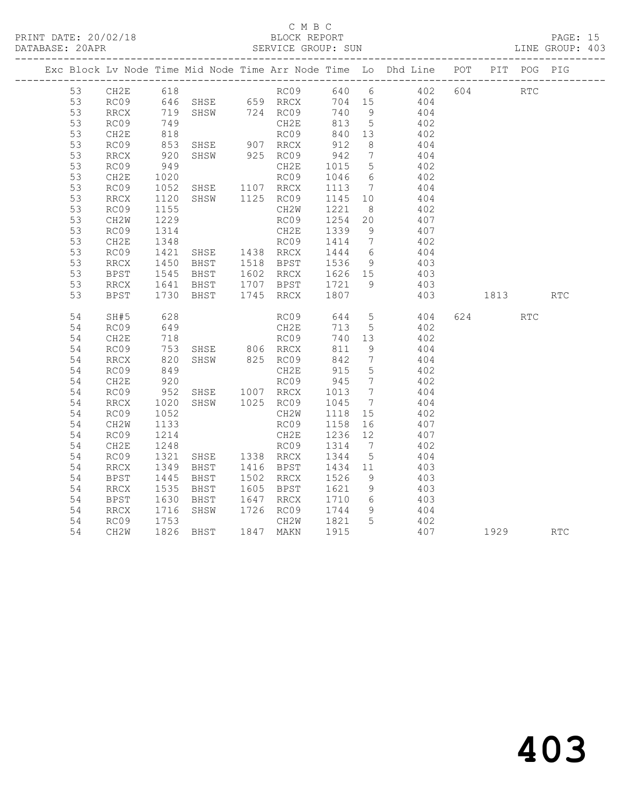## C M B C<br>BLOCK REPORT

|  | DATABASE: 20APR |                          | -------------------                             |                                                                                               | SERVICE GROUP: SUN |                  |                 |                                                                                |              |     | LINE GROUP: 403 |
|--|-----------------|--------------------------|-------------------------------------------------|-----------------------------------------------------------------------------------------------|--------------------|------------------|-----------------|--------------------------------------------------------------------------------|--------------|-----|-----------------|
|  |                 |                          |                                                 |                                                                                               |                    |                  |                 | Exc Block Lv Node Time Mid Node Time Arr Node Time Lo Dhd Line POT PIT POG PIG |              |     |                 |
|  | 53              |                          |                                                 |                                                                                               |                    |                  |                 | CH2E 618<br>RC09 640 659<br>RC09 646 SHSE 659 RRCX 704 15 404                  | 604 RTC      |     |                 |
|  | 53              |                          |                                                 |                                                                                               |                    |                  |                 |                                                                                |              |     |                 |
|  | 53              | RRCX                     |                                                 |                                                                                               |                    |                  |                 | 719 SHSW 724 RC09 740 9 404<br>749 CH2E 813 5 402<br>818 RC09 840 13 402       |              |     |                 |
|  | 53              | RC09                     |                                                 |                                                                                               |                    |                  |                 |                                                                                |              |     |                 |
|  | 53              | CH2E                     |                                                 |                                                                                               |                    |                  |                 |                                                                                |              |     |                 |
|  | 53              | RC09                     | 853<br>920                                      | SHSE 907 RRCX<br>SHSW 925 RC09                                                                |                    | 912<br>942       | 8 <sup>8</sup>  | 404                                                                            |              |     |                 |
|  | 53              | RRCX                     |                                                 |                                                                                               |                    |                  | $7\overline{ }$ | 404                                                                            |              |     |                 |
|  | 53              | RC09                     | 949                                             |                                                                                               | CH2E               | 1015             | 5 <sup>5</sup>  | 402                                                                            |              |     |                 |
|  | 53              | CH2E                     | 1020<br>1052                                    | RC09<br>SHSE 1107 RRCX                                                                        | RC09               |                  |                 | 1046 6 402<br>1113 7 404                                                       |              |     |                 |
|  | 53              | RC09                     |                                                 |                                                                                               |                    |                  |                 |                                                                                |              |     |                 |
|  | 53              | RRCX                     | 1120<br>1155                                    | SHSW 1125 RC09                                                                                |                    | 1145 10          |                 | 404                                                                            |              |     |                 |
|  | 53              | RC09                     |                                                 |                                                                                               | CH2W               | 1221             | 8 <sup>8</sup>  | 402                                                                            |              |     |                 |
|  | 53              | CH2W                     | 1229                                            |                                                                                               | RC09               | 1254             | 20              | 407                                                                            |              |     |                 |
|  | 53              | RC09                     | 1314                                            |                                                                                               |                    |                  |                 | CH2E 1339 9 407<br>RC09 1414 7 402                                             |              |     |                 |
|  | 53              | CH2E                     | $\begin{array}{c}\n1348 \\ \hline\n\end{array}$ |                                                                                               |                    |                  |                 |                                                                                |              |     |                 |
|  | 53              | RC09                     | 1421<br>1450                                    | CHZE<br>RC09<br>SHSE 1438 RRCX<br>TE19 RPST<br>SHSE 1438 RRCX 1444 6<br>BHST 1518 BPST 1536 9 |                    |                  |                 | 404                                                                            |              |     |                 |
|  | 53              | RRCX                     |                                                 |                                                                                               |                    |                  |                 | 403                                                                            |              |     |                 |
|  | 53              | BPST                     |                                                 |                                                                                               |                    |                  |                 | 1545 BHST 1602 RRCX 1626 15 403                                                |              |     |                 |
|  | 53              | RRCX                     |                                                 | 1641 BHST 1707 BPST 1721 9<br>1730 BHST 1745 RRCX 1807                                        |                    |                  |                 | 403                                                                            |              |     |                 |
|  | 53              | BPST                     |                                                 |                                                                                               |                    |                  |                 |                                                                                | 403 1813 RTC |     |                 |
|  | 54              | SH#5                     | 628                                             |                                                                                               |                    |                  |                 | RC09 644 5 404                                                                 | 624 62       | RTC |                 |
|  | 54              | RC09                     | 649                                             |                                                                                               | CH2E               | 713 5            |                 | 402                                                                            |              |     |                 |
|  | 54              | CH2E                     |                                                 |                                                                                               | RC09<br>RRCX       | 740 13           |                 | 402                                                                            |              |     |                 |
|  | 54              | RC09                     |                                                 |                                                                                               |                    | 811 9            |                 | 404                                                                            |              |     |                 |
|  | 54              | $\mathop{\mathrm{RRCX}}$ |                                                 |                                                                                               |                    | 842              | $\overline{7}$  | 404                                                                            |              |     |                 |
|  | 54              | RC09                     | 849<br>920                                      |                                                                                               | CH2E               | 915<br>945       | $5\overline{)}$ | 402                                                                            |              |     |                 |
|  | 54              | CH2E                     |                                                 |                                                                                               | RC09               |                  | $\overline{7}$  | $\frac{1}{4}$ 0 2                                                              |              |     |                 |
|  | 54              | RC09                     | 952<br>1020                                     | CHZE<br>RCO9<br>SHSE 1007 RRCX<br>SHSW 1025 RCO9                                              |                    | 1013 7<br>1045 7 |                 | 404                                                                            |              |     |                 |
|  | 54              | RRCX                     |                                                 |                                                                                               |                    |                  |                 | 404                                                                            |              |     |                 |
|  | 54              | RC09                     | 1052                                            |                                                                                               | CH2W               | 1118 15          |                 | 402                                                                            |              |     |                 |
|  | 54              | CH2W                     | 1133                                            |                                                                                               | RC09               | 1158             | 16              | 407                                                                            |              |     |                 |
|  | 54              | RC09                     | 1214                                            |                                                                                               | CH2E               | 1236 12          |                 | 407                                                                            |              |     |                 |
|  | 54              | CH2E                     | 1248                                            | SHSE 1338 RCO9                                                                                |                    | 1314             | $7\overline{ }$ | 402                                                                            |              |     |                 |
|  | 54              | RC09                     | 1321                                            |                                                                                               |                    | 1344 5           |                 | 404                                                                            |              |     |                 |
|  | 54              | RRCX                     | 1349                                            | BHST 1416 BPST                                                                                |                    | 1434 11          |                 | 403                                                                            |              |     |                 |
|  | 54              | <b>BPST</b>              | 1445<br>1535                                    | BHST                                                                                          | 1502 RRCX          | 1526 9<br>1621 9 |                 | 403                                                                            |              |     |                 |
|  | 54              | RRCX                     |                                                 | BHST                                                                                          | 1605 BPST          |                  |                 | 403                                                                            |              |     |                 |
|  | 54              | BPST                     | 1630<br>1716                                    | BHST 1647 RRCX 1710 6<br>SHSW 1726 RC09 1744 9                                                |                    |                  |                 | 1710 6 403                                                                     |              |     |                 |
|  | 54              | RRCX                     |                                                 |                                                                                               |                    |                  |                 | 404                                                                            |              |     |                 |
|  | 54              | RC09                     | $\frac{1}{1753}$                                |                                                                                               | CH2W 1821 5        |                  |                 | 402                                                                            |              |     |                 |
|  | 54              | CH2W                     |                                                 | 1826 BHST 1847 MAKN 1915                                                                      |                    |                  |                 | 407 1929                                                                       |              |     | <b>RTC</b>      |
|  |                 |                          |                                                 |                                                                                               |                    |                  |                 |                                                                                |              |     |                 |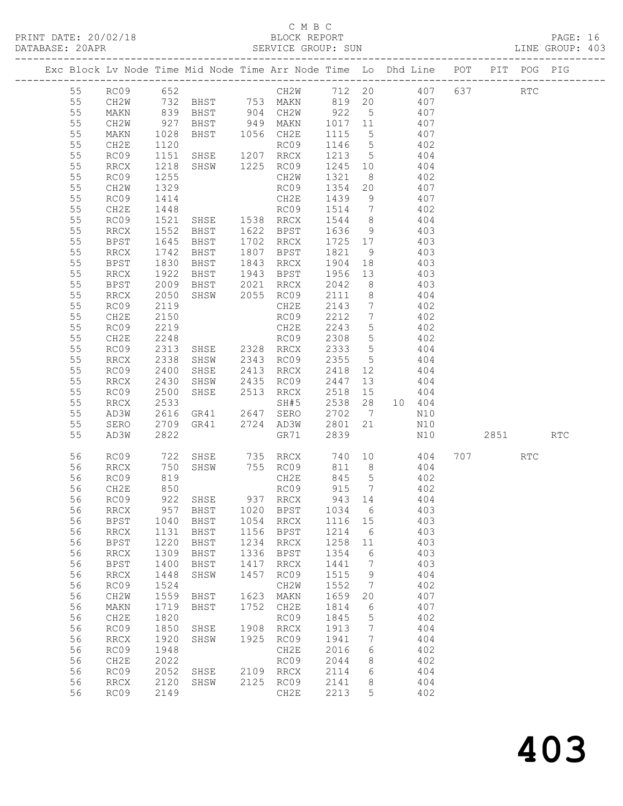| Exc Block Lv Node Time Mid Node Time Arr Node Time Lo Dhd Line POT PIT POG PIG<br>55 RC09 652<br>55 RM 732 BHST 753 MAKN 819 20 407 637<br>55 MAKN 839 BHST 994 CH2W 922 5<br>55 MAKN 10028 BHST 949 MAKN 1017 11<br>55 MAKN 1028 BHST 1 |          |                                             |              | Exc Block Lv Node Time Mid Node Time Arr Node Time Lo Dhd Line POT PIT POG PIG |             |                                                                                                                                                                                                                                                  |                |         |              |  |     |  |
|------------------------------------------------------------------------------------------------------------------------------------------------------------------------------------------------------------------------------------------|----------|---------------------------------------------|--------------|--------------------------------------------------------------------------------|-------------|--------------------------------------------------------------------------------------------------------------------------------------------------------------------------------------------------------------------------------------------------|----------------|---------|--------------|--|-----|--|
|                                                                                                                                                                                                                                          |          |                                             |              |                                                                                |             |                                                                                                                                                                                                                                                  |                |         |              |  |     |  |
|                                                                                                                                                                                                                                          |          |                                             |              |                                                                                |             |                                                                                                                                                                                                                                                  |                |         |              |  |     |  |
|                                                                                                                                                                                                                                          |          |                                             |              |                                                                                |             |                                                                                                                                                                                                                                                  |                |         |              |  |     |  |
|                                                                                                                                                                                                                                          |          |                                             |              |                                                                                |             |                                                                                                                                                                                                                                                  |                |         |              |  |     |  |
|                                                                                                                                                                                                                                          |          |                                             |              |                                                                                |             |                                                                                                                                                                                                                                                  |                |         |              |  |     |  |
|                                                                                                                                                                                                                                          |          |                                             |              |                                                                                |             |                                                                                                                                                                                                                                                  |                |         |              |  |     |  |
|                                                                                                                                                                                                                                          |          |                                             |              |                                                                                |             |                                                                                                                                                                                                                                                  |                |         |              |  |     |  |
|                                                                                                                                                                                                                                          |          |                                             |              |                                                                                |             |                                                                                                                                                                                                                                                  |                |         |              |  |     |  |
|                                                                                                                                                                                                                                          |          |                                             |              |                                                                                |             |                                                                                                                                                                                                                                                  |                |         |              |  |     |  |
|                                                                                                                                                                                                                                          |          |                                             |              |                                                                                |             |                                                                                                                                                                                                                                                  |                |         |              |  |     |  |
|                                                                                                                                                                                                                                          |          |                                             |              |                                                                                |             |                                                                                                                                                                                                                                                  |                |         |              |  |     |  |
|                                                                                                                                                                                                                                          |          |                                             |              |                                                                                |             |                                                                                                                                                                                                                                                  |                |         |              |  |     |  |
|                                                                                                                                                                                                                                          |          |                                             |              |                                                                                |             |                                                                                                                                                                                                                                                  |                |         |              |  |     |  |
|                                                                                                                                                                                                                                          |          |                                             |              |                                                                                |             |                                                                                                                                                                                                                                                  |                |         |              |  |     |  |
|                                                                                                                                                                                                                                          |          |                                             |              |                                                                                |             |                                                                                                                                                                                                                                                  |                |         |              |  |     |  |
|                                                                                                                                                                                                                                          | 55       | BPST                                        | 1830         |                                                                                |             |                                                                                                                                                                                                                                                  |                |         |              |  |     |  |
|                                                                                                                                                                                                                                          | 55       | RRCX                                        |              |                                                                                |             |                                                                                                                                                                                                                                                  |                |         |              |  |     |  |
|                                                                                                                                                                                                                                          | 55       | BPST                                        | 1922<br>2009 |                                                                                |             |                                                                                                                                                                                                                                                  |                |         |              |  |     |  |
|                                                                                                                                                                                                                                          | 55       | RRCX                                        | 2050         |                                                                                |             |                                                                                                                                                                                                                                                  |                |         |              |  |     |  |
|                                                                                                                                                                                                                                          | 55       | RC09                                        | 2119         |                                                                                |             |                                                                                                                                                                                                                                                  |                |         |              |  |     |  |
|                                                                                                                                                                                                                                          | 55       | CH2E                                        |              |                                                                                |             |                                                                                                                                                                                                                                                  |                |         |              |  |     |  |
|                                                                                                                                                                                                                                          | 55       | RC09                                        | 2150<br>2219 |                                                                                |             |                                                                                                                                                                                                                                                  |                |         |              |  |     |  |
|                                                                                                                                                                                                                                          | 55       | CH2E                                        | 2248         |                                                                                |             |                                                                                                                                                                                                                                                  |                |         |              |  |     |  |
|                                                                                                                                                                                                                                          | 55       | RC09                                        | 2313         | RC09<br>CH2E<br>SHSE 2328 RRCX<br>CHE 2343 RC09                                |             |                                                                                                                                                                                                                                                  |                |         |              |  |     |  |
|                                                                                                                                                                                                                                          | 55       | RRCX                                        |              |                                                                                |             | BHST 1807 BPST 1821 9 403<br>BHST 1843 RRCX 1904 18 403<br>BHST 1943 BPST 1956 13 403<br>BHST 2021 RRCX 2042 8 403<br>SHSW 2055 RC09 2111 8 404<br>CH2E 2143 7 402<br>RC09 2212 7 402<br>CH2E 2243 5 402<br>RC09 2308 5 402<br>RSE 2328 RRCX 233 |                |         |              |  |     |  |
|                                                                                                                                                                                                                                          | 55       | RC09                                        | 2338<br>2400 |                                                                                |             |                                                                                                                                                                                                                                                  |                |         |              |  |     |  |
|                                                                                                                                                                                                                                          | 55       | RRCX                                        | 2430         |                                                                                |             |                                                                                                                                                                                                                                                  |                |         |              |  |     |  |
|                                                                                                                                                                                                                                          | 55       | RC09                                        | 2500         | SHSE 2513 RRCX                                                                 |             |                                                                                                                                                                                                                                                  | 2518 15        |         | 404          |  |     |  |
|                                                                                                                                                                                                                                          | 55       | RRCX                                        | 2533<br>2616 |                                                                                |             |                                                                                                                                                                                                                                                  | 2538 28 10 404 |         |              |  |     |  |
|                                                                                                                                                                                                                                          | 55       | AD3W                                        |              |                                                                                |             |                                                                                                                                                                                                                                                  | 2702 7         |         | N10          |  |     |  |
|                                                                                                                                                                                                                                          | 55       | SERO                                        | 2709         | SH#5<br>GR41 2647 SERO<br>GR41 2724 AD3W                                       |             |                                                                                                                                                                                                                                                  | 2801 21        |         | N10          |  |     |  |
|                                                                                                                                                                                                                                          | 55       | AD3W                                        | 2822         |                                                                                |             | GR71                                                                                                                                                                                                                                             | 2839           |         | N10 2851 RTC |  |     |  |
|                                                                                                                                                                                                                                          | 56       |                                             |              |                                                                                |             |                                                                                                                                                                                                                                                  |                |         |              |  | RTC |  |
|                                                                                                                                                                                                                                          | 56       |                                             |              |                                                                                |             |                                                                                                                                                                                                                                                  |                |         |              |  |     |  |
|                                                                                                                                                                                                                                          | 56       | RC09                                        | 819          |                                                                                |             | CH2E 845 5 402                                                                                                                                                                                                                                   |                |         |              |  |     |  |
|                                                                                                                                                                                                                                          | 56 CH2E  |                                             | 850          |                                                                                |             | RC09                                                                                                                                                                                                                                             | 915 7          |         | 402          |  |     |  |
|                                                                                                                                                                                                                                          | 56<br>56 | RC09                                        | 922<br>957   | SHSE                                                                           | 937<br>1020 | RRCX<br><b>BPST</b>                                                                                                                                                                                                                              | 943<br>1034    | 14      | 404<br>403   |  |     |  |
|                                                                                                                                                                                                                                          | 56       | $\mathop{\rm RRCX}\nolimits$<br><b>BPST</b> | 1040         | BHST<br>BHST                                                                   | 1054        | RRCX                                                                                                                                                                                                                                             | 1116           | 6<br>15 | 403          |  |     |  |
|                                                                                                                                                                                                                                          | 56       | RRCX                                        | 1131         | BHST                                                                           | 1156        | BPST                                                                                                                                                                                                                                             | 1214           | 6       | 403          |  |     |  |
|                                                                                                                                                                                                                                          | 56       | <b>BPST</b>                                 | 1220         | BHST                                                                           | 1234        | <b>RRCX</b>                                                                                                                                                                                                                                      | 1258           | 11      | 403          |  |     |  |
|                                                                                                                                                                                                                                          | 56       | RRCX                                        | 1309         | $_{\rm BHST}$                                                                  | 1336        | <b>BPST</b>                                                                                                                                                                                                                                      | 1354           | 6       | 403          |  |     |  |
|                                                                                                                                                                                                                                          | 56       | <b>BPST</b>                                 | 1400         | BHST                                                                           | 1417        | RRCX                                                                                                                                                                                                                                             | 1441           | 7       | 403          |  |     |  |
|                                                                                                                                                                                                                                          | 56       | RRCX                                        | 1448         | SHSW                                                                           | 1457        | RC09                                                                                                                                                                                                                                             | 1515           | 9       | 404          |  |     |  |
|                                                                                                                                                                                                                                          | 56       | RC09                                        | 1524         |                                                                                |             | CH2W                                                                                                                                                                                                                                             | 1552           | 7       | 402          |  |     |  |
|                                                                                                                                                                                                                                          | 56       | CH2W                                        | 1559         | BHST                                                                           | 1623        | MAKN                                                                                                                                                                                                                                             | 1659           | 20      | 407          |  |     |  |
|                                                                                                                                                                                                                                          | 56       | MAKN                                        | 1719         | BHST                                                                           | 1752        | CH2E                                                                                                                                                                                                                                             | 1814           | 6       | 407          |  |     |  |
|                                                                                                                                                                                                                                          | 56       | CH2E                                        | 1820         |                                                                                |             | RC09                                                                                                                                                                                                                                             | 1845           | 5       | 402          |  |     |  |
|                                                                                                                                                                                                                                          | 56       | RC09                                        | 1850         | SHSE                                                                           | 1908        | RRCX                                                                                                                                                                                                                                             | 1913           | 7       | 404          |  |     |  |
|                                                                                                                                                                                                                                          | 56       | $\mathop{\rm RRCX}\nolimits$                | 1920         | SHSW                                                                           | 1925        | RC09                                                                                                                                                                                                                                             | 1941           | 7       | 404          |  |     |  |
|                                                                                                                                                                                                                                          | 56       | RC09                                        | 1948         |                                                                                |             | CH2E                                                                                                                                                                                                                                             | 2016           | 6       | 402          |  |     |  |
|                                                                                                                                                                                                                                          | 56       | CH2E                                        | 2022         |                                                                                |             | RC09                                                                                                                                                                                                                                             | 2044           | 8       | 402          |  |     |  |
|                                                                                                                                                                                                                                          | 56       | RC09                                        | 2052         | SHSE                                                                           | 2109        | $\mathop{\mathrm{RRCX}}$                                                                                                                                                                                                                         | 2114           | 6       | 404          |  |     |  |
|                                                                                                                                                                                                                                          | 56       | $\mathop{\rm RRCX}\nolimits$                | 2120         | SHSW                                                                           | 2125        | RC09                                                                                                                                                                                                                                             | 2141           | 8       | 404          |  |     |  |
|                                                                                                                                                                                                                                          | 56       | RC09                                        | 2149         |                                                                                |             | CH2E                                                                                                                                                                                                                                             | 2213           | 5       | 402          |  |     |  |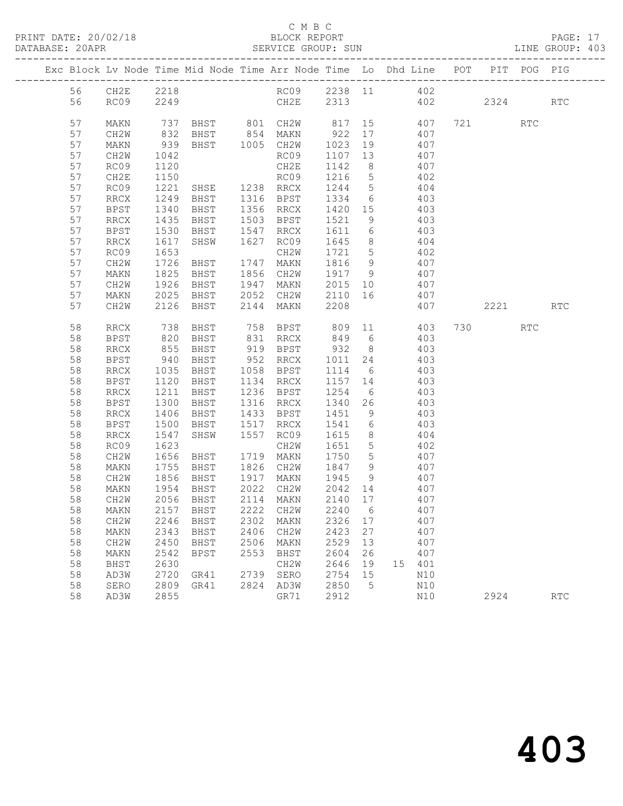| DATABASE: 20APR |          | -------------------- |                   |                                                                                |      | SERVICE GROUP: SUN                                                              |        |     |                            |     |      |     | LINE GROUP: 403 |
|-----------------|----------|----------------------|-------------------|--------------------------------------------------------------------------------|------|---------------------------------------------------------------------------------|--------|-----|----------------------------|-----|------|-----|-----------------|
|                 |          |                      |                   | Exc Block Lv Node Time Mid Node Time Arr Node Time Lo Dhd Line POT PIT POG PIG |      |                                                                                 |        |     |                            |     |      |     |                 |
|                 | 56       |                      |                   | CH2E 2218 RC09 2238 11 402                                                     |      |                                                                                 |        |     |                            |     |      |     |                 |
|                 | 56       |                      |                   | RC09 2249 CH2E 2313 402 2324 RTC                                               |      |                                                                                 |        |     |                            |     |      |     |                 |
|                 | 57       | MAKN                 |                   | 737 BHST 801 CH2W 817 15 407 721 RTC<br>832 BHST 854 MAKN 922 17 407           |      |                                                                                 |        |     |                            |     |      |     |                 |
|                 | 57       | CH2W                 |                   |                                                                                |      |                                                                                 |        |     |                            |     |      |     |                 |
|                 | 57       | MAKN                 | 939               |                                                                                |      | BHST 1005 CH2W 1023 19 407                                                      |        |     |                            |     |      |     |                 |
|                 | 57       | CH2W                 | 1042              |                                                                                |      | RC09                                                                            |        |     | 1107 13 407                |     |      |     |                 |
|                 | 57       | RC09                 | 1120              |                                                                                |      |                                                                                 | 1142 8 |     |                            | 407 |      |     |                 |
|                 | 57       | CH2E                 | 1150              | CH2E<br>RC09<br>SHSE 1238 RRCX                                                 |      | RC09 $\frac{1}{1216}$ 5 $\frac{107}{402}$                                       |        |     |                            |     |      |     |                 |
|                 | 57       | RC09                 | 1221              |                                                                                |      |                                                                                 |        |     | 1244 5 404                 |     |      |     |                 |
|                 | 57       | RRCX                 | 1249              |                                                                                |      | BHST 1316 BPST 1334 6 403                                                       |        |     |                            |     |      |     |                 |
|                 | 57       | BPST                 | 1340<br>1435      |                                                                                |      | BHST 1356 RRCX 1420 15<br>BHST 1503 BPST 1521 9                                 |        |     | 403<br>403                 |     |      |     |                 |
|                 | 57       | RRCX                 |                   |                                                                                |      |                                                                                 |        |     |                            |     |      |     |                 |
|                 | 57       | BPST                 | 1530              | BHST 1547 RRCX                                                                 |      |                                                                                 |        |     | 1611 6 403                 |     |      |     |                 |
|                 | 57       | RRCX                 | 1617              | SHSW                                                                           |      | 1627 RC09 1645 8 404                                                            |        |     |                            |     |      |     |                 |
|                 | 57       | RC09                 | 1653<br>1726      |                                                                                |      |                                                                                 |        |     | 1721 5 402<br>1816 9 407   |     |      |     |                 |
|                 | 57       | CH2W                 |                   |                                                                                |      |                                                                                 |        |     |                            |     |      |     |                 |
|                 | 57       | MAKN                 | 1825              |                                                                                |      | BHST 1856 CH2W 1917 9 407                                                       |        |     |                            |     |      |     |                 |
|                 | 57       | CH2W                 | 1926              |                                                                                |      | BHST 1947 MAKN 2015 10 407                                                      |        |     |                            |     |      |     |                 |
|                 | 57       | MAKN                 | 2025              | 2025 BHST 2052 CH2W 2110 16 407<br>2126 BHST 2144 MAKN 2208 407                |      |                                                                                 |        |     |                            |     |      |     |                 |
|                 | 57       | CH2W                 |                   |                                                                                |      |                                                                                 |        |     |                            | 407 | 2221 |     | <b>RTC</b>      |
|                 | 58       | RRCX                 | 738               |                                                                                |      | BHST 758 BPST 809 11 403                                                        |        |     |                            |     | 730  | RTC |                 |
|                 | 58       | BPST                 |                   |                                                                                |      |                                                                                 |        |     |                            | 403 |      |     |                 |
|                 | 58       | RRCX                 | 820<br>855<br>940 |                                                                                |      | BHST 831 RRCX 849 6 403<br>BHST 919 BPST 932 8 403<br>BHST 952 RRCX 1011 24 403 |        |     |                            |     |      |     |                 |
|                 | 58       | BPST                 |                   |                                                                                |      |                                                                                 |        |     |                            |     |      |     |                 |
|                 | 58       | RRCX                 | 1035              |                                                                                |      | BHST 1058 BPST 1114 6 403                                                       |        |     |                            |     |      |     |                 |
|                 | 58       | <b>BPST</b>          | 1120<br>1211      |                                                                                |      | BHST 1134 RRCX 1157 14 403<br>BHST 1236 BPST 1254 6 403                         |        |     |                            |     |      |     |                 |
|                 | 58       | RRCX                 |                   |                                                                                |      |                                                                                 |        |     | $\frac{1251}{1340}$ 26 403 |     |      |     |                 |
|                 | 58       | BPST                 | 1300              | <b>BHST</b>                                                                    |      | 1316 RRCX                                                                       |        |     |                            |     |      |     |                 |
|                 | 58       | RRCX                 | 1406              |                                                                                |      | BHST 1433 BPST 1451 9 403                                                       |        |     |                            |     |      |     |                 |
|                 | 58       | BPST                 | 1500              | BHST 1517 RRCX                                                                 |      | SHSW 1557 RC09                                                                  |        |     | 1541 6 403                 |     |      |     |                 |
|                 | 58       | RRCX                 | 1547<br>1623      |                                                                                |      |                                                                                 | 1615 8 |     | $1651$ 5 402               | 404 |      |     |                 |
|                 | 58<br>58 | RC09                 | 1656              |                                                                                |      | CH2W<br>BHST 1719 MAKN 1750 5 407                                               |        |     |                            |     |      |     |                 |
|                 | 58       | CH2W<br>MAKN         |                   |                                                                                |      | BHST 1826 CH2W 1847 9 407                                                       |        |     |                            |     |      |     |                 |
|                 | 58       | CH2W                 |                   | 1755 BHST<br>1856 BHST<br>1954 BHST                                            |      |                                                                                 |        |     |                            |     |      |     |                 |
|                 | 58       | MAKN                 |                   |                                                                                |      | BHST 1917 MAKN 1945 9<br>BHST 2022 CH2W 2042 14                                 |        |     | 1945 9 407<br>2042 14 407  |     |      |     |                 |
|                 | 58       |                      |                   | CH2W 2056 BHST 2114 MAKN 2140 17 407                                           |      |                                                                                 |        |     |                            |     |      |     |                 |
|                 | 58       | MAKN                 | 2157              | BHST                                                                           | 2222 | CH2W                                                                            | 2240   | - 6 |                            | 407 |      |     |                 |
|                 | 58       | CH2W                 | 2246              | BHST                                                                           | 2302 | MAKN                                                                            | 2326   | 17  |                            | 407 |      |     |                 |
|                 | 58       | MAKN                 | 2343              | BHST                                                                           | 2406 | CH2W                                                                            | 2423   | 27  |                            | 407 |      |     |                 |
|                 | 58       | CH2W                 | 2450              | BHST                                                                           | 2506 | MAKN                                                                            | 2529   | 13  |                            | 407 |      |     |                 |
|                 | 58       | MAKN                 | 2542              | BPST                                                                           | 2553 | BHST                                                                            | 2604   | 26  |                            | 407 |      |     |                 |
|                 | 58       | BHST                 | 2630              |                                                                                |      | CH2W                                                                            | 2646   | 19  | 15 401                     |     |      |     |                 |
|                 | 58       | AD3W                 | 2720              | GR41                                                                           |      | 2739 SERO                                                                       | 2754   | 15  |                            | N10 |      |     |                 |
|                 | 58       | SERO                 | 2809              | GR41                                                                           |      | 2824 AD3W                                                                       | 2850   | 5   |                            | N10 |      |     |                 |
|                 | 58       | AD3W                 | 2855              |                                                                                |      | GR71                                                                            | 2912   |     |                            | N10 | 2924 |     | <b>RTC</b>      |
|                 |          |                      |                   |                                                                                |      |                                                                                 |        |     |                            |     |      |     |                 |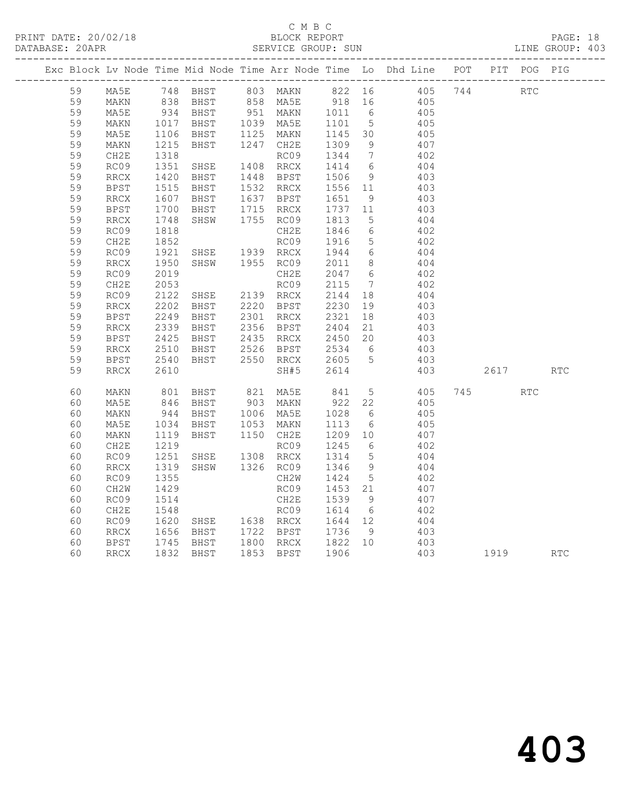|  |    |                              |                                  |                                                                           |                        |      |                                     |                 | Exc Block Lv Node Time Mid Node Time Arr Node Time Lo Dhd Line POT PIT POG PIG |          |     |            |
|--|----|------------------------------|----------------------------------|---------------------------------------------------------------------------|------------------------|------|-------------------------------------|-----------------|--------------------------------------------------------------------------------|----------|-----|------------|
|  | 59 | MA5E                         |                                  |                                                                           |                        |      |                                     |                 | 748 BHST 803 MAKN 822 16 405 744 RTC                                           |          |     |            |
|  | 59 | MAKN                         |                                  |                                                                           |                        |      |                                     |                 |                                                                                |          |     |            |
|  | 59 | MA5E                         |                                  |                                                                           |                        |      |                                     |                 |                                                                                |          |     |            |
|  | 59 | MAKN                         |                                  |                                                                           |                        |      |                                     |                 | 405                                                                            |          |     |            |
|  | 59 | MA5E                         | 1017<br>1106                     | -----<br>BHST 1039 MA5E 1101 5<br>BHST 1125 MAKN 1145 30                  |                        |      |                                     |                 | 405                                                                            |          |     |            |
|  | 59 | MAKN                         | 1215                             | BHST                                                                      | 1247 CH2E              |      | 1309                                | - 9             | 407                                                                            |          |     |            |
|  | 59 | CH2E                         | 1318                             |                                                                           |                        | RC09 | 1344 7                              |                 | 402                                                                            |          |     |            |
|  | 59 | RC09                         | 1351                             | SHSE                                                                      | 1408 RRCX              |      | 1414 6                              |                 | 404                                                                            |          |     |            |
|  | 59 | $\mathop{\mathrm{RRCX}}$     | 1420<br>1515                     | BHST 1448 BPST<br>BHST 1532 RRCX                                          |                        |      | 1506 9<br>1556 11                   |                 | 403                                                                            |          |     |            |
|  | 59 | <b>BPST</b>                  |                                  |                                                                           |                        |      |                                     |                 | 403                                                                            |          |     |            |
|  | 59 | $\mathop{\mathrm{RRCX}}$     |                                  | BHST 1637 BPST                                                            |                        |      | 1651                                | 9               | 403                                                                            |          |     |            |
|  | 59 | <b>BPST</b>                  |                                  | BHST                                                                      | 1715 RRCX              |      | 1737    11<br>1813    5             |                 | 403                                                                            |          |     |            |
|  | 59 | RRCX                         | $\frac{1607}{1700}$              | SHSW                                                                      | 1755 RC09              |      |                                     |                 | 404                                                                            |          |     |            |
|  | 59 | RC09                         | 1818<br>181 <sub>0</sub><br>1852 |                                                                           |                        | CH2E | 1846 6<br>1916 5                    |                 | 402                                                                            |          |     |            |
|  | 59 | CH2E                         |                                  |                                                                           |                        | RC09 |                                     |                 | 402                                                                            |          |     |            |
|  | 59 | RC09                         | 1921<br>1950                     | SHSE 1939 RRCX                                                            |                        |      | 1944 6                              |                 | 404                                                                            |          |     |            |
|  | 59 | RRCX                         | 1950                             | SHSW 1955 RC09                                                            |                        |      | 2011 8                              |                 | 404                                                                            |          |     |            |
|  | 59 | RC09                         | 2019                             |                                                                           |                        | CH2E | 2047 6                              |                 | 402                                                                            |          |     |            |
|  | 59 | CH2E                         | 2053                             | RCU9<br>SHSE 2139 RRCX                                                    |                        | RC09 | 2115<br>2115 7<br>2144 18           | $\overline{7}$  | 402                                                                            |          |     |            |
|  | 59 | RC09                         | 2122                             |                                                                           |                        |      |                                     |                 | 404                                                                            |          |     |            |
|  | 59 | RRCX                         | 2202                             | BHST                                                                      | 2220 BPST<br>2301 RRCX |      | 2230                                | 19              | 403                                                                            |          |     |            |
|  | 59 | <b>BPST</b>                  | 2249                             | BHST                                                                      |                        |      | 2321                                | 18              | 403                                                                            |          |     |            |
|  | 59 | RRCX                         | 2339                             | BHST                                                                      | 2356 BPST              |      | 2404 21                             |                 | 403                                                                            |          |     |            |
|  | 59 | <b>BPST</b>                  | 2425<br>2510                     | BHST 2435 RRCX 2450 20<br>BHST 2526 BPST 2534 6                           |                        |      |                                     |                 | $403$<br>$403$                                                                 |          |     |            |
|  | 59 | RRCX                         |                                  |                                                                           |                        |      |                                     |                 |                                                                                |          |     |            |
|  | 59 | <b>BPST</b>                  | 2540                             | BHST                                                                      |                        |      | 2550 RRCX 2605 5                    |                 | 403                                                                            |          |     |            |
|  | 59 | RRCX                         | 2610                             |                                                                           |                        | SH#5 | 2614                                |                 | 403                                                                            | 2617     |     | <b>RTC</b> |
|  | 60 | MAKN                         |                                  |                                                                           |                        |      | 841 5<br>922 22                     |                 | 405 745<br>405                                                                 |          | RTC |            |
|  | 60 | MA5E                         |                                  |                                                                           |                        |      |                                     |                 |                                                                                |          |     |            |
|  | 60 | MAKN                         | 944<br>1034                      | BHST 1006 MA5E<br>BHST 1053 MAKN                                          |                        |      | 1028<br>1113                        | 6               | 405<br>405                                                                     |          |     |            |
|  | 60 | MA5E                         |                                  |                                                                           |                        |      | 1113                                | 6               |                                                                                |          |     |            |
|  | 60 | MAKN                         | 1119                             | BHST 1150 CH2E                                                            |                        |      | 1209 10                             |                 | 407                                                                            |          |     |            |
|  | 60 | CH2E                         | 1219                             |                                                                           |                        | RC09 | 1245                                | 6               | 402                                                                            |          |     |            |
|  | 60 | RC09                         | 1251                             | SHSE 1308 RRCX                                                            |                        |      | 1314                                | $5^{\circ}$     | 404                                                                            |          |     |            |
|  | 60 | $\mathop{\rm RRCX}\nolimits$ | 1319                             | SHSW                                                                      | 1326 RC09              |      | 1346                                | 9               | 404<br>402                                                                     |          |     |            |
|  | 60 | RC09                         | 1355                             |                                                                           |                        | CH2W | 1424                                | $5\overline{)}$ |                                                                                |          |     |            |
|  | 60 | CH <sub>2</sub> W            | 1429                             |                                                                           |                        | RC09 | 1453 21                             |                 | 407                                                                            |          |     |            |
|  | 60 | RC09                         | 1514                             |                                                                           |                        | CH2E | 1539 9                              |                 | 407                                                                            |          |     |            |
|  | 60 | CH2E                         | 1548                             |                                                                           |                        |      |                                     |                 | 402                                                                            |          |     |            |
|  | 60 | RC09                         | 1620<br>1656                     | SHSE 1638 RRCX 1644 12<br>BHSE 1638 RRCX 1644 12<br>BHST 1722 BPST 1736 9 |                        |      |                                     |                 | $404$<br>$403$                                                                 |          |     |            |
|  | 60 | RRCX                         |                                  |                                                                           |                        |      |                                     |                 |                                                                                |          |     |            |
|  | 60 | BPST                         |                                  | 1745 BHST<br>1832 BHST<br>BHST                                            |                        |      | 1800 RRCX 1822 10<br>1853 BPST 1906 |                 | 403                                                                            |          |     |            |
|  | 60 | RRCX                         |                                  |                                                                           | 1853 BPST              |      | 1906                                |                 | 403                                                                            | 1919 RTC |     |            |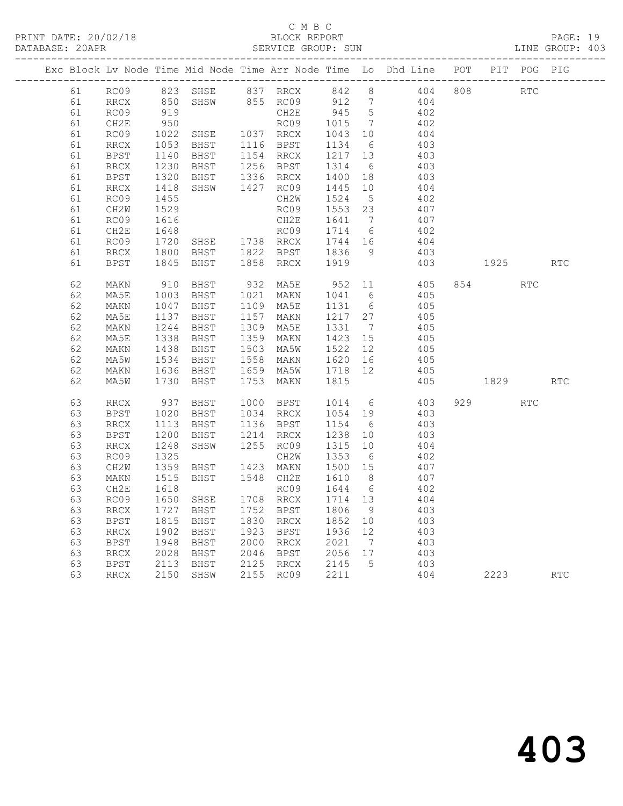|    |                              |                                                             |                                          |      |                                            |                          |                              | Exc Block Lv Node Time Mid Node Time Arr Node Time Lo Dhd Line POT PIT POG PIG |     |                                                                                                                                                                                                                                 |            |            |
|----|------------------------------|-------------------------------------------------------------|------------------------------------------|------|--------------------------------------------|--------------------------|------------------------------|--------------------------------------------------------------------------------|-----|---------------------------------------------------------------------------------------------------------------------------------------------------------------------------------------------------------------------------------|------------|------------|
| 61 | RC09                         | $823$<br>$850$                                              | 823 SHSE                                 |      | SHSE 837 RRCX 842 8<br>SHSW 855 RC09 912 7 |                          |                              | 404                                                                            | 808 |                                                                                                                                                                                                                                 | RTC        |            |
| 61 | RRCX                         |                                                             |                                          |      |                                            |                          |                              | 404                                                                            |     |                                                                                                                                                                                                                                 |            |            |
| 61 | RC09                         | 919<br>950                                                  |                                          |      | CH2E                                       | 945 5                    |                              | 402                                                                            |     |                                                                                                                                                                                                                                 |            |            |
| 61 | CH2E                         |                                                             |                                          |      | RC09                                       | 1015                     | $\overline{7}$               | 402                                                                            |     |                                                                                                                                                                                                                                 |            |            |
| 61 | RC09                         | 1022<br>1053                                                | RCO9<br>SHSE 1037 RRCX<br>BHST 1116 BPST |      |                                            | 1043<br>$1045$<br>$1134$ | 10                           | 404                                                                            |     |                                                                                                                                                                                                                                 |            |            |
| 61 | RRCX                         |                                                             | BHST                                     |      | 1116 BPST                                  |                          | 6                            | 403                                                                            |     |                                                                                                                                                                                                                                 |            |            |
| 61 | BPST                         | 1140<br>1230                                                | BHST                                     |      | 1154 RRCX                                  | 1217                     | 13                           | 403                                                                            |     |                                                                                                                                                                                                                                 |            |            |
| 61 | RRCX                         |                                                             | BHST                                     |      | 1256 BPST                                  | $\frac{1217}{1314}$      | $6\overline{6}$              | 403                                                                            |     |                                                                                                                                                                                                                                 |            |            |
| 61 | <b>BPST</b>                  | 1320                                                        | BHST                                     |      | 1336 RRCX                                  | 1400                     | 18                           | 403                                                                            |     |                                                                                                                                                                                                                                 |            |            |
| 61 | RRCX                         | 1418                                                        | SHSW                                     |      | 1427 RC09                                  | 1445                     | 10                           | 404                                                                            |     |                                                                                                                                                                                                                                 |            |            |
| 61 | RC09                         | 1455                                                        |                                          |      | CH2W                                       | 1524                     | $5^{\circ}$                  | 402                                                                            |     |                                                                                                                                                                                                                                 |            |            |
| 61 | CH <sub>2</sub> W            | 1529                                                        |                                          |      | RC09                                       | 1553 23                  |                              | 407                                                                            |     |                                                                                                                                                                                                                                 |            |            |
| 61 | RC09                         | 1616                                                        |                                          |      | CH2E                                       | 1641                     | $\overline{7}$               | 407                                                                            |     |                                                                                                                                                                                                                                 |            |            |
| 61 | CH2E                         | 1648                                                        |                                          |      | RC09                                       | 1714 6                   |                              | 402                                                                            |     |                                                                                                                                                                                                                                 |            |            |
| 61 | RC09                         | 1720                                                        | SHSE 1738 RRCX                           |      |                                            | 1744 16                  |                              | 404                                                                            |     |                                                                                                                                                                                                                                 |            |            |
| 61 | $\mathop{\rm RRCX}\nolimits$ | 1800                                                        | BHST 1822 BPST                           |      |                                            | 1836                     | 9                            | 403                                                                            |     |                                                                                                                                                                                                                                 |            |            |
| 61 | <b>BPST</b>                  | 1845                                                        | BHST                                     |      | 1858 RRCX                                  | 1919                     |                              | 403                                                                            |     | 1925 — 1925 — 1936 — 1937 — 1938 — 1938 — 1938 — 1938 — 1938 — 1938 — 1938 — 1938 — 1938 — 1938 — 1938 — 1938 — 1938 — 1938 — 1938 — 1938 — 1938 — 1938 — 1938 — 1938 — 1938 — 1938 — 1938 — 1938 — 1938 — 1938 — 1938 — 1938 — |            | <b>RTC</b> |
| 62 | MAKN                         | 910                                                         | BHST                                     |      | 932 MA5E                                   | 952                      | 11                           | 405                                                                            |     | 854                                                                                                                                                                                                                             | <b>RTC</b> |            |
| 62 | MA5E                         | 1003                                                        | BHST                                     |      | 1021 MAKN                                  | 1041 6                   |                              | 405                                                                            |     |                                                                                                                                                                                                                                 |            |            |
| 62 | MAKN                         | 1047                                                        | BHST                                     |      | 1109 MA5E                                  | 1131                     | $6\overline{6}$              | 405                                                                            |     |                                                                                                                                                                                                                                 |            |            |
| 62 | MA5E                         | 1137                                                        | BHST                                     |      | 1157 MAKN                                  | 1217 27                  |                              | 405                                                                            |     |                                                                                                                                                                                                                                 |            |            |
| 62 | MAKN                         |                                                             | BHST                                     |      | 1309 MA5E                                  | 1331                     | $\overline{7}$               | 405                                                                            |     |                                                                                                                                                                                                                                 |            |            |
| 62 | MA5E                         | $\begin{array}{r} 1244 \\ 1338 \\ 1438 \\ 1534 \end{array}$ | BHST                                     |      | 1359 MAKN                                  | 1423                     | 15                           | 405                                                                            |     |                                                                                                                                                                                                                                 |            |            |
| 62 | MAKN                         |                                                             | BHST                                     |      | 1503 MA5W                                  | 1522                     | 12                           | 405                                                                            |     |                                                                                                                                                                                                                                 |            |            |
| 62 | MA5W                         | 1534                                                        | BHST                                     |      | 1558 MAKN                                  | 1620                     | 16                           | 405                                                                            |     |                                                                                                                                                                                                                                 |            |            |
| 62 | MAKN                         | 1636                                                        | BHST                                     |      | 1659 MA5W                                  | 1718 12                  |                              | 405                                                                            |     |                                                                                                                                                                                                                                 |            |            |
| 62 | MA5W                         | 1730                                                        | BHST                                     | 1753 | MAKN                                       | 1815                     |                              | 405                                                                            |     | 1829                                                                                                                                                                                                                            |            | <b>RTC</b> |
| 63 | RRCX                         | 937                                                         | BHST                                     |      | 1000 BPST                                  | 1014                     | $6\overline{6}$              | 403                                                                            |     | 929                                                                                                                                                                                                                             | <b>RTC</b> |            |
| 63 | <b>BPST</b>                  | 1020                                                        | BHST                                     |      | 1034 RRCX                                  | 1054 19                  |                              | 403                                                                            |     |                                                                                                                                                                                                                                 |            |            |
| 63 | <b>RRCX</b>                  | 1113                                                        | BHST                                     |      | 1136 BPST                                  | 1154                     | 6                            | 403                                                                            |     |                                                                                                                                                                                                                                 |            |            |
| 63 | <b>BPST</b>                  | 1200                                                        | BHST                                     |      | 1214 RRCX                                  | 1238                     | 10                           | 403                                                                            |     |                                                                                                                                                                                                                                 |            |            |
| 63 | <b>RRCX</b>                  | 1248                                                        | SHSW                                     |      | 1255 RC09                                  | 1315                     | 10 <sup>°</sup>              | 404                                                                            |     |                                                                                                                                                                                                                                 |            |            |
| 63 | RC09                         | 1325                                                        |                                          |      | CH2W                                       | 1353                     | 6                            | 402                                                                            |     |                                                                                                                                                                                                                                 |            |            |
| 63 | CH2W                         | 1359                                                        | BHST                                     |      | 1423 MAKN                                  | 1500 15                  |                              | 407                                                                            |     |                                                                                                                                                                                                                                 |            |            |
| 63 | MAKN                         | 1515                                                        | BHST                                     |      | 1548 CH2E                                  | 1610                     | 8 <sup>8</sup>               | 407                                                                            |     |                                                                                                                                                                                                                                 |            |            |
| 63 | CH2E                         | 1618                                                        |                                          |      | RC09                                       | 1644                     | $6\overline{6}$              | 402                                                                            |     |                                                                                                                                                                                                                                 |            |            |
| 63 | RC09                         | 1650                                                        | SHSE                                     |      | 1708 RRCX                                  | 1714 13                  |                              | 404                                                                            |     |                                                                                                                                                                                                                                 |            |            |
| 63 | <b>RRCX</b>                  | 1727                                                        | BHST                                     | 1752 | BPST                                       | 1806                     | 9                            | 403                                                                            |     |                                                                                                                                                                                                                                 |            |            |
| 63 | BPST                         | 1815                                                        | BHST                                     |      | 1830 RRCX                                  | 1852                     | 10                           | 403                                                                            |     |                                                                                                                                                                                                                                 |            |            |
| 63 | RRCX                         | 1902                                                        | BHST                                     |      | 1923 BPST                                  | 1936                     | 12                           | 403                                                                            |     |                                                                                                                                                                                                                                 |            |            |
| 63 | BPST                         | 1948                                                        | BHST                                     |      | 2000 RRCX                                  | 2021                     | $7\phantom{.0}\phantom{.0}7$ | 403                                                                            |     |                                                                                                                                                                                                                                 |            |            |
| 63 | RRCX                         | 2028                                                        | BHST                                     |      | 2046 BPST                                  | 2056 17<br>2145 5        |                              | 403                                                                            |     |                                                                                                                                                                                                                                 |            |            |
| 63 | BPST                         | 2113                                                        | BHST                                     |      | 2125 RRCX                                  |                          |                              | 403                                                                            |     |                                                                                                                                                                                                                                 |            |            |
| 63 | RRCX                         | 2150                                                        | SHSW                                     |      | 2155 RC09                                  | 2211                     |                              | 404                                                                            |     | 2223                                                                                                                                                                                                                            |            | <b>RTC</b> |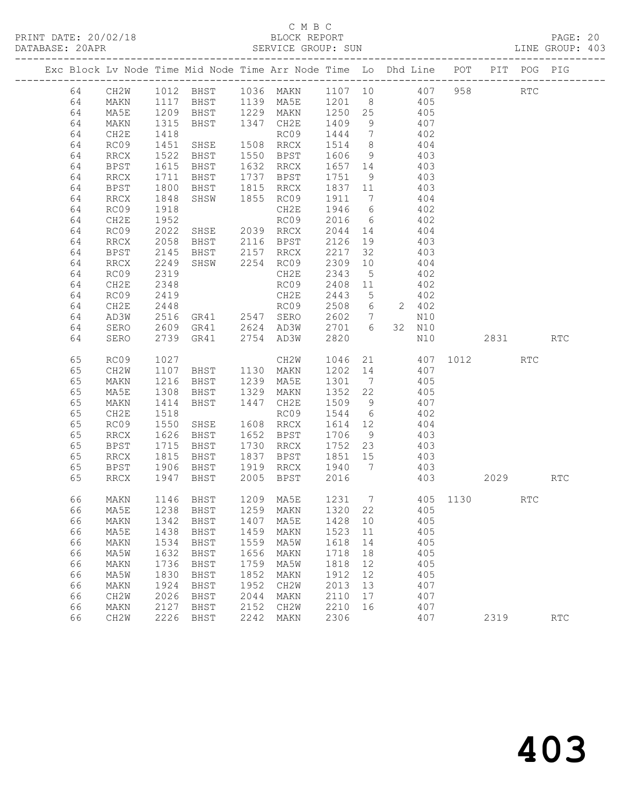| DATABASE: 20APR |    |      |              |                                                    |      | SERVICE GROUP: SUN                               |        |    |                                                                                                                     |     |      |      | LINE GROUP: 403 |  |
|-----------------|----|------|--------------|----------------------------------------------------|------|--------------------------------------------------|--------|----|---------------------------------------------------------------------------------------------------------------------|-----|------|------|-----------------|--|
|                 |    |      |              |                                                    |      |                                                  |        |    | Exc Block Lv Node Time Mid Node Time Arr Node Time Lo Dhd Line POT PIT POG PIG                                      |     |      |      |                 |  |
|                 | 64 |      |              |                                                    |      |                                                  |        |    | CH2W 1012 BHST 1036 MAKN 1107 10 407 958 RTC                                                                        |     |      |      |                 |  |
|                 | 64 | MAKN |              |                                                    |      |                                                  |        |    | 1117 BHST 1139 MA5E 1201 8 405                                                                                      |     |      |      |                 |  |
|                 | 64 | MA5E |              |                                                    |      |                                                  |        |    | 1209 BHST 1229 MAKN 1250 25 405<br>1315 BHST 1347 CH2E 1409 9 407<br>1418 RC09 1444 7 402                           |     |      |      |                 |  |
|                 | 64 | MAKN |              |                                                    |      |                                                  |        |    |                                                                                                                     |     |      |      |                 |  |
|                 | 64 | CH2E |              |                                                    |      |                                                  |        |    |                                                                                                                     |     |      |      |                 |  |
|                 | 64 | RC09 | 1451         | SHSE 1508 RRCX                                     |      |                                                  |        |    | 1514 8 404                                                                                                          |     |      |      |                 |  |
|                 | 64 | RRCX | 1522         |                                                    |      |                                                  |        |    | BHST 1550 BPST 1606 9 403<br>BHST 1632 RRCX 1657 14 403<br>BHST 1737 BPST 1751 9 403                                |     |      |      |                 |  |
|                 | 64 | BPST | 1615<br>1711 |                                                    |      |                                                  |        |    |                                                                                                                     |     |      |      |                 |  |
|                 | 64 | RRCX |              |                                                    |      |                                                  |        |    |                                                                                                                     |     |      |      |                 |  |
|                 | 64 | BPST | 1800         |                                                    |      | BHST 1815 RRCX 1837 11                           |        |    | 403                                                                                                                 |     |      |      |                 |  |
|                 | 64 | RRCX | 1848         |                                                    |      |                                                  |        |    | SHSW 1855 RC09 1911 7 404                                                                                           |     |      |      |                 |  |
|                 | 64 | RC09 | 1918         |                                                    |      | CH2E                                             |        |    | 1946 6 402<br>2016 6 402                                                                                            |     |      |      |                 |  |
|                 | 64 | CH2E | 1952         |                                                    |      | RC09                                             |        |    |                                                                                                                     |     |      |      |                 |  |
|                 | 64 | RC09 | 2022         | SHSE 2039 RRCX                                     |      |                                                  |        |    | 2044 14 404                                                                                                         |     |      |      |                 |  |
|                 | 64 | RRCX | 2058         |                                                    |      | BHST 2116 BPST                                   |        |    | 2126 19 403                                                                                                         |     |      |      |                 |  |
|                 | 64 | BPST | 2145         |                                                    |      | BHST 2157 RRCX 2217 32<br>SHSW 2254 RC09 2309 10 |        |    | 403                                                                                                                 |     |      |      |                 |  |
|                 | 64 | RRCX | 2249         |                                                    |      |                                                  |        |    | 404                                                                                                                 |     |      |      |                 |  |
|                 | 64 | RC09 | 2319         |                                                    |      | CH2E                                             | 2343 5 |    | 402                                                                                                                 |     |      |      |                 |  |
|                 | 64 | CH2E | 2348         |                                                    |      | RC09                                             |        |    | 2408 11 402                                                                                                         |     |      |      |                 |  |
|                 | 64 | RC09 | 2419         |                                                    |      | CH2E                                             | 2443 5 |    | 402<br>2443 5 402<br>2508 6 2 402                                                                                   |     |      |      |                 |  |
|                 | 64 | CH2E | 2448         |                                                    |      | RC09                                             |        |    |                                                                                                                     |     |      |      |                 |  |
|                 | 64 | AD3W |              | 2516 GR41 2547 SERO                                |      |                                                  |        |    | 2602 7 N10                                                                                                          |     |      |      |                 |  |
|                 | 64 | SERO |              | 2609 GR41 2624 AD3W                                |      |                                                  | 2701 6 |    | 32 N10                                                                                                              |     |      |      |                 |  |
|                 | 64 | SERO |              | 2739 GR41 2754 AD3W                                |      |                                                  | 2820   |    |                                                                                                                     | N10 |      | 2831 | <b>RTC</b>      |  |
|                 | 65 | RC09 |              |                                                    |      |                                                  |        |    | 1027    CH2W    1046    21    407<br>1107    BHST    1130    MAKN    1202    14    407<br>CH2W 1046 21 407 1012 RTC |     |      |      |                 |  |
|                 | 65 | CH2W |              |                                                    |      |                                                  |        |    |                                                                                                                     |     |      |      |                 |  |
|                 | 65 | MAKN | 1216         |                                                    |      |                                                  |        |    | 1301 7 405                                                                                                          |     |      |      |                 |  |
|                 | 65 | MA5E | 1308         | BHST 1239 MA5E<br>BHST 1329 MAKN<br>BHST 1447 CH2E |      |                                                  |        |    | 1352  22   405<br>1509   9   407                                                                                    |     |      |      |                 |  |
|                 | 65 | MAKN | 1414         |                                                    |      |                                                  |        |    |                                                                                                                     |     |      |      |                 |  |
|                 | 65 | CH2E | 1518         |                                                    |      |                                                  |        |    | RC09 1544 6 402                                                                                                     |     |      |      |                 |  |
|                 | 65 | RC09 | 1550         | SHSE                                               |      | 1608 RRCX                                        |        |    | 1614 12 404                                                                                                         |     |      |      |                 |  |
|                 | 65 | RRCX | 1626<br>1715 | BHST 1652 BPST<br>BHST 1730 RRCX                   |      |                                                  | 1706 9 |    | 403                                                                                                                 |     |      |      |                 |  |
|                 | 65 | BPST |              |                                                    |      |                                                  |        |    | 1730 RRCX 1752 23 403                                                                                               |     |      |      |                 |  |
|                 | 65 | RRCX | 1815         | <b>BHST</b>                                        |      | 1837 BPST 1851 15                                |        |    | 403                                                                                                                 |     |      |      |                 |  |
|                 | 65 | BPST | 1906         |                                                    |      | BHST 1919 RRCX 1940 7                            |        |    | 403                                                                                                                 |     |      |      |                 |  |
|                 | 65 | RRCX |              | 1947 BHST 2005 BPST 2016                           |      |                                                  |        |    | 403                                                                                                                 |     |      | 2029 | RTC             |  |
|                 | 66 |      |              |                                                    |      |                                                  |        |    | MAKN 1146 BHST 1209 MA5E 1231 7 405 1130                                                                            |     |      | RTC  |                 |  |
|                 | 66 | MA5E | 1238         | BHST                                               | 1259 | MAKN                                             | 1320   | 22 | 405                                                                                                                 |     |      |      |                 |  |
|                 | 66 | MAKN | 1342         | BHST                                               | 1407 | MA5E                                             | 1428   | 10 | 405                                                                                                                 |     |      |      |                 |  |
|                 | 66 | MA5E | 1438         | BHST                                               | 1459 | MAKN                                             | 1523   | 11 | 405                                                                                                                 |     |      |      |                 |  |
|                 | 66 | MAKN | 1534         | BHST                                               | 1559 | MA5W                                             | 1618   | 14 | 405                                                                                                                 |     |      |      |                 |  |
|                 | 66 | MA5W | 1632         | BHST                                               | 1656 | MAKN                                             | 1718   | 18 | 405                                                                                                                 |     |      |      |                 |  |
|                 | 66 | MAKN | 1736         | BHST                                               | 1759 | MA5W                                             | 1818   | 12 | 405                                                                                                                 |     |      |      |                 |  |
|                 | 66 | MA5W | 1830         | BHST                                               | 1852 | MAKN                                             | 1912   | 12 | 405                                                                                                                 |     |      |      |                 |  |
|                 | 66 | MAKN | 1924         | BHST                                               | 1952 | CH2W                                             | 2013   | 13 | 407                                                                                                                 |     |      |      |                 |  |
|                 | 66 | CH2W | 2026         | BHST                                               | 2044 | MAKN                                             | 2110   | 17 | 407                                                                                                                 |     |      |      |                 |  |
|                 | 66 | MAKN | 2127         | BHST                                               | 2152 | CH2W                                             | 2210   | 16 | 407                                                                                                                 |     |      |      |                 |  |
|                 | 66 | CH2W | 2226         | BHST                                               | 2242 | MAKN                                             | 2306   |    | 407                                                                                                                 |     | 2319 |      | <b>RTC</b>      |  |
|                 |    |      |              |                                                    |      |                                                  |        |    |                                                                                                                     |     |      |      |                 |  |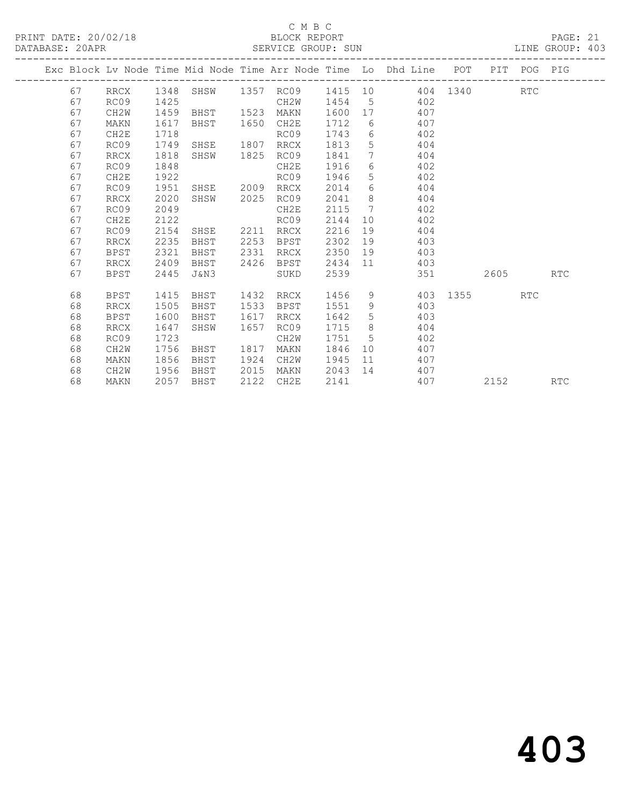|  |    |                   |      |                |      |      |         |                 | Exc Block Lv Node Time Mid Node Time Arr Node Time Lo Dhd Line POT PIT POG PIG |        |            |            |
|--|----|-------------------|------|----------------|------|------|---------|-----------------|--------------------------------------------------------------------------------|--------|------------|------------|
|  | 67 |                   |      |                |      |      |         |                 | RRCX 1348 SHSW 1357 RC09 1415 10 404 1340                                      |        | <b>RTC</b> |            |
|  | 67 | RC09              | 1425 |                |      | CH2W |         |                 | 1454 5 402                                                                     |        |            |            |
|  | 67 | CH2W              | 1459 | BHST 1523      |      | MAKN | 1600 17 |                 | 407                                                                            |        |            |            |
|  | 67 | MAKN              | 1617 | BHST 1650 CH2E |      |      | 1712    |                 | 6 407                                                                          |        |            |            |
|  | 67 | CH2E              | 1718 |                |      | RC09 | 1743    |                 | 6 402                                                                          |        |            |            |
|  | 67 | RC09              | 1749 | SHSE           | 1807 | RRCX | 1813    | $5\phantom{.0}$ | 404                                                                            |        |            |            |
|  | 67 | RRCX              | 1818 | SHSW 1825      |      | RC09 | 1841    | 7               | 404                                                                            |        |            |            |
|  | 67 | RC09              | 1848 |                |      | CH2E | 1916    |                 | $6 \quad \sigma$<br>402                                                        |        |            |            |
|  | 67 | CH2E              | 1922 |                |      | RC09 | 1946    |                 | 5 402                                                                          |        |            |            |
|  | 67 | RC09              | 1951 | SHSE 2009      |      | RRCX | 2014    | 6               | 404                                                                            |        |            |            |
|  | 67 | RRCX              | 2020 | SHSW           | 2025 | RC09 | 2041    | 8 <sup>8</sup>  | 404                                                                            |        |            |            |
|  | 67 | RC09              | 2049 |                |      | CH2E | 2115    | $7\phantom{0}$  | 402                                                                            |        |            |            |
|  | 67 | CH2E              | 2122 |                |      | RC09 | 2144    |                 | 402<br>10                                                                      |        |            |            |
|  | 67 | RC09              | 2154 | SHSE 2211 RRCX |      |      | 2216    |                 | 19<br>404                                                                      |        |            |            |
|  | 67 | <b>RRCX</b>       | 2235 | BHST           | 2253 | BPST | 2302    | 19              | 403                                                                            |        |            |            |
|  | 67 | <b>BPST</b>       | 2321 | BHST           | 2331 | RRCX | 2350    |                 | 19<br>403                                                                      |        |            |            |
|  | 67 | <b>RRCX</b>       | 2409 | BHST           | 2426 | BPST | 2434 11 |                 | 403                                                                            |        |            |            |
|  | 67 | BPST              | 2445 | J&N3           |      | SUKD | 2539    |                 | 351                                                                            | 2605 7 |            | RTC        |
|  |    |                   |      |                |      |      |         |                 |                                                                                |        |            |            |
|  | 68 | BPST              | 1415 | BHST           | 1432 | RRCX | 1456    | 9               | 403 1355                                                                       |        | RTC        |            |
|  | 68 | <b>RRCX</b>       | 1505 | BHST           | 1533 | BPST | 1551    | 9               | 403                                                                            |        |            |            |
|  | 68 | BPST              | 1600 | BHST           | 1617 | RRCX | 1642    | 5 <sup>5</sup>  | 403                                                                            |        |            |            |
|  | 68 | RRCX              | 1647 | SHSW           | 1657 | RC09 | 1715 8  |                 | 404                                                                            |        |            |            |
|  | 68 | RC09              | 1723 |                |      | CH2W | 1751 5  |                 | 402                                                                            |        |            |            |
|  | 68 | CH2W              | 1756 | BHST           | 1817 | MAKN | 1846    |                 | 10<br>407                                                                      |        |            |            |
|  | 68 | MAKN              | 1856 | BHST           | 1924 | CH2W | 1945    |                 | 11 — 1<br>407                                                                  |        |            |            |
|  | 68 | CH <sub>2</sub> W | 1956 | BHST           | 2015 | MAKN | 2043    | 14              | 407                                                                            |        |            |            |
|  | 68 | MAKN              | 2057 | BHST           | 2122 | CH2E | 2141    |                 | 407                                                                            | 2152   |            | <b>RTC</b> |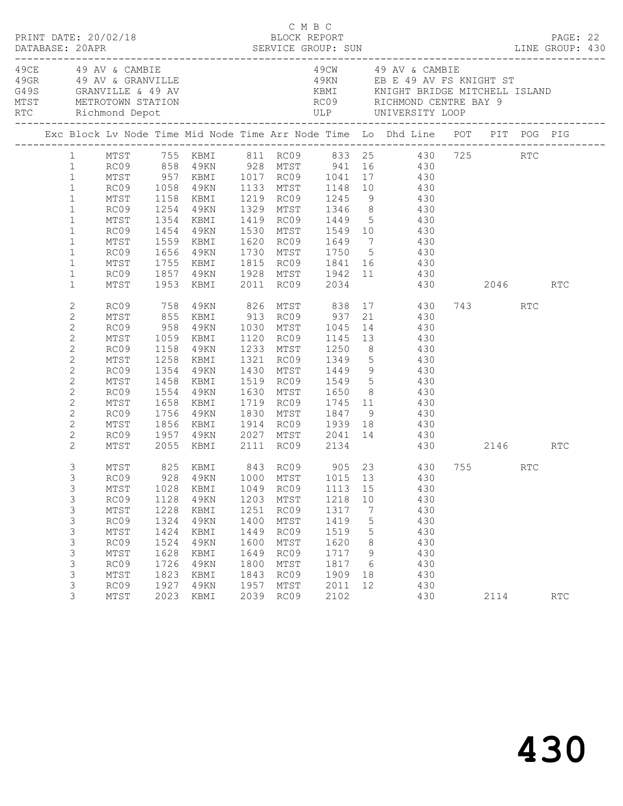|                                                                                                                                                                                                  | PRINT DATE: 20/02/18                                                                             |                                                                                      |                                                                                                  |                                                                                      | C M B C<br>BLOCK REPORT                                                              |                                                                                         |                                                           |                                                                                                                                                                                                                                                                                                                                                                |      |     | PAGE: 22             |  |
|--------------------------------------------------------------------------------------------------------------------------------------------------------------------------------------------------|--------------------------------------------------------------------------------------------------|--------------------------------------------------------------------------------------|--------------------------------------------------------------------------------------------------|--------------------------------------------------------------------------------------|--------------------------------------------------------------------------------------|-----------------------------------------------------------------------------------------|-----------------------------------------------------------|----------------------------------------------------------------------------------------------------------------------------------------------------------------------------------------------------------------------------------------------------------------------------------------------------------------------------------------------------------------|------|-----|----------------------|--|
|                                                                                                                                                                                                  | 49CE 49 AV & CAMBIE                                                                              |                                                                                      | 49GR 49 AV & GRANVILLE<br>G49S GRANVILLE & 49 AV<br>MTST METROTOWN STATION<br>RTC Richmond Depot |                                                                                      |                                                                                      |                                                                                         |                                                           | 49CW 49 AV & CAMBIE<br>49KN EB E 49 AV FS KNIGHT ST                                                                                                                                                                                                                                                                                                            |      |     |                      |  |
|                                                                                                                                                                                                  |                                                                                                  |                                                                                      |                                                                                                  |                                                                                      |                                                                                      |                                                                                         |                                                           | Exc Block Lv Node Time Mid Node Time Arr Node Time Lo Dhd Line POT PIT POG PIG                                                                                                                                                                                                                                                                                 |      |     |                      |  |
| $\mathbf{1}$<br>$\mathbf{1}$<br>$\mathbf{1}$<br>$\mathbf{1}$<br>$\mathbf{1}$<br>$\mathbf{1}$<br>$\mathbf{1}$<br>$\mathbf{1}$                                                                     | MTST<br>RC09 1254 49KN<br>MTST<br>RC09<br>MTST<br>RC09 1656 49KN                                 | 1354                                                                                 | KBMI                                                                                             |                                                                                      |                                                                                      |                                                                                         |                                                           | 1 MTST 755 KBMI 811 RC09 833 25 430 725 RTC<br>1 RC09 858 49KN 928 MTST 941 16 430<br>MTST 957 KBMI 1017 RC09 1041 17 430<br>RC09 1058 49KN 1133 MTST 1148 10 430<br>MTST 1158 KBMI 1219 RC09 1245 9 430<br>1329 MTST 1346 8 430<br>1419 RC09 1449 5 430<br>1454 49KN 1530 MTST 1549 10      430<br>1559 KBMI 1620 RC09 1649 7     430<br>1730 MTST 1750 5 430 |      |     |                      |  |
| $\mathbf{1}$<br>$\mathbf{1}$<br>$\mathbf{1}$                                                                                                                                                     | MTST                                                                                             |                                                                                      |                                                                                                  |                                                                                      |                                                                                      |                                                                                         |                                                           | 1755 KBMI 1815 RC09 1841 16 430<br>RC09 1857 49KN 1928 MTST 1942 11 430<br>MTST 1953 KBMI 2011 RC09 2034 430<br>430 2046 RTC                                                                                                                                                                                                                                   |      |     |                      |  |
| $\mathbf{2}$<br>$\mathbf{2}$<br>$\mathbf{2}$<br>$\mathbf{2}$<br>$\overline{c}$<br>$\mathbf{2}$<br>$\overline{c}$<br>$\mathbf{2}$<br>$\mathbf{2}$<br>$\mathbf{2}$<br>$\mathbf{2}$<br>$\mathbf{2}$ | RC09 758<br>MTST<br>RC09<br>MTST<br>RC09<br>MTST<br>RC09<br>MTST<br>RC09<br>MTST<br>RC09<br>MTST | 1158<br>1258<br>1354<br>1554<br>1658                                                 | 49KN<br>KBMI<br>49KN<br>1458 KBMI<br>49KN<br>KBMI<br>1756 49KN<br>1856 KBMI                      |                                                                                      |                                                                                      | 1233 MTST 1250<br>1321 RC09 1349<br>1430 MTST 1449<br>1519 RC09 1549<br>1630 MTST 1650  |                                                           | 49KN 826 MTST 838 17 430<br>855 KBMI 913 RC09 937 21 430<br>958 49KN 1030 MTST 1045 14 430<br>1059 KBMI 1120 RC09 1145 13 430<br>$21$ 430<br>8 430<br>$\begin{array}{ccc} 5 & & 430 \\ 9 & & 430 \\ 5 & & 430 \end{array}$<br>8 430<br>1719 RC09 1745 11 430<br>1830 MTST 1847 9       430<br>1914 RC09   1939 18      430                                     | 743  | RTC |                      |  |
| $\mathbf{2}$<br>2                                                                                                                                                                                | MTST                                                                                             |                                                                                      | 2055 KBMI 2111 RC09 2134                                                                         |                                                                                      |                                                                                      |                                                                                         |                                                           | RC09 1957 49KN 2027 MTST 2041 14 430<br>430 2146 RTC                                                                                                                                                                                                                                                                                                           |      |     |                      |  |
| 3<br>3<br>3<br>3<br>3<br>3<br>3<br>3<br>3<br>3<br>3<br>3<br>3                                                                                                                                    | MTST<br>MTST<br>RC09<br>MTST<br>RC09<br>MTST<br>RC09<br>MTST<br>RC09<br>MTST<br>RC09<br>MTST     | 1028<br>1128<br>1228<br>1324<br>1424<br>1524<br>1628<br>1726<br>1823<br>1927<br>2023 | KBMI<br>4 9 K N<br>KBMI<br>49KN<br>KBMI<br>49KN<br>KBMI<br>49KN<br>KBMI<br>49KN<br>KBMI          | 1049<br>1203<br>1251<br>1400<br>1449<br>1600<br>1649<br>1800<br>1843<br>1957<br>2039 | RC09<br>MTST<br>RC09<br>MTST<br>RC09<br>MTST<br>RC09<br>MTST<br>RC09<br>MTST<br>RC09 | 1113 15<br>1218<br>1317<br>1419<br>1519<br>1620<br>1717<br>1817<br>1909<br>2011<br>2102 | 10<br>$\overline{7}$<br>5<br>5<br>8<br>9<br>6<br>18<br>12 | 825 KBMI 843 RC09 905 23 430 755 RTC<br>RC09 928 49KN 1000 MTST 1015 13 430<br>430<br>430<br>430<br>430<br>430<br>430<br>430<br>430<br>430<br>430<br>430                                                                                                                                                                                                       | 2114 |     | $\operatorname{RTC}$ |  |
|                                                                                                                                                                                                  |                                                                                                  |                                                                                      |                                                                                                  |                                                                                      |                                                                                      |                                                                                         |                                                           |                                                                                                                                                                                                                                                                                                                                                                |      |     |                      |  |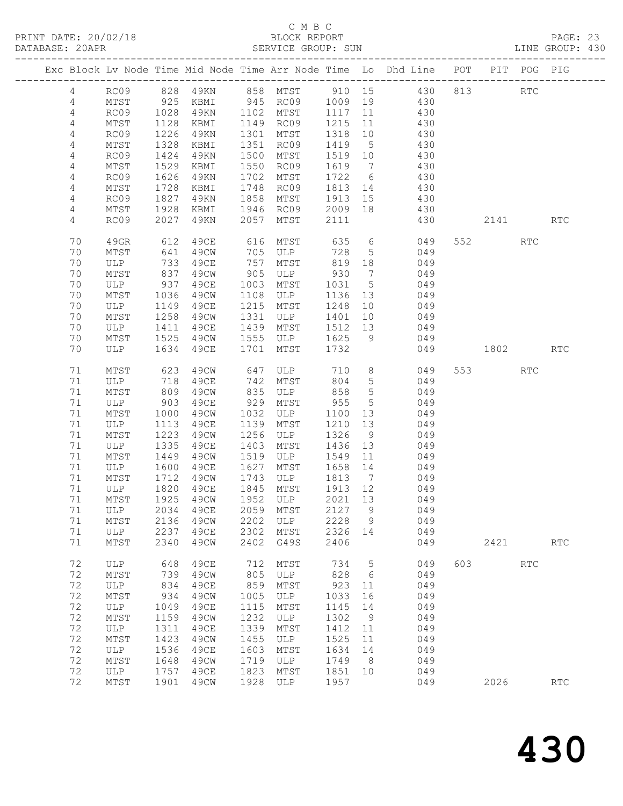| DATABASE: 20APR |                |          |                      |                |      | SERVICE GROUP: SUN  |                                                        |                 |                                                                                |           |            | LINE GROUP: 430      |
|-----------------|----------------|----------|----------------------|----------------|------|---------------------|--------------------------------------------------------|-----------------|--------------------------------------------------------------------------------|-----------|------------|----------------------|
|                 |                |          |                      |                |      |                     |                                                        |                 | Exc Block Lv Node Time Mid Node Time Arr Node Time Lo Dhd Line POT PIT POG PIG |           |            |                      |
|                 | 4              |          |                      |                |      |                     |                                                        |                 | RC09 828 49KN 858 MTST 910 15 430 813 RTC                                      |           |            |                      |
|                 | 4              | MTST     | 925                  |                |      |                     |                                                        |                 | KBMI 945 RC09 1009 19 430                                                      |           |            |                      |
|                 | 4              | RC09     |                      |                |      |                     |                                                        |                 | 49KN 1102 MTST 1117 11 430                                                     |           |            |                      |
|                 | $\overline{4}$ | MTST     | 1028<br>1128         | KBMI 1149 RC09 |      |                     | 1215 11                                                |                 | 430                                                                            |           |            |                      |
|                 | 4              | RC09     | 1226                 | 49KN           |      | 1301 MTST           |                                                        |                 | $1213$ $11$ $430$<br>$1318$ $10$ $430$                                         |           |            |                      |
|                 | 4              | MTST     | 1328                 | KBMI           |      | 1351 RC09           | 1419 5                                                 |                 | 430                                                                            |           |            |                      |
|                 | 4              | RC09     | 1424                 | 49KN           |      | 1500 MTST           | 1519 10                                                |                 | 430                                                                            |           |            |                      |
|                 | 4              | MTST     | 1529                 | KBMI           |      | 1550 RC09           | 1619 7                                                 |                 | 430                                                                            |           |            |                      |
|                 | $\overline{4}$ | RC09     | 1626                 | 49KN           | 1702 | MTST                |                                                        |                 | $1722$ 6 430                                                                   |           |            |                      |
|                 | 4              | MTST     | 1728                 | KBMI           |      | 1748 RC09           |                                                        |                 | 1813 14 430                                                                    |           |            |                      |
|                 | 4              | RC09     | 1827                 | 49KN           |      | 1858 MTST           |                                                        |                 | 1913 15 430                                                                    |           |            |                      |
|                 | 4              | MTST     | 1928                 | KBMI           |      | 1946 RC09           | 2009 18                                                |                 | 430                                                                            |           |            |                      |
|                 | 4              | RC09     | 2027                 | 4 9 K N        |      | 2057 MTST           | 2111                                                   |                 | 430                                                                            | 2141      |            | <b>RTC</b>           |
|                 |                |          |                      |                |      |                     |                                                        |                 |                                                                                |           |            |                      |
|                 | 70             | 49GR     | 612                  | 49CE           | 616  | MTST                | 635                                                    |                 | $6\overline{6}$<br>049                                                         | 552       | <b>RTC</b> |                      |
|                 | 70             | MTST     |                      | 49CW           |      |                     | 728                                                    | 5 <sup>5</sup>  | 049                                                                            |           |            |                      |
|                 | 70             | ULP      | 641<br>733           | 49CE           |      | 705 ULP<br>757 MTST | $\begin{array}{cc}\n 720 \\  819 \\  18\n \end{array}$ |                 | 049                                                                            |           |            |                      |
|                 | 70             | MTST     | 837                  | 49CW           | 905  |                     |                                                        |                 | ULP 930 7 049                                                                  |           |            |                      |
|                 | 70             | ULP      | 937                  | 49CE           | 1003 | MTST                | 1031 5                                                 |                 | 049                                                                            |           |            |                      |
|                 | 70             | MTST     |                      | 49CW           |      | 1108 ULP            |                                                        |                 | 1136 13 049                                                                    |           |            |                      |
|                 | 70             | ULP      | 1036<br>1149<br>1149 | 49CE           | 1215 | MTST                | 1248 10                                                |                 | 049                                                                            |           |            |                      |
|                 | 70             | MTST     | 1258                 | 49CW           | 1331 | ULP                 | 1401                                                   |                 | 10 049                                                                         |           |            |                      |
|                 | 70             | ULP      | 1411                 | 49CE           |      | 1439 MTST           |                                                        |                 | 1512 13 049                                                                    |           |            |                      |
|                 | 70             | MTST     | 1525                 | 49CW           |      | 1555 ULP            | 1625 9                                                 |                 | 049                                                                            |           |            |                      |
|                 | 70             | ULP      | 1634                 | 49CE           | 1701 | MTST                | 1732                                                   |                 | 049                                                                            | 1802      |            | RTC                  |
|                 |                |          |                      |                |      |                     |                                                        |                 |                                                                                |           |            |                      |
|                 | 71             | MTST     | 623                  | 49CW           |      | 647 ULP 710         |                                                        |                 | 8 <sup>8</sup><br>049                                                          | 553 3     | RTC        |                      |
|                 | 71             | ULP      | $\frac{1}{809}$      | 49CE           | 742  | MTST 804            |                                                        | 5 <sup>5</sup>  | 049                                                                            |           |            |                      |
|                 | 71             | MTST     |                      | 49CW           |      | 835 ULP             | 858                                                    | 5 <sup>5</sup>  | 049                                                                            |           |            |                      |
|                 | 71             | ULP      | 903                  | 49CE           |      | 929 MTST            | 955                                                    | $5\overline{)}$ | 049                                                                            |           |            |                      |
|                 | 71             | MTST     | 1000                 | 49CW           |      | 1032 ULP            | 1100 13                                                |                 | 049                                                                            |           |            |                      |
|                 | 71             | ULP      | 1113                 | 49CE           | 1139 | MTST                | 1210                                                   | 13              | 049                                                                            |           |            |                      |
|                 | 71             | MTST     | 1223                 | 49CW           | 1256 | ULP                 | 1326 9                                                 |                 | 049                                                                            |           |            |                      |
|                 | 71             | ULP      | 1335                 | 49CE           | 1403 | MTST                | 1436 13                                                |                 | 049                                                                            |           |            |                      |
|                 | 71             | MTST     | 1449                 | 49CW           | 1519 | <b>ULP</b>          | 1549 11                                                |                 | 049                                                                            |           |            |                      |
|                 | 71             | ULP      | 1600                 | 49ce           | 1627 | MTST                | 1658 14                                                |                 | 049                                                                            |           |            |                      |
|                 | 71             | MTST     | 1712                 | 49CW           |      | 1743 ULP            | 1813 7<br>$1813$ /<br>1913 12                          |                 | 049                                                                            |           |            |                      |
|                 | 71             | ULP 1820 |                      | 49CE           |      | 1845 MTST           |                                                        |                 | 049                                                                            |           |            |                      |
|                 |                |          |                      |                |      |                     |                                                        |                 | 71 MTST 1925 49CW 1952 ULP 2021 13 049                                         |           |            |                      |
|                 | 71             | ULP      | 2034                 | 49CE           | 2059 | MTST                | 2127 9                                                 |                 | 049                                                                            |           |            |                      |
|                 | 71             | MTST     | 2136                 | 49CW           | 2202 | ULP                 | 2228                                                   | $\overline{9}$  | 049                                                                            |           |            |                      |
|                 | 71             | ULP      | 2237                 | 49CE           | 2302 | MTST                | 2326                                                   | 14              | 049                                                                            |           |            |                      |
|                 | 71             | MTST     | 2340                 | 49CW           | 2402 | G49S                | 2406                                                   |                 | 049                                                                            | 2421      |            | $\operatorname{RTC}$ |
|                 | 72             | ULP      | 648                  | 49CE           | 712  | MTST                | 734                                                    | $5^{\circ}$     | 049                                                                            | 603 — 100 | RTC        |                      |
|                 | 72             | MTST     | 739                  | 49CW           | 805  | ULP                 | 828                                                    | $6\overline{6}$ | 049                                                                            |           |            |                      |
|                 | 72             | ULP      | 834                  | 49CE           | 859  | MTST                | 923                                                    | 11              | 049                                                                            |           |            |                      |
|                 | 72             | MTST     | 934                  | 49CW           | 1005 | ULP                 | 1033                                                   | 16              | 049                                                                            |           |            |                      |
|                 | 72             | ULP      | 1049                 | 49CE           | 1115 | MTST                | 1145                                                   | 14              | 049                                                                            |           |            |                      |
|                 | 72             | MTST     | 1159                 | 49CW           | 1232 | ULP                 | 1302                                                   | $\overline{9}$  | 049                                                                            |           |            |                      |
|                 | 72             | ULP      | 1311                 | 49CE           | 1339 | MTST                | 1412                                                   | 11              | 049                                                                            |           |            |                      |
|                 | 72             | MTST     | 1423                 | 49CW           | 1455 | ULP                 | 1525                                                   | 11              | 049                                                                            |           |            |                      |
|                 | 72             | ULP      | 1536                 | 49CE           | 1603 | MTST                | 1634                                                   | 14              | 049                                                                            |           |            |                      |
|                 | 72             | MTST     | 1648                 | 49CW           | 1719 | ULP                 | 1749                                                   | 8 <sup>8</sup>  | 049                                                                            |           |            |                      |
|                 | 72             | ULP      | 1757                 | 49CE           | 1823 | MTST                | 1851                                                   | 10              | 049                                                                            |           |            |                      |
|                 | 72             | MTST     | 1901                 | 49CW           | 1928 | ULP                 | 1957                                                   |                 | 049                                                                            | 2026      |            | RTC                  |
|                 |                |          |                      |                |      |                     |                                                        |                 |                                                                                |           |            |                      |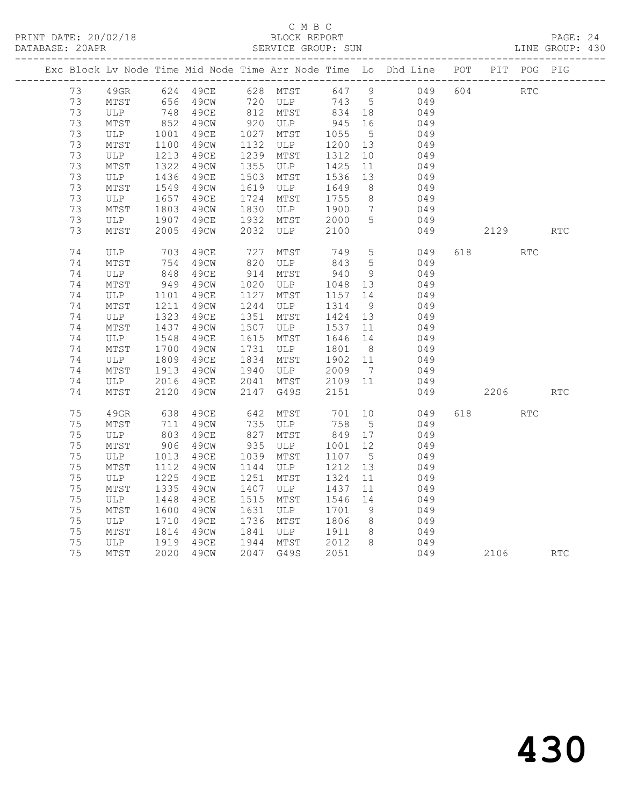|    |      |                          |                                                                         |            |               |         |                 | Exc Block Lv Node Time Mid Node Time Arr Node Time Lo Dhd Line POT PIT POG PIG |     |            |            |            |
|----|------|--------------------------|-------------------------------------------------------------------------|------------|---------------|---------|-----------------|--------------------------------------------------------------------------------|-----|------------|------------|------------|
| 73 |      |                          | 49GR 624 49CE 628 MTST                                                  |            |               |         |                 | 647 9 049                                                                      | 604 | <b>RTC</b> |            |            |
| 73 | MTST |                          | 656    49CW            720    ULP<br>748     49CE           812    MTST |            |               | 743 5   |                 | 049                                                                            |     |            |            |            |
| 73 | ULP  |                          | 748 49CE                                                                |            |               | 834 18  |                 | 049                                                                            |     |            |            |            |
| 73 | MTST | $852$<br>1001            | 49CW                                                                    |            | 920 ULP       | 945 16  |                 | 049                                                                            |     |            |            |            |
| 73 | ULP  |                          | 49CE                                                                    |            | 1027 MTST     | 1055    | $5\overline{)}$ | 049                                                                            |     |            |            |            |
| 73 | MTST | 1100                     | 49CW                                                                    | 1132       | ULP           | 1200    | 13              | 049                                                                            |     |            |            |            |
| 73 | ULP  | 1213                     | 49CE                                                                    |            | 1239 MTST     | 1312    | 10              | 049                                                                            |     |            |            |            |
| 73 | MTST | 1322                     | 49CW                                                                    |            | 1355 ULP      | 1425    | 11              | 049                                                                            |     |            |            |            |
| 73 | ULP  | 1436<br>$1450$<br>$1549$ | 49CE                                                                    | 1503       | MTST          | 1536    | 13              | 049                                                                            |     |            |            |            |
| 73 | MTST |                          | 49CW                                                                    | 1619       | ULP           | 1649    | 8 <sup>8</sup>  | 049                                                                            |     |            |            |            |
| 73 | ULP  | 1657<br>1803             | 49CE                                                                    | 1724       | MTST          | 1755    | 8 <sup>8</sup>  | 049                                                                            |     |            |            |            |
| 73 | MTST |                          | 49CW                                                                    |            | 1830 ULP      | 1900    | $7\overline{)}$ | 049                                                                            |     |            |            |            |
| 73 | ULP  | 1907                     | 49CE                                                                    |            | 1932 MTST     | 2000    | $5^{\circ}$     | 049                                                                            |     |            |            |            |
| 73 | MTST | 2005                     | 49CW                                                                    | 2032       | ULP           | 2100    |                 | 049                                                                            |     | 2129       |            | RTC        |
| 74 | ULP  | 703                      | 49CE                                                                    |            | MTST          | 749     | $5^{\circ}$     | 049                                                                            |     | 618 — 18   | <b>RTC</b> |            |
| 74 | MTST | 754                      | 49CW                                                                    | 727<br>820 | ULP           | 843     | $5\overline{)}$ | 049                                                                            |     |            |            |            |
| 74 | ULP  |                          | 49CE                                                                    | 914        | MTST          | 940     | 9               | 049                                                                            |     |            |            |            |
| 74 | MTST | 848<br>949               | 49CW                                                                    |            | 1020 ULP      | 1048    | 13              | 049                                                                            |     |            |            |            |
| 74 | ULP  | 1101                     | 49CE                                                                    | 1127       | MTST          | 1157 14 |                 | 049                                                                            |     |            |            |            |
| 74 | MTST | 1211                     | 49CW                                                                    | 1244       | ULP           | 1314    | 9               | 049                                                                            |     |            |            |            |
| 74 | ULP  | 1212                     | 49CE                                                                    | 1351       | MTST          | 1424 13 |                 | 049                                                                            |     |            |            |            |
| 74 | MTST | 1437                     | 49CW                                                                    |            | 1507 ULP      | 1537    | 11              | 049                                                                            |     |            |            |            |
| 74 | ULP  | 1548                     | 49CE                                                                    |            | 1615 MTST     | 1646 14 |                 | 049                                                                            |     |            |            |            |
| 74 | MTST | 1700                     | 49CW                                                                    | 1731       | ULP           | 1801    | 8 <sup>8</sup>  | 049                                                                            |     |            |            |            |
| 74 | ULP  |                          | 49CE                                                                    | 1834       | MTST          | 1902 11 |                 | 049                                                                            |     |            |            |            |
| 74 | MTST | $180 - 1913$             | 49CW                                                                    | 1940       | ULP           | 2009    | $\overline{7}$  | 049                                                                            |     |            |            |            |
| 74 | ULP  | 2016                     | 49CE                                                                    |            | 2041 MTST     | 2109 11 |                 | 049                                                                            |     |            |            |            |
| 74 | MTST | 2120                     | 49CW                                                                    |            | 2147 G49S     | 2151    |                 | 049                                                                            |     | 2206       |            | <b>RTC</b> |
| 75 | 49GR | 638                      | 49CE                                                                    | 642        | MTST          | 701     | 10              | 049                                                                            | 618 |            | <b>RTC</b> |            |
| 75 | MTST | 711                      | 49CW                                                                    |            | 735 ULP       | 758     | $5^{\circ}$     | 049                                                                            |     |            |            |            |
| 75 | ULP  |                          | 49CE                                                                    | 827        | MTST          | 849 17  |                 | 049                                                                            |     |            |            |            |
| 75 | MTST | $000$<br>906             | 49CW                                                                    | 935        | ULP           | 1001    | 12              | 049                                                                            |     |            |            |            |
| 75 | ULP  | 1013                     | 49CE                                                                    | 1039       | MTST          | 1107    | $5^{\circ}$     | 049                                                                            |     |            |            |            |
| 75 | MTST | 1112                     | 49CW                                                                    | 1144       | ULP           | 1212    | 13              | 049                                                                            |     |            |            |            |
| 75 | ULP  | 1225                     | 49CE                                                                    | 1251       | MTST          | 1324    | 11              | 049                                                                            |     |            |            |            |
| 75 | MTST | 1335                     | 49CW                                                                    | 1407       | ULP           | 1437    | 11              | 049                                                                            |     |            |            |            |
| 75 | ULP  | 1448                     | 49CE                                                                    | 1515       | MTST          | 1546 14 |                 | 049                                                                            |     |            |            |            |
| 75 | MTST | 1600                     | 49CW                                                                    | 1631       | ULP           | 1701    | 9               | 049                                                                            |     |            |            |            |
| 75 | ULP  | 1710                     | 49CE                                                                    |            | 1736 MTST     | 1806    | 8 <sup>8</sup>  | 049                                                                            |     |            |            |            |
| 75 | MTST | 1814                     | 49CW                                                                    |            | 1841 ULP 1911 |         | 8 <sup>8</sup>  | 049                                                                            |     |            |            |            |
| 75 | ULP  | $^{1814}_{1919}$         | 49CE                                                                    |            | 1944 MTST     | 2012    | 8 <sup>8</sup>  | 049                                                                            |     |            |            |            |
| 75 | MTST |                          | 2020 49CW                                                               |            | 2047 G49S     | 2051    |                 | 049                                                                            |     | 2106       |            | RTC        |
|    |      |                          |                                                                         |            |               |         |                 |                                                                                |     |            |            |            |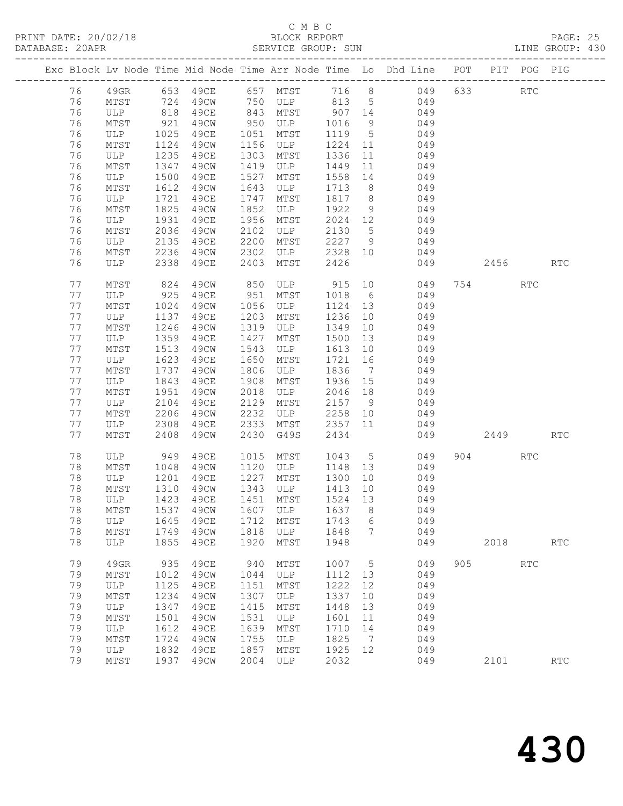| DATABASE: 20APR |    |                       |              |      |      | SERVICE GROUP: SUN                           |         |                | LINE GROUP: 430                                                                  |           |            |                      |  |
|-----------------|----|-----------------------|--------------|------|------|----------------------------------------------|---------|----------------|----------------------------------------------------------------------------------|-----------|------------|----------------------|--|
|                 |    |                       |              |      |      |                                              |         |                | Exc Block Lv Node Time Mid Node Time Arr Node Time Lo Dhd Line POT PIT POG PIG   |           |            |                      |  |
|                 | 76 |                       |              |      |      |                                              |         |                | 49GR 653 49CE 657 MTST 716 8 049 633 RTC                                         |           |            |                      |  |
|                 | 76 | MTST 724              |              |      |      |                                              |         |                | 49CW 750 ULP 813 5 049                                                           |           |            |                      |  |
|                 | 76 | ULP 818<br>MTST 921   |              |      |      |                                              |         |                | 49CE 843 MTST 907 14 049<br>49CW 950 ULP 1016 9 049<br>49CE 1051 MTST 1119 5 049 |           |            |                      |  |
|                 | 76 |                       |              |      |      |                                              |         |                |                                                                                  |           |            |                      |  |
|                 | 76 | ULP 1025              |              |      |      |                                              |         |                |                                                                                  |           |            |                      |  |
|                 | 76 | MTST                  | 1124         | 49CW |      | 1156 ULP                                     |         |                | 1224 11 049                                                                      |           |            |                      |  |
|                 | 76 | ULP                   | 1235         | 49CE |      | 1303 MTST                                    | 1336    |                | 11 049                                                                           |           |            |                      |  |
|                 | 76 | MTST                  | 1347         | 49CW |      | 1419 ULP                                     | 1449    | 11             | 049                                                                              |           |            |                      |  |
|                 | 76 | ULP                   | 1500         | 49CE | 1527 | MTST                                         | 1558 14 |                | 049                                                                              |           |            |                      |  |
|                 | 76 | MTST                  | 1612         | 49CW | 1643 | ULP                                          |         |                | 1713 8 049                                                                       |           |            |                      |  |
|                 | 76 | ULP                   | 1721         | 49CE | 1747 | MTST                                         |         |                | 1817 8 049                                                                       |           |            |                      |  |
|                 | 76 | MTST                  | 1825         | 49CW | 1852 | ULP                                          | 1922 9  |                | 049                                                                              |           |            |                      |  |
|                 | 76 | ULP 1931              |              | 49CE | 1956 | MTST                                         |         |                | $2024$ 12 049                                                                    |           |            |                      |  |
|                 | 76 | MTST                  | 2036         | 49CW | 2102 | ULP                                          |         |                | 2130 5 049                                                                       |           |            |                      |  |
|                 | 76 | ULP                   | 2135         | 49CE | 2200 | MTST                                         |         |                | 2227 9 049                                                                       |           |            |                      |  |
|                 | 76 | MTST 2236<br>ULP 2338 |              |      |      | 49CW 2302 ULP 2328 10<br>49CE 2403 MTST 2426 |         |                | 049                                                                              |           |            |                      |  |
|                 | 76 |                       |              |      |      |                                              |         |                | 049                                                                              | 2456 RTC  |            |                      |  |
|                 | 77 | MTST                  | 824          | 49CW |      |                                              |         |                | 850 ULP 915 10 049                                                               | 754       | RTC        |                      |  |
|                 | 77 | ULP                   |              | 49CE | 951  | MTST                                         | 1018 6  |                | 049                                                                              |           |            |                      |  |
|                 | 77 | MTST                  | 925<br>1024  | 49CW |      | 1056 ULP                                     | 1124 13 |                | 049                                                                              |           |            |                      |  |
|                 | 77 | ULP                   | 1137         | 49CE | 1203 | MTST                                         | 1236    |                | 10 049                                                                           |           |            |                      |  |
|                 | 77 | MTST                  | 1246         | 49CW |      | 1319 ULP                                     | 1349    |                | 10 049                                                                           |           |            |                      |  |
|                 | 77 | ULP                   | 1359<br>1513 | 49CE | 1427 | MTST                                         | 1500    | 13             | 049                                                                              |           |            |                      |  |
|                 | 77 | MTST                  |              | 49CW | 1543 | ULP                                          | 1613 10 |                | 049                                                                              |           |            |                      |  |
|                 | 77 | ULP                   | 1623         | 49CE | 1650 | MTST                                         | 1721 16 |                | 049                                                                              |           |            |                      |  |
|                 | 77 | MTST                  | 1737         | 49CW | 1806 | ULP                                          |         |                | 1836 7 049                                                                       |           |            |                      |  |
|                 | 77 | ULP                   | 1843         | 49CE | 1908 | MTST                                         | 1936 15 |                | 049                                                                              |           |            |                      |  |
|                 | 77 | MTST                  | 1951         | 49CW | 2018 | ULP                                          | 2046 18 |                | 049                                                                              |           |            |                      |  |
|                 | 77 | ULP                   | 2104         | 49CE | 2129 | MTST                                         |         |                | $2157$ 9 049                                                                     |           |            |                      |  |
|                 | 77 | MTST                  | 2206         | 49CW | 2232 |                                              |         |                | ULP 2258 10 049                                                                  |           |            |                      |  |
|                 | 77 | ULP                   | 2308         | 49CE | 2333 |                                              |         |                | MTST 2357 11 049                                                                 |           |            |                      |  |
|                 | 77 | MTST                  | 2408         | 49CW | 2430 | G49S                                         | 2434    |                | 049                                                                              | 2449      |            | <b>RTC</b>           |  |
|                 | 78 | ULP 949               |              | 49CE |      | 1015 MTST 1043 5                             |         |                | 049                                                                              | 904 — 100 | RTC        |                      |  |
|                 | 78 | MTST                  | 1048         | 49CW |      | 1120 ULP                                     |         |                | 1148 13 049                                                                      |           |            |                      |  |
|                 | 78 | ULP                   | 1201<br>1310 | 49CE |      | 1227 MTST 1300 10<br>$1343$ ULP $1413$ 10    |         |                | 049                                                                              |           |            |                      |  |
|                 | 78 | MTST                  |              | 49CW |      |                                              |         |                | 049                                                                              |           |            |                      |  |
|                 |    |                       |              |      |      |                                              |         |                | 78 ULP 1423 49CE 1451 MTST 1524 13 049                                           |           |            |                      |  |
|                 | 78 | MTST                  | 1537         | 49CW | 1607 | ULP                                          | 1637    | 8              | 049                                                                              |           |            |                      |  |
|                 | 78 | ULP                   | 1645         | 49ce | 1712 | MTST                                         | 1743    | 6              | 049                                                                              |           |            |                      |  |
|                 | 78 | MTST                  | 1749         | 49CW | 1818 | ULP                                          | 1848    | 7              | 049                                                                              |           |            |                      |  |
|                 | 78 | ULP                   | 1855         | 49CE | 1920 | MTST                                         | 1948    |                | 049                                                                              |           | 2018       | $\operatorname{RTC}$ |  |
|                 | 79 | 49GR                  | 935          | 49CE | 940  | MTST                                         | 1007 5  |                | 049                                                                              | 905       | <b>RTC</b> |                      |  |
|                 | 79 | MTST                  | 1012         | 49CW | 1044 | ULP                                          | 1112 13 |                | 049                                                                              |           |            |                      |  |
|                 | 79 | ULP                   | 1125         | 49CE | 1151 | MTST                                         | 1222    | 12             | 049                                                                              |           |            |                      |  |
|                 | 79 | MTST                  | 1234         | 49CW | 1307 | ULP                                          | 1337    | 10             | 049                                                                              |           |            |                      |  |
|                 | 79 | ULP                   | 1347         | 49CE | 1415 | MTST                                         | 1448    | 13             | 049                                                                              |           |            |                      |  |
|                 | 79 | MTST                  | 1501         | 49CW | 1531 | ULP                                          | 1601    | 11             | 049                                                                              |           |            |                      |  |
|                 | 79 | ULP                   | 1612         | 49CE | 1639 | MTST                                         | 1710    | 14             | 049                                                                              |           |            |                      |  |
|                 | 79 | MTST                  | 1724         | 49CW | 1755 | ULP                                          | 1825    | $\overline{7}$ | 049                                                                              |           |            |                      |  |
|                 | 79 | ULP                   | 1832         | 49CE | 1857 | MTST                                         | 1925    | 12             | 049                                                                              |           |            |                      |  |
|                 | 79 | MTST                  | 1937         | 49CW | 2004 | ULP                                          | 2032    |                | 049                                                                              |           | 2101       | RTC                  |  |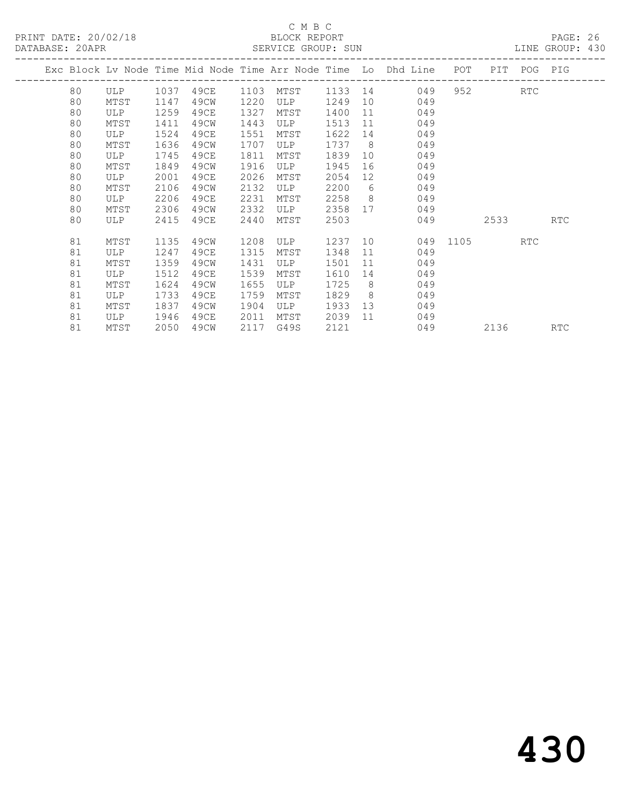# C M B C<br>BLOCK REPORT

| DATABASE: 20APR |      |      |      |      |      |      |         |                 | SERVICE GROUP: SUN                                                             |              |         | LINE GROUP: 430 |  |
|-----------------|------|------|------|------|------|------|---------|-----------------|--------------------------------------------------------------------------------|--------------|---------|-----------------|--|
|                 |      |      |      |      |      |      |         |                 | Exc Block Lv Node Time Mid Node Time Arr Node Time Lo Dhd Line POT PIT POG PIG |              |         |                 |  |
|                 | 80 — |      |      |      |      |      |         |                 | ULP 1037 49CE 1103 MTST 1133 14 049                                            |              | 952 RTC |                 |  |
|                 | 80   | MTST | 1147 | 49CW | 1220 | ULP  | 1249    |                 | 10<br>049                                                                      |              |         |                 |  |
|                 | 80   | ULP  | 1259 | 49CE | 1327 | MTST | 1400    | 11              | 049                                                                            |              |         |                 |  |
|                 | 80   | MTST | 1411 | 49CW | 1443 | ULP  | 1513    | 11              | 049                                                                            |              |         |                 |  |
|                 | 80   | ULP  | 1524 | 49CE | 1551 | MTST | 1622    | 14              | 049                                                                            |              |         |                 |  |
|                 | 80   | MTST | 1636 | 49CW | 1707 | ULP  | 1737    | 8 <sup>8</sup>  | 049                                                                            |              |         |                 |  |
|                 | 80   | ULP  | 1745 | 49CE | 1811 | MTST | 1839    | 10              | 049                                                                            |              |         |                 |  |
|                 | 80   | MTST | 1849 | 49CW | 1916 | ULP  | 1945    | 16              | 049                                                                            |              |         |                 |  |
|                 | 80   | ULP  | 2001 | 49CE | 2026 | MTST | 2054    | 12 <sup>°</sup> | 049                                                                            |              |         |                 |  |
|                 | 80   | MTST | 2106 | 49CW | 2132 | ULP  | 2200    | 6               | 049                                                                            |              |         |                 |  |
|                 | 80   | ULP  | 2206 | 49CE | 2231 | MTST | 2258    | 8 <sup>8</sup>  | 049                                                                            |              |         |                 |  |
|                 | 80   | MTST | 2306 | 49CW | 2332 | ULP  | 2358    |                 | 049                                                                            |              |         |                 |  |
|                 | 80   | ULP  | 2415 | 49CE | 2440 | MTST | 2503    |                 | 049                                                                            |              | 2533    | <b>RTC</b>      |  |
|                 | 81   | MTST | 1135 | 49CW | 1208 | ULP  | 1237 10 |                 |                                                                                | 049 1105 RTC |         |                 |  |
|                 | 81   | ULP  | 1247 | 49CE | 1315 | MTST | 1348    | 11              | 049                                                                            |              |         |                 |  |
|                 | 81   | MTST | 1359 | 49CW | 1431 | ULP  | 1501    | 11              | 049                                                                            |              |         |                 |  |
|                 | 81   | ULP  | 1512 | 49CE | 1539 | MTST | 1610    | 14              | 049                                                                            |              |         |                 |  |
|                 | 81   | MTST | 1624 | 49CW | 1655 | ULP  | 1725    | 8               | 049                                                                            |              |         |                 |  |
|                 | 81   | ULP  | 1733 | 49CE | 1759 | MTST | 1829    | 8 <sup>8</sup>  | 049                                                                            |              |         |                 |  |
|                 | 81   | MTST | 1837 | 49CW | 1904 | ULP  | 1933    |                 | 13<br>049                                                                      |              |         |                 |  |
|                 | 81   | ULP  | 1946 | 49CE | 2011 | MTST | 2039    | 11              | 049                                                                            |              |         |                 |  |
|                 | 81   | MTST | 2050 | 49CW | 2117 | G49S | 2121    |                 |                                                                                | 049          | 2136    | <b>RTC</b>      |  |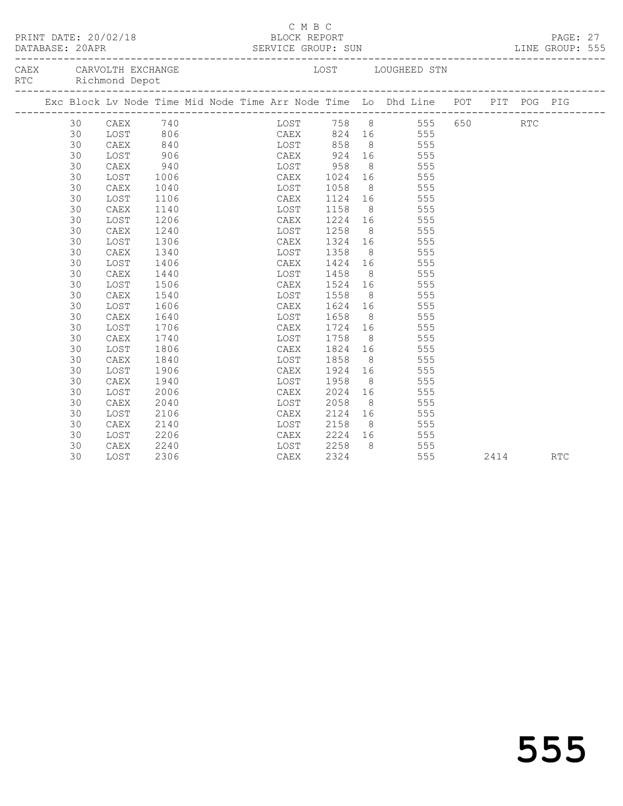| PRINT DATE: 20/02/18 BLOCK REPORT |    |                                                                                |      |  | C M B C |      |  |                   |                |                                                     |             | PAGE: 27 |      |            |  |
|-----------------------------------|----|--------------------------------------------------------------------------------|------|--|---------|------|--|-------------------|----------------|-----------------------------------------------------|-------------|----------|------|------------|--|
| CAEX CARVOLTH EXCHANGE<br>RTC     |    | Richmond Depot                                                                 |      |  |         |      |  |                   |                | LOST LOUGHEED STN                                   |             |          |      |            |  |
|                                   |    | Exc Block Lv Node Time Mid Node Time Arr Node Time Lo Dhd Line POT PIT POG PIG |      |  |         |      |  |                   |                |                                                     |             |          |      |            |  |
|                                   | 30 |                                                                                |      |  |         |      |  |                   |                |                                                     | 555 650 RTC |          |      |            |  |
|                                   | 30 |                                                                                |      |  |         |      |  |                   |                |                                                     | 555         |          |      |            |  |
|                                   | 30 | CAEX 740<br>LOST 806<br>CAEX 840<br>CAEX                                       |      |  |         |      |  |                   |                | 10ST 758 8 555<br>CAEX 824 16 555<br>10ST 858 8 555 |             |          |      |            |  |
|                                   | 30 | LOST                                                                           | 906  |  |         |      |  |                   |                | CAEX 924 16 555                                     |             |          |      |            |  |
|                                   | 30 | CAEX                                                                           | 940  |  |         |      |  | LOST 958          |                | 8 555                                               |             |          |      |            |  |
|                                   | 30 | LOST                                                                           | 1006 |  |         | CAEX |  |                   |                | 1024 16 555                                         |             |          |      |            |  |
|                                   | 30 | CAEX                                                                           | 1040 |  |         | LOST |  |                   |                |                                                     | 555         |          |      |            |  |
|                                   | 30 | LOST                                                                           | 1106 |  |         | CAEX |  | 1058 8<br>1124 16 |                |                                                     | 555         |          |      |            |  |
|                                   | 30 | CAEX                                                                           | 1140 |  |         | LOST |  | 1158              |                | $8$ 555                                             |             |          |      |            |  |
|                                   | 30 | LOST                                                                           | 1206 |  |         | CAEX |  |                   |                | 1224 16 555                                         |             |          |      |            |  |
|                                   | 30 | CAEX                                                                           | 1240 |  |         | LOST |  | 1258              |                | 8 555                                               |             |          |      |            |  |
|                                   | 30 | LOST                                                                           | 1306 |  |         | CAEX |  |                   |                | 1324 16 555                                         |             |          |      |            |  |
|                                   | 30 | CAEX                                                                           | 1340 |  |         | LOST |  |                   |                |                                                     | 555         |          |      |            |  |
|                                   | 30 | LOST                                                                           | 1406 |  |         | CAEX |  | 1358 8<br>1424 16 |                |                                                     | 555         |          |      |            |  |
|                                   | 30 | ${\tt CAEX}$                                                                   | 1440 |  |         | LOST |  | 1458              |                | 8 555                                               |             |          |      |            |  |
|                                   | 30 | LOST                                                                           | 1506 |  |         | CAEX |  |                   |                | 1524 16 555                                         |             |          |      |            |  |
|                                   | 30 | ${\tt CAEX}$                                                                   | 1540 |  |         | LOST |  | 1558              |                | 8 555                                               |             |          |      |            |  |
|                                   | 30 | LOST                                                                           | 1606 |  |         | CAEX |  |                   |                | 1624 16 555                                         |             |          |      |            |  |
|                                   | 30 | CAEX                                                                           | 1640 |  |         | LOST |  | 1658              |                |                                                     |             |          |      |            |  |
|                                   | 30 | LOST                                                                           | 1706 |  |         | CAEX |  |                   |                | 1658 8 555<br>1724 16 555                           |             |          |      |            |  |
|                                   | 30 | CAEX                                                                           | 1740 |  |         | LOST |  | 1758              |                | 8 555                                               |             |          |      |            |  |
|                                   | 30 | LOST                                                                           | 1806 |  |         | CAEX |  |                   |                | 1824 16 555                                         |             |          |      |            |  |
|                                   | 30 | CAEX                                                                           | 1840 |  |         | LOST |  | 1858              |                | 8 555                                               |             |          |      |            |  |
|                                   | 30 | LOST                                                                           | 1906 |  |         | CAEX |  | 1924              |                | 16 555                                              |             |          |      |            |  |
|                                   | 30 | CAEX                                                                           | 1940 |  |         | LOST |  | 1958              | 8 <sup>8</sup> |                                                     | 555         |          |      |            |  |
|                                   | 30 | LOST                                                                           | 2006 |  |         | CAEX |  |                   |                | 2024 16 555                                         |             |          |      |            |  |
|                                   | 30 | CAEX                                                                           | 2040 |  |         | LOST |  | 2058              |                | 8 555                                               |             |          |      |            |  |
|                                   | 30 | LOST                                                                           | 2106 |  |         | CAEX |  |                   |                | 2124 16 555                                         |             |          |      |            |  |
|                                   | 30 | ${\tt CAEX}$                                                                   | 2140 |  |         | LOST |  | 2158              |                | 8 555                                               |             |          |      |            |  |
|                                   | 30 | LOST                                                                           | 2206 |  |         | CAEX |  | 2224 16           |                |                                                     | 555         |          |      |            |  |
|                                   | 30 | CAEX                                                                           | 2240 |  |         |      |  | LOST 2258         | 8 <sup>8</sup> |                                                     | 555         |          |      |            |  |
|                                   | 30 | LOST                                                                           | 2306 |  |         | CAEX |  | 2324              |                |                                                     | 555         |          | 2414 | <b>RTC</b> |  |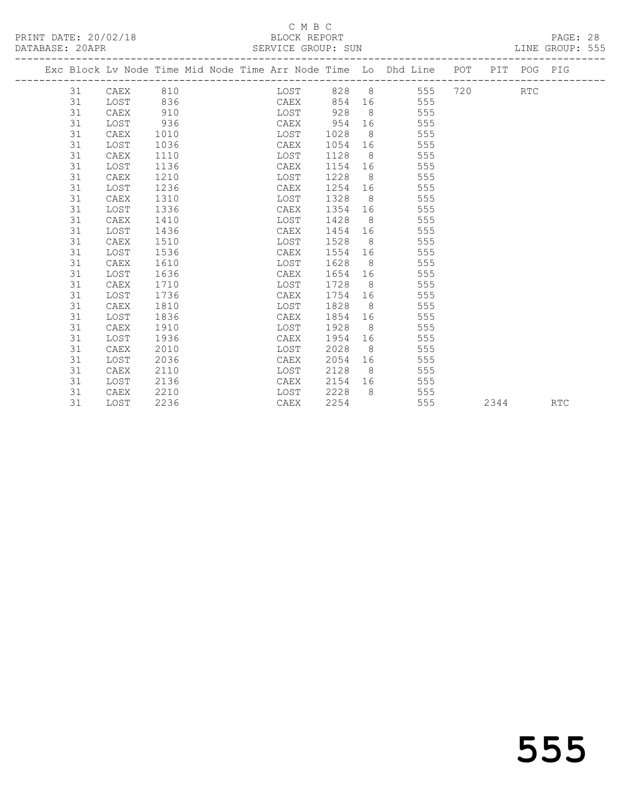### C M B C<br>BLOCK REPORT SERVICE GROUP: SUN

|    |          |      |  |                     |         |    | Exc Block Lv Node Time Mid Node Time Arr Node Time Lo Dhd Line POT PIT POG PIG |  |            |  |
|----|----------|------|--|---------------------|---------|----|--------------------------------------------------------------------------------|--|------------|--|
| 31 | CAEX 810 |      |  | <b>Example 1988</b> |         |    | 828 8 555 720                                                                  |  | <b>RTC</b> |  |
| 31 | LOST     | 836  |  | CAEX                | 854     |    | 555                                                                            |  |            |  |
| 31 | CAEX     | 910  |  | LOST                | 928     |    | $8\degree$<br>555                                                              |  |            |  |
| 31 | LOST     | 936  |  | CAEX                | 954     | 16 | 555                                                                            |  |            |  |
| 31 | CAEX     | 1010 |  | LOST                | 1028    |    | 8<br>555                                                                       |  |            |  |
| 31 | LOST     | 1036 |  | CAEX                | 1054    | 16 | 555                                                                            |  |            |  |
| 31 | CAEX     | 1110 |  | LOST                | 1128    |    | 8 <sup>1</sup><br>555                                                          |  |            |  |
| 31 | LOST     | 1136 |  | CAEX                | 1154    |    | 555                                                                            |  |            |  |
| 31 | CAEX     | 1210 |  | LOST                | 1228    |    | 8<br>555                                                                       |  |            |  |
| 31 | LOST     | 1236 |  | CAEX                | 1254    |    | 555                                                                            |  |            |  |
| 31 | CAEX     | 1310 |  | LOST                | 1328    |    | $8 \overline{)}$<br>555                                                        |  |            |  |
| 31 | LOST     | 1336 |  | CAEX                | 1354    | 16 | 555                                                                            |  |            |  |
| 31 | CAEX     | 1410 |  | LOST                | 1428    |    | 8<br>555                                                                       |  |            |  |
| 31 | LOST     | 1436 |  | CAEX                | 1454    | 16 | 555                                                                            |  |            |  |
| 31 | CAEX     | 1510 |  | LOST                | 1528    |    | 555<br>8 <sup>1</sup>                                                          |  |            |  |
| 31 | LOST     | 1536 |  | CAEX                | 1554    |    | 555                                                                            |  |            |  |
| 31 | CAEX     | 1610 |  | LOST                | 1628    |    | 555                                                                            |  |            |  |
| 31 | LOST     | 1636 |  | CAEX                | 1654    |    | 555<br>16 16                                                                   |  |            |  |
| 31 | CAEX     | 1710 |  | LOST                | 1728    |    | $8 \overline{)}$<br>555                                                        |  |            |  |
| 31 | LOST     | 1736 |  | CAEX                | 1754    | 16 | 555                                                                            |  |            |  |
| 31 | CAEX     | 1810 |  | LOST                | 1828    |    | 8<br>555                                                                       |  |            |  |
| 31 | LOST     | 1836 |  | CAEX                | 1854    | 16 | 555                                                                            |  |            |  |
| 31 | CAEX     | 1910 |  | LOST                | 1928    |    | $8 \overline{)}$<br>555                                                        |  |            |  |
| 31 | LOST     | 1936 |  | CAEX                | 1954 16 |    | 555                                                                            |  |            |  |

 31 CAEX 2010 LOST 2028 8 555 31 LOST 2036 CAEX 2054 16 555 31 CAEX 2110 LOST 2128 8 555 31 LOST 2136 CAEX 2154 16 555 31 CAEX 2210 LOST 2228 8 555

31 LOST 2236 CAEX 2254 555 2344 RTC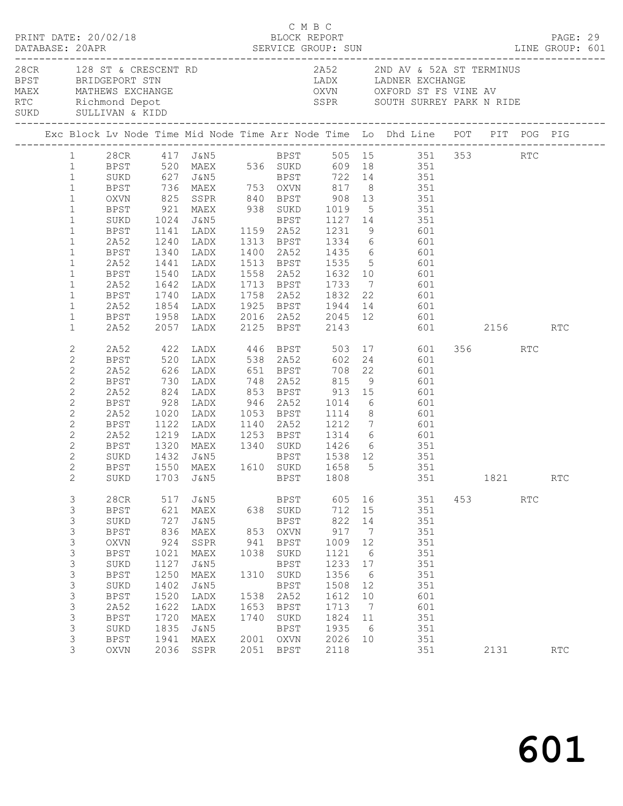|                                                                                                                                                                                                              | PRINT DATE: 20/02/18                                                                                                                                                                                                |                                                                                                         |                                                                                                                                                              |                                                                   | C M B C<br>BLOCK REPORT                                                                                                                                            |                                                                                                                  |                                                                                                                                     |                                                                                                                                                                                                                                                                                     |     |         |     | PAGE: 29             |  |
|--------------------------------------------------------------------------------------------------------------------------------------------------------------------------------------------------------------|---------------------------------------------------------------------------------------------------------------------------------------------------------------------------------------------------------------------|---------------------------------------------------------------------------------------------------------|--------------------------------------------------------------------------------------------------------------------------------------------------------------|-------------------------------------------------------------------|--------------------------------------------------------------------------------------------------------------------------------------------------------------------|------------------------------------------------------------------------------------------------------------------|-------------------------------------------------------------------------------------------------------------------------------------|-------------------------------------------------------------------------------------------------------------------------------------------------------------------------------------------------------------------------------------------------------------------------------------|-----|---------|-----|----------------------|--|
|                                                                                                                                                                                                              | 28CR 128 ST & CRESCENT RD<br>BPST BRIDGEPORT STN<br>MAEX MATHEWS EXCHANGE<br>RTC Richmond Depot<br>SUKD SULLIVAN & KIDD                                                                                             |                                                                                                         |                                                                                                                                                              |                                                                   |                                                                                                                                                                    |                                                                                                                  |                                                                                                                                     | 2A52 2ND AV & 52A ST TERMINUS<br>LADX LADNER EXCHANGE<br>OXVN OXFORD ST FS VINE AV<br>SSPR SOUTH SURREY PARK N RIDE                                                                                                                                                                 |     |         |     |                      |  |
|                                                                                                                                                                                                              |                                                                                                                                                                                                                     |                                                                                                         |                                                                                                                                                              |                                                                   |                                                                                                                                                                    |                                                                                                                  |                                                                                                                                     | Exc Block Lv Node Time Mid Node Time Arr Node Time Lo Dhd Line POT PIT POG PIG                                                                                                                                                                                                      |     |         |     |                      |  |
| $\mathbf{1}$<br>$\mathbf{1}$<br>$\mathbf{1}$<br>$\mathbf{1}$<br>$\mathbf{1}$<br>$\mathbf{1}$<br>$\mathbf{1}$<br>$\mathbf{1}$<br>$\mathbf{1}$<br>$\mathbf{1}$<br>$\mathbf{1}$<br>$\mathbf{1}$<br>$\mathbf{1}$ | SUKD 627 J&N5 BPST 722 14 351<br>BPST 736 MAEX 753 OXVN 817 8 351<br>OXVN 825 SSPR 840 BPST 908 13 351<br>BPST 921 MAEX 938 SUKD 1019 5 351<br>SUKD<br>BPST<br>2A52<br>BPST<br>2A52<br>BPST<br>2A52<br>BPST<br>2A52 | 1340<br>1441                                                                                            |                                                                                                                                                              |                                                                   |                                                                                                                                                                    |                                                                                                                  |                                                                                                                                     | 1 28CR 417 J&N5 BPST 505 15 351 353 RTC<br>1 BPST 520 MAEX 536 SUKD 609 18 351<br>LADX 1400 2A52 1435 6 601<br>LADX 1513 BPST 1535 5 601<br>1540 LADX 1558 2A52 1632 10 601<br>1642 LADX 1713 BPST 1733 7 601<br>1740 LADX 1758 2A52 1832 22 601<br>1854 LADX 1925 BPST 1944 14 601 |     |         |     |                      |  |
| $\mathbf{1}$<br>$\mathbf{1}$                                                                                                                                                                                 | BPST<br>2A52                                                                                                                                                                                                        |                                                                                                         |                                                                                                                                                              |                                                                   |                                                                                                                                                                    |                                                                                                                  |                                                                                                                                     | 601 2156 RTC                                                                                                                                                                                                                                                                        |     |         |     |                      |  |
| $\mathbf{2}$<br>2<br>$\mathbf{2}$<br>$\mathbf{2}$<br>$\mathbf{2}$<br>$\mathbf{2}$<br>$\mathbf{2}$<br>$\mathbf{2}$<br>$\mathbf{2}$<br>2<br>$\mathbf{2}$<br>$\mathbf{2}$<br>$\overline{2}$                     | BPST<br>2A52<br>BPST<br>2A52<br>BPST<br>2A52<br>BPST<br>2A52<br>BPST<br>SUKD<br>BPST                                                                                                                                | 1320                                                                                                    | 1020 LADX<br>1122 LADX                                                                                                                                       |                                                                   |                                                                                                                                                                    |                                                                                                                  |                                                                                                                                     | 2A52 422 LADX 446 BPST 503 17 601<br>824 LADX 853 BPST 913 15 601<br>928 LADX 946 2A52 1014 6 601<br>1020 LADX 1053 BPST 1114 8 601<br>1122 LADX 1140 2A52 1212 7 601<br>1219 LADX 1253 BPST 1314 6 601<br>MAEX 1340 SUKD 1426 6 351<br>SUKD 1703 J&N5 BPST 1808 351 1821           |     | 356 RTC |     | RTC                  |  |
| 3<br>3<br>3<br>3<br>$\mathsf 3$<br>$\mathfrak{Z}$<br>$\mathfrak{Z}$<br>$\mathsf 3$<br>$\mathsf 3$<br>$\mathfrak{Z}$<br>3<br>3<br>3<br>3<br>3                                                                 | 28CR<br><b>BPST</b><br>SUKD<br><b>BPST</b><br><b>OXVN</b><br><b>BPST</b><br>SUKD<br><b>BPST</b><br>SUKD<br><b>BPST</b><br>2A52<br><b>BPST</b><br>SUKD<br><b>BPST</b><br>OXVN                                        | 517<br>621<br>727<br>836<br>924<br>1021<br>1127<br>1250<br>1402<br>1520<br>1622<br>1720<br>1835<br>1941 | J&N5<br>MAEX<br>J&N5<br>MAEX<br>SSPR<br>$\ensuremath{\mathsf{MAEX}}$<br><b>J&amp;N5</b><br>MAEX<br>J&N5<br>LADX<br>LADX<br>MAEX<br>J&N5<br>MAEX<br>2036 SSPR | 638<br>853<br>941<br>1038<br>1310<br>1538<br>1653<br>1740<br>2001 | BPST<br>SUKD<br>BPST<br>OXVN<br><b>BPST</b><br>SUKD<br><b>BPST</b><br>SUKD<br><b>BPST</b><br>2A52<br><b>BPST</b><br>$\rm SUKD$<br><b>BPST</b><br>OXVN<br>2051 BPST | 605<br>712<br>822<br>917<br>1009<br>1121<br>1233<br>1356<br>1508<br>1612<br>1713<br>1824<br>1935<br>2026<br>2118 | 16<br>15<br>14<br>$\overline{7}$<br>12<br>$6\overline{6}$<br>17<br>$6\overline{6}$<br>12<br>10<br>$\overline{7}$<br>11<br>- 6<br>10 | 351<br>351<br>351<br>351<br>351<br>351<br>351<br>351<br>351<br>601<br>601<br>351<br>351<br>351<br>351                                                                                                                                                                               | 453 | 2131    | RTC | $\operatorname{RTC}$ |  |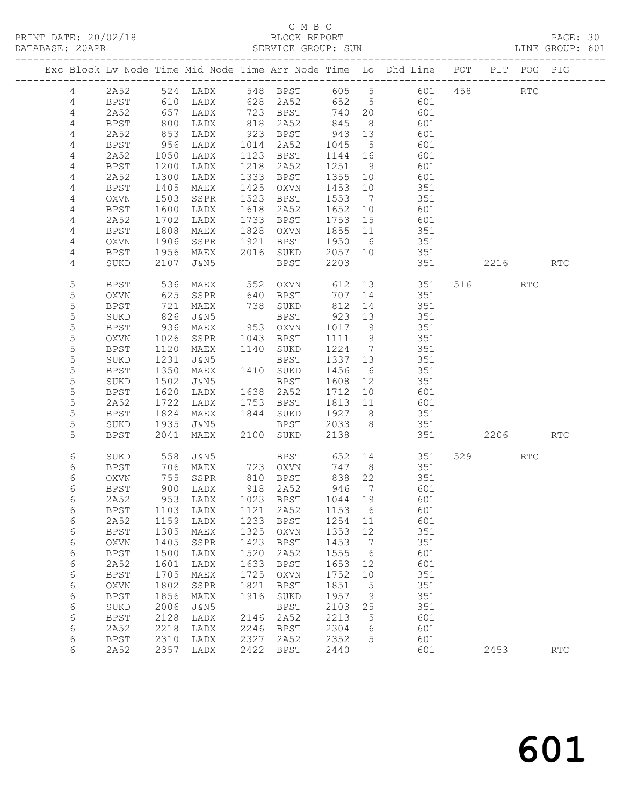# C M B C<br>BLOCK REPORT

| DATABASE: 20APR |             |                   |                              |      | SERVICE GROUP: SUN               |                      |                 |                                                                                |          |     | LINE GROUP: 601 |  |
|-----------------|-------------|-------------------|------------------------------|------|----------------------------------|----------------------|-----------------|--------------------------------------------------------------------------------|----------|-----|-----------------|--|
|                 |             |                   |                              |      |                                  |                      |                 | Exc Block Lv Node Time Mid Node Time Arr Node Time Lo Dhd Line POT PIT POG PIG |          |     |                 |  |
|                 |             |                   |                              |      |                                  |                      |                 | 4 2A52 524 LADX 548 BPST 605 5 601 458 RTC                                     |          |     |                 |  |
| 4               | BPST        |                   |                              |      |                                  |                      |                 | 610 LADX 628 2A52 652 5 601                                                    |          |     |                 |  |
| 4               | 2A52        | 657<br>800<br>853 | LADX                         |      | 723 BPST<br>818 2A52<br>923 BPST | 740 20               |                 | 601                                                                            |          |     |                 |  |
| 4               | <b>BPST</b> |                   | LADX                         |      |                                  | 845 8<br>943 13      |                 | 601                                                                            |          |     |                 |  |
| 4               | 2A52        |                   | LADX                         |      |                                  |                      |                 | 601                                                                            |          |     |                 |  |
| 4               | BPST        | 956               | LADX                         |      | 1014 2A52                        | 1045                 | $5^{\circ}$     | 601                                                                            |          |     |                 |  |
| 4               | 2A52        | 1050              | LADX                         |      | 1123 BPST                        | 1144 16              |                 | 601                                                                            |          |     |                 |  |
| 4               | BPST        | 1200              | LADX                         |      | 1218 2A52                        | 1251 9               |                 | 601                                                                            |          |     |                 |  |
| 4               | 2A52        | 1300              | LADX                         |      | 1333 BPST                        | 1355 10              |                 | 601                                                                            |          |     |                 |  |
| 4               | BPST        | 1405              | MAEX                         |      | 1425 OXVN                        | 1453 10              |                 | 351                                                                            |          |     |                 |  |
| 4               | OXVN        | 1503              | SSPR                         |      | 1523 BPST                        | 1553                 | $\overline{7}$  | 351                                                                            |          |     |                 |  |
| 4               | BPST        | 1600              | LADX                         |      | 1618 2A52                        | 1652 10              |                 | 601                                                                            |          |     |                 |  |
| 4               | 2A52        | 1702              | LADX                         |      | 1733 BPST                        | 1753 15              |                 | 601                                                                            |          |     |                 |  |
| 4               | BPST        | 1808              | MAEX                         |      | 1828 OXVN                        | 1855 11              |                 | 351                                                                            |          |     |                 |  |
| 4               | OXVN        | 1906              | SSPR                         |      | 1921 BPST 1950 6                 |                      |                 | 351                                                                            |          |     |                 |  |
| 4               | BPST        | 1956              | MAEX                         |      | 2016 SUKD 2057 10                |                      |                 | 351                                                                            |          |     |                 |  |
| 4               | SUKD        | 2107              | J&N5                         |      | BPST                             | 2203                 |                 | 351                                                                            | 2216 RTC |     |                 |  |
| $\mathsf S$     | BPST        | 536               | MAEX                         |      |                                  |                      |                 | 552 OXVN 612 13 351                                                            | 516 7    | RTC |                 |  |
| $\mathsf S$     | OXVN        | 625<br>721        | SSPR                         |      |                                  | 707 14               |                 | 351                                                                            |          |     |                 |  |
| $\mathsf S$     | BPST        |                   | MAEX                         |      | 640 BPST<br>738 SUKD<br>BPST     | 812 14               |                 | 351                                                                            |          |     |                 |  |
| $\mathsf S$     | SUKD        | 826               | J&N5                         |      | BPST                             | 923 13               |                 | 351                                                                            |          |     |                 |  |
| 5               | BPST        | 936               | MAEX                         |      | 953 OXVN                         | 1017 9               |                 | 351                                                                            |          |     |                 |  |
| 5               | OXVN        | 1026              | SSPR                         |      | 1043 BPST                        | 1111 9               |                 | 351                                                                            |          |     |                 |  |
| $\mathsf S$     | BPST        | 1120              | MAEX                         |      | 1140 SUKD                        | 1224 7               |                 | 351                                                                            |          |     |                 |  |
| 5               | SUKD        | 1231              | J&N5                         |      | BPST                             | 1337 13              |                 | 351                                                                            |          |     |                 |  |
| 5               | <b>BPST</b> | 1350              | MAEX                         |      | 1410 SUKD                        | 1456                 | 6               | 351                                                                            |          |     |                 |  |
| 5               | SUKD        | 1502              | J&N5                         |      | BPST                             | 1608                 | 12              | 351                                                                            |          |     |                 |  |
| $\mathsf S$     | BPST        | 1620              | LADX                         |      | 1638 2A52                        | 1712 10              |                 | 601                                                                            |          |     |                 |  |
| 5               | 2A52        | 1722              | LADX                         |      | 1753 BPST                        | 1813 11              |                 | 601                                                                            |          |     |                 |  |
| 5               | BPST        | 1824              | MAEX                         |      | 1844 SUKD 1927 8                 |                      |                 | 351                                                                            |          |     |                 |  |
| 5               | SUKD        | 1935              | J&N5                         |      | BPST 2033 8                      |                      |                 | 351                                                                            |          |     |                 |  |
| 5               | <b>BPST</b> | 2041              | MAEX                         |      | 2100 SUKD                        | 2138                 |                 |                                                                                | 2206     |     | RTC             |  |
| 6               | SUKD        | 558               | J&N5                         |      | BPST 652 14                      |                      |                 | 351                                                                            | 529      | RTC |                 |  |
| 6               | BPST        | 706               | MAEX                         |      | 723 OXVN                         | 747 8                |                 | 351                                                                            |          |     |                 |  |
| 6               | OXVN        |                   | 755 SSPR<br>900 LADX<br>SSPR |      | 810    BPST<br>918    2A52       | 838<br>946<br>838 22 |                 | 351                                                                            |          |     |                 |  |
| 6               | <b>BPST</b> |                   |                              |      |                                  |                      | $\overline{7}$  | 601                                                                            |          |     |                 |  |
| 6               | 2A52        |                   |                              |      |                                  |                      |                 | 953 LADX 1023 BPST 1044 19 601                                                 |          |     |                 |  |
| 6               | BPST        | 1103              | LADX                         | 1121 | 2A52                             | 1153 6               |                 | 601                                                                            |          |     |                 |  |
| 6               | 2A52        | 1159              | LADX                         | 1233 | BPST                             | 1254 11              |                 | 601                                                                            |          |     |                 |  |
| 6               | <b>BPST</b> | 1305              | MAEX                         | 1325 | OXVN                             | 1353                 | 12              | 351                                                                            |          |     |                 |  |
| 6               | OXVN        | 1405              | SSPR                         | 1423 | BPST                             | 1453                 | $\overline{7}$  | 351                                                                            |          |     |                 |  |
| 6               | <b>BPST</b> | 1500              | LADX                         | 1520 | 2A52                             | 1555                 | $6\overline{6}$ | 601                                                                            |          |     |                 |  |
| 6               | 2A52        | 1601              | LADX                         | 1633 | BPST                             | 1653                 | 12              | 601                                                                            |          |     |                 |  |
| 6               | <b>BPST</b> | 1705              | MAEX                         | 1725 | OXVN                             | 1752 10              |                 | 351                                                                            |          |     |                 |  |
| 6               | OXVN        | 1802              | SSPR                         | 1821 | BPST                             | 1851                 | $5^{\circ}$     | 351                                                                            |          |     |                 |  |
| 6               | <b>BPST</b> | 1856              | MAEX                         | 1916 | SUKD                             | 1957                 | $\overline{9}$  | 351                                                                            |          |     |                 |  |
| 6               | SUKD        | 2006              | J&N5                         |      | BPST                             | 2103                 | 25              | 351                                                                            |          |     |                 |  |
| 6               | <b>BPST</b> | 2128              | LADX                         | 2146 | 2A52                             | 2213                 | $5^{\circ}$     | 601                                                                            |          |     |                 |  |
| 6               | 2A52        | 2218              | LADX                         | 2246 | BPST                             | 2304                 | 6               | 601                                                                            |          |     |                 |  |
| 6               | BPST        | 2310              | LADX                         | 2327 | 2A52                             | 2352                 | 5               | 601                                                                            |          |     |                 |  |
| 6               | 2A52        |                   | 2357 LADX                    | 2422 | BPST                             | 2440                 |                 | 601                                                                            | 2453     |     | <b>RTC</b>      |  |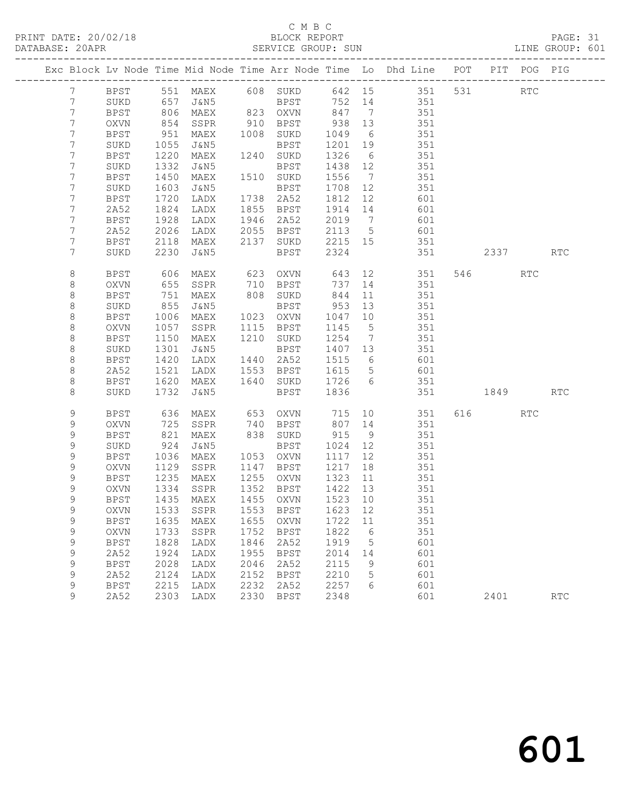PRINT DATE: 20/02/18 BLOCK REPORT BATABASE: 20APR BLOCK REPORT

# C M B C<br>BLOCK REPORT

PAGE: 31<br>LINE GROUP: 601

|                  |                     |                   |                      |              |                        |                 |                 | Exc Block Lv Node Time Mid Node Time Arr Node Time Lo Dhd Line POT PIT POG PIG |          |                      |                             |
|------------------|---------------------|-------------------|----------------------|--------------|------------------------|-----------------|-----------------|--------------------------------------------------------------------------------|----------|----------------------|-----------------------------|
| 7                | BPST                |                   | 551 MAEX 608 SUKD    |              |                        |                 |                 | 642 15 351 531                                                                 |          | $\operatorname{RTC}$ |                             |
| $7\phantom{.}$   | SUKD                | 657               | J&N5                 |              | <b>BPST</b>            |                 |                 | 752 14 351                                                                     |          |                      |                             |
| $7\phantom{.0}$  | BPST                |                   | 806 MAEX<br>854 SSPR |              | 823 OXVN               |                 |                 | 351                                                                            |          |                      |                             |
| $7\phantom{.0}$  | OXVN                |                   |                      |              | 910 BPST               | $847$<br>938 13 |                 | 351                                                                            |          |                      |                             |
| 7                | BPST                | 951               | MAEX                 |              | 1008 SUKD              | 1049            | 6               | 351                                                                            |          |                      |                             |
| 7                | SUKD                | 1055              | J&N5                 |              | BPST                   | 1201            | 19              | 351                                                                            |          |                      |                             |
| 7                | BPST                | 1220              | MAEX                 |              | 1240 SUKD              | 1326            | 6               | 351                                                                            |          |                      |                             |
| 7                | SUKD                | 1332              | J&N5                 |              | BPST                   | 1438 12         |                 | 351                                                                            |          |                      |                             |
| 7                | BPST                | 1450              | MAEX                 |              | 1510 SUKD              | 1556            | $\overline{7}$  | 351                                                                            |          |                      |                             |
| 7                | SUKD                | 1603              | J&N5                 |              | BPST                   | 1708            | 12              | 351                                                                            |          |                      |                             |
| 7                | <b>BPST</b>         | 1720              | LADX                 |              | 1738 2A52              | 1812            | 12              | 601                                                                            |          |                      |                             |
| 7                | 2A52                | 1824              | LADX                 |              | 1855 BPST              | 1914 14         |                 | 601                                                                            |          |                      |                             |
| 7                | <b>BPST</b>         | 1928              | LADX                 | 1946         | 2A52                   | 2019 7          |                 | 601                                                                            |          |                      |                             |
| 7                | 2A52                | 2026              | LADX                 | 2055         | BPST                   | 2113 5          |                 | 601                                                                            |          |                      |                             |
| 7                | <b>BPST</b>         | 2118              | MAEX                 | 2137         | SUKD                   | 2215 15         |                 | 351                                                                            |          |                      |                             |
| 7                | SUKD                | 2230              | J&N5                 |              | BPST                   | 2324            |                 | 351                                                                            | 2337     |                      | <b>RTC</b>                  |
| 8                | <b>BPST</b>         | 606               | MAEX                 | 623          | OXVN                   | 643             |                 | 12 351                                                                         | 546 7    | <b>RTC</b>           |                             |
| 8                | OXVN                | 655               | SSPR                 | 710          | BPST                   | 737             | 14              | 351                                                                            |          |                      |                             |
| 8                | <b>BPST</b>         | 751               | MAEX                 |              | 808 SUKD               | 844             | 11              | 351                                                                            |          |                      |                             |
| 8                | SUKD                | 855               | J&N5                 |              | BPST                   | 953             | 13              | 351                                                                            |          |                      |                             |
| 8                | <b>BPST</b>         | 1006              | MAEX                 |              | 1023 OXVN              | 1047            | 10              | 351                                                                            |          |                      |                             |
| 8                | <b>OXVN</b>         | 1057              | SSPR                 | 1115         | BPST                   | 1145            | $5^{\circ}$     | 351                                                                            |          |                      |                             |
| $\,8\,$          | <b>BPST</b>         | 1150              | MAEX                 |              | 1210 SUKD              | 1254            | $\overline{7}$  | 351<br>351                                                                     |          |                      |                             |
| 8                | SUKD<br><b>BPST</b> | 1301              | J&N5                 |              | BPST                   | 1407 13<br>1515 | 6               | 601                                                                            |          |                      |                             |
| 8<br>$\,8\,$     | 2A52                | 1420<br>1521      | LADX<br>LADX         |              | 1440 2A52<br>1553 BPST | 1615            | $5\overline{)}$ | 601                                                                            |          |                      |                             |
| $\,8\,$          | BPST                | 1620              | MAEX                 |              | 1640 SUKD              | 1726 6          |                 | 351                                                                            |          |                      |                             |
| 8                | SUKD                | 1732              | J&N5                 |              | BPST                   | 1836            |                 | 351                                                                            | 1849 RTC |                      |                             |
|                  |                     |                   |                      |              |                        |                 |                 |                                                                                |          |                      |                             |
| 9                | BPST                | 636               | MAEX                 |              | 653 OXVN               | 715             |                 | 10 351                                                                         | 616 7    | RTC                  |                             |
| 9                | <b>OXVN</b>         | 725               | SSPR                 | 740          | BPST                   | 807 14          |                 | 351                                                                            |          |                      |                             |
| 9                | BPST                | 821               | MAEX                 |              | 838 SUKD               | 915             | 9               | 351                                                                            |          |                      |                             |
| 9                | SUKD                | 924               | J&N5                 |              | BPST                   | 1024            | 12              | 351                                                                            |          |                      |                             |
| 9                | <b>BPST</b>         | 1036              | MAEX                 |              | 1053 OXVN              | 1117            | 12              | 351                                                                            |          |                      |                             |
| 9                | OXVN                | 1129              | SSPR                 | 1147         | BPST                   | 1217            | 18              | 351                                                                            |          |                      |                             |
| 9                | BPST                | $\frac{1}{2}$ 235 | MAEX                 |              | 1255 OXVN              | 1323            | 11              | 351                                                                            |          |                      |                             |
| 9                | OXVN                | 1334              | SSPR                 |              | 1352 BPST              | 1422 13         |                 | 351                                                                            |          |                      |                             |
| 9                | BPST                |                   | 1435 MAEX            |              | 1455 OXVN              | 1523 10         |                 | 351                                                                            |          |                      |                             |
| 9                | OXVN                |                   | 1533 SSPR            |              | 1553 BPST 1623 12      |                 |                 | 351                                                                            |          |                      |                             |
| 9<br>$\mathsf 9$ | <b>BPST</b>         | 1635<br>1733      | MAEX                 | 1655<br>1752 | <b>OXVN</b>            | 1722<br>1822    | 11              | 351<br>351                                                                     |          |                      |                             |
| 9                | OXVN<br><b>BPST</b> | 1828              | SSPR<br>LADX         | 1846         | <b>BPST</b><br>2A52    | 1919            | 6<br>5          | 601                                                                            |          |                      |                             |
| $\mathsf 9$      | 2A52                | 1924              | LADX                 | 1955         | <b>BPST</b>            | 2014            | 14              | 601                                                                            |          |                      |                             |
| $\mathsf 9$      | <b>BPST</b>         | 2028              | LADX                 | 2046         | 2A52                   | 2115            | 9               | 601                                                                            |          |                      |                             |
| $\mathsf 9$      | 2A52                | 2124              | LADX                 | 2152         | <b>BPST</b>            | 2210            | 5               | 601                                                                            |          |                      |                             |
| 9                | <b>BPST</b>         | 2215              | LADX                 | 2232         | 2A52                   | 2257            | 6               | 601                                                                            |          |                      |                             |
| 9                | 2A52                | 2303              | LADX                 | 2330         | <b>BPST</b>            | 2348            |                 | 601                                                                            | 2401     |                      | $\mathop{\rm RTC}\nolimits$ |
|                  |                     |                   |                      |              |                        |                 |                 |                                                                                |          |                      |                             |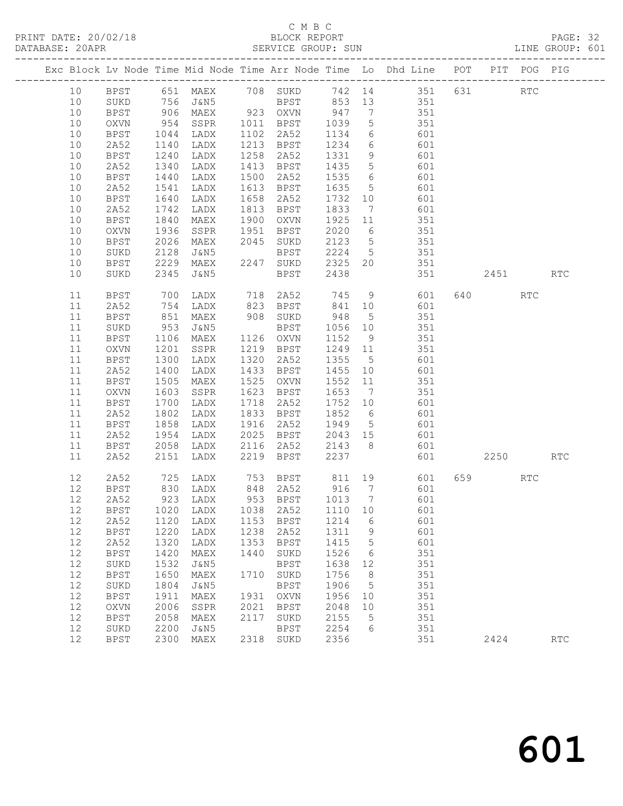|  |      |             |              |                              |      |                |      |      | Exc Block Lv Node Time Mid Node Time Arr Node Time Lo Dhd Line POT PIT POG PIG |         |     |            |  |
|--|------|-------------|--------------|------------------------------|------|----------------|------|------|--------------------------------------------------------------------------------|---------|-----|------------|--|
|  | 10   |             |              |                              |      |                |      |      | BPST 651 MAEX 708 SUKD 742 14 351 631                                          |         | RTC |            |  |
|  | 10   | SUKD        |              |                              |      |                |      |      |                                                                                |         |     |            |  |
|  | 10   | <b>BPST</b> |              |                              |      |                |      |      |                                                                                |         |     |            |  |
|  | 10   | OXVN        |              |                              |      |                |      |      |                                                                                |         |     |            |  |
|  | 10   | BPST        | 1044         |                              |      |                |      |      | LADX 1102 2A52 1134 6 601                                                      |         |     |            |  |
|  | 10   | 2A52        |              |                              |      |                |      |      |                                                                                |         |     |            |  |
|  | 10   | BPST        | 1140<br>1240 | LADX<br>LADX                 |      | 1258 2A52      |      |      |                                                                                |         |     |            |  |
|  | 10   | 2A52        | 1340         | LADX                         |      |                |      |      | 1213 BPST 1234 6 601<br>1258 2A52 1331 9 601<br>1413 BPST 1435 5 601           |         |     |            |  |
|  | 10   | BPST        | 1440         | LADX                         |      | 1500 2A52      |      |      | 1535 6 601                                                                     |         |     |            |  |
|  | 10   | 2A52        | 1541         | LADX                         |      |                |      |      | 1613 BPST 1635 5 601                                                           |         |     |            |  |
|  | 10   | BPST        | 1640         | LADX                         |      | 1658 2A52      |      |      |                                                                                |         |     |            |  |
|  | 10   | 2A52        | 1742         | LADX                         |      | 1813 BPST      |      |      | 1732 10 601<br>1833 7 601                                                      |         |     |            |  |
|  | 10   | BPST        | 1840         | MAEX                         |      | 1900 OXVN      |      |      | 1925 11 351                                                                    |         |     |            |  |
|  | 10   | OXVN        | 1936         | SSPR                         |      | 1951 BPST      |      |      | 2020 6 351                                                                     |         |     |            |  |
|  | 10   | <b>BPST</b> |              |                              |      |                |      |      |                                                                                |         |     |            |  |
|  | 10   | SUKD        | 2026<br>2128 | MAEX 2045 SUKD<br>J&N5 BPST  |      | <b>BPST</b>    |      |      | $2123$ 5 351<br>2224 5 351                                                     |         |     |            |  |
|  | 10   | BPST        | 2229         |                              |      |                |      |      | MAEX 2247 SUKD 2325 20 351                                                     |         |     |            |  |
|  | 10   | SUKD        | 2345         | J&N5                         |      | <b>BPST</b>    | 2438 |      | 351 2451                                                                       |         |     | <b>RTC</b> |  |
|  | 11   | BPST        | 700          |                              |      |                |      |      | LADX 718 2A52 745 9 601                                                        | 640 RTC |     |            |  |
|  | 11   | 2A52        | 754          |                              |      |                |      |      | LADX 823 BPST 841 10 601                                                       |         |     |            |  |
|  | 11   | BPST        | 851          |                              |      |                |      |      | MAEX 908 SUKD 948 5 351                                                        |         |     |            |  |
|  | 11   | SUKD        |              | J&N5                         |      | BPST           |      |      |                                                                                |         |     |            |  |
|  | 11   | BPST        | 953<br>1106  | MAEX                         |      | 1126 OXVN      |      |      | 1056 10 351<br>1152 9 351                                                      |         |     |            |  |
|  | 11   | OXVN        | 1201         | SSPR                         |      | 1219 BPST      |      |      | 1249 11 351                                                                    |         |     |            |  |
|  | 11   | BPST        | 1300         | LADX                         |      | 1320 2A52      |      |      | 1355 5 601                                                                     |         |     |            |  |
|  | 11   | 2A52        |              | LADX                         |      | 1433 BPST      |      |      |                                                                                |         |     |            |  |
|  | 11   | BPST        | 1400<br>1505 | MAEX                         |      | 1525 OXVN      |      |      | 1455    10    601<br>1552    11    351<br>1653    7    351                     |         |     |            |  |
|  | 11   | OXVN        | 1603         | SSPR                         |      | 1623 BPST      |      |      |                                                                                |         |     |            |  |
|  | 11   | BPST        | 1700         | LADX                         |      | 1718 2A52      |      |      | 1752 10 601                                                                    |         |     |            |  |
|  | 11   | 2A52        | 1802         | LADX                         |      |                |      |      |                                                                                |         |     |            |  |
|  | 11   | BPST        | 1858         | LADX                         |      |                |      |      | 1833 BPST 1852 6 601<br>1916 2A52 1949 5 601<br>2025 BPST 2043 15 601          |         |     |            |  |
|  | 11   | 2A52        | 1954         | LADX                         |      |                |      |      |                                                                                |         |     |            |  |
|  | 11   | BPST        | 2058         |                              |      | LADX 2116 2A52 |      |      | 2143 8 601                                                                     |         |     |            |  |
|  | 11   | 2A52        | 2151         | LADX                         |      | 2219 BPST      |      |      | 2237 601                                                                       | 2250    |     | <b>RTC</b> |  |
|  | 12   |             |              |                              |      |                |      |      | 2A52 725 LADX 753 BPST 811 19 601 659 RTC                                      |         |     |            |  |
|  | $12$ | <b>BPST</b> | 830          | LADX                         | 848  | 2A52           | 916  | 7    | 601                                                                            |         |     |            |  |
|  | 12   | 2A52        | 923          | LADX                         | 953  | <b>BPST</b>    | 1013 | 7    | 601                                                                            |         |     |            |  |
|  | 12   | <b>BPST</b> | 1020         | LADX                         | 1038 | 2A52           | 1110 | 10   | 601                                                                            |         |     |            |  |
|  | 12   | 2A52        | 1120         | LADX                         | 1153 | <b>BPST</b>    | 1214 | 6    | 601                                                                            |         |     |            |  |
|  | 12   | <b>BPST</b> | 1220         | LADX                         | 1238 | 2A52           | 1311 | 9    | 601                                                                            |         |     |            |  |
|  | 12   | 2A52        | 1320         | LADX                         | 1353 | <b>BPST</b>    | 1415 | 5    | 601                                                                            |         |     |            |  |
|  | 12   | <b>BPST</b> | 1420         | MAEX                         | 1440 | SUKD           | 1526 | 6    | 351                                                                            |         |     |            |  |
|  | 12   | SUKD        | 1532         | <b>J&amp;N5</b>              |      | <b>BPST</b>    | 1638 | $12$ | 351                                                                            |         |     |            |  |
|  | 12   | <b>BPST</b> | 1650         | MAEX                         | 1710 | SUKD           | 1756 | 8    | 351                                                                            |         |     |            |  |
|  | 12   | SUKD        | 1804         | <b>J&amp;N5</b>              |      | <b>BPST</b>    | 1906 | 5    | 351                                                                            |         |     |            |  |
|  | 12   | <b>BPST</b> | 1911         | $\ensuremath{\mathsf{MAEX}}$ | 1931 | OXVN           | 1956 | 10   | 351                                                                            |         |     |            |  |
|  | 12   | OXVN        | 2006         | SSPR                         | 2021 | <b>BPST</b>    | 2048 | 10   | 351                                                                            |         |     |            |  |
|  | 12   | <b>BPST</b> | 2058         | MAEX                         | 2117 | SUKD           | 2155 | 5    | 351                                                                            |         |     |            |  |
|  | 12   | SUKD        | 2200         | J&N5                         |      | <b>BPST</b>    | 2254 | 6    | 351                                                                            |         |     |            |  |
|  | 12   | <b>BPST</b> | 2300         | MAEX                         | 2318 | SUKD           | 2356 |      | 351                                                                            | 2424    |     | RTC        |  |
|  |      |             |              |                              |      |                |      |      |                                                                                |         |     |            |  |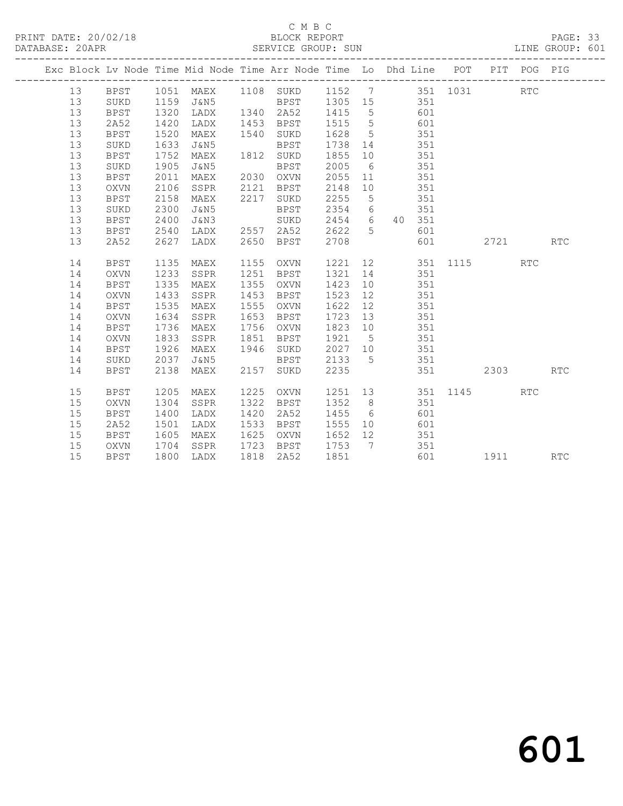# C M B C<br>BLOCK REPORT

| DATABASE: 20APR |    |             |      |                                                                                |      | SERVICE GROUP: SUN |               |                 |            |            |                  |          |            | LINE GROUP: 601 |  |
|-----------------|----|-------------|------|--------------------------------------------------------------------------------|------|--------------------|---------------|-----------------|------------|------------|------------------|----------|------------|-----------------|--|
|                 |    |             |      | Exc Block Lv Node Time Mid Node Time Arr Node Time Lo Dhd Line POT PIT POG PIG |      |                    |               |                 |            |            |                  |          |            |                 |  |
|                 | 13 |             |      | BPST 1051 MAEX 1108 SUKD 1152 7 351 1031                                       |      |                    |               |                 |            |            |                  |          | <b>RTC</b> |                 |  |
|                 | 13 | SUKD        |      | 1159 J&N5 BPST 1305 15 351                                                     |      |                    |               |                 |            |            |                  |          |            |                 |  |
|                 | 13 | BPST        | 1320 | LADX                                                                           |      | 1340 2A52          | 1415 5        |                 | 601        |            |                  |          |            |                 |  |
|                 | 13 | 2A52        | 1420 | LADX                                                                           |      | 1453 BPST          | 1515 5        |                 | 601        |            |                  |          |            |                 |  |
|                 | 13 | BPST        | 1520 | MAEX                                                                           |      | 1540 SUKD          | 1628          |                 | 5 351      |            |                  |          |            |                 |  |
|                 | 13 | SUKD        | 1633 | J&N5                                                                           |      | BPST               | 1738 14       |                 |            | 351        |                  |          |            |                 |  |
|                 | 13 | <b>BPST</b> | 1752 | MAEX                                                                           |      | 1812 SUKD          | 1855 10       |                 |            | 351        |                  |          |            |                 |  |
|                 | 13 | SUKD        | 1905 | J&N5                                                                           |      | BPST               | 2005          | $6\overline{6}$ |            | 351        |                  |          |            |                 |  |
|                 | 13 | BPST        | 2011 | MAEX                                                                           |      | 2030 OXVN 2055 11  |               |                 | 351        |            |                  |          |            |                 |  |
|                 | 13 | OXVN        | 2106 | SSPR                                                                           |      | 2121 BPST          | 2148          | 10              | 351        |            |                  |          |            |                 |  |
|                 | 13 | BPST        | 2158 | MAEX                                                                           |      | 2217 SUKD          | 2255          | $5^{\circ}$     | 351        |            |                  |          |            |                 |  |
|                 | 13 | SUKD        | 2300 | J&N5                                                                           |      | <b>BPST</b>        | 2354 6 351    |                 |            |            |                  |          |            |                 |  |
|                 | 13 | BPST        | 2400 | J&N3                                                                           |      | SUKD               | 2454 6 40 351 |                 |            |            |                  |          |            |                 |  |
|                 | 13 | BPST        | 2540 | LADX                                                                           |      | 2557 2A52          | 2622 5        |                 |            | 601        |                  |          |            |                 |  |
|                 | 13 | 2A52        | 2627 | LADX                                                                           |      | 2650 BPST          | 2708          |                 |            |            | 601 000          | 2721 RTC |            |                 |  |
|                 | 14 | BPST        | 1135 | MAEX                                                                           |      | 1155 OXVN          |               |                 |            |            | 1221 12 351 1115 |          | <b>RTC</b> |                 |  |
|                 | 14 | OXVN        | 1233 | SSPR                                                                           |      | 1251 BPST          | 1321 14       |                 |            | 351        |                  |          |            |                 |  |
|                 | 14 | <b>BPST</b> | 1335 | MAEX                                                                           |      | 1355 OXVN          | 1423          |                 | 10         | 351        |                  |          |            |                 |  |
|                 | 14 | OXVN        | 1433 | SSPR                                                                           |      | 1453 BPST          | 1523          | 12              |            |            |                  |          |            |                 |  |
|                 | 14 | BPST        | 1535 | MAEX                                                                           |      | 1555 OXVN          | 1622          | 12              | 351<br>351 |            |                  |          |            |                 |  |
|                 | 14 | OXVN        | 1634 | SSPR                                                                           |      | 1653 BPST          | 1723          | 13              | 351        |            |                  |          |            |                 |  |
|                 | 14 | BPST        | 1736 | MAEX                                                                           |      | 1756 OXVN          | 1823 10       |                 | 351        |            |                  |          |            |                 |  |
|                 | 14 | OXVN        | 1833 | SSPR                                                                           | 1851 | BPST               | 1921          | $5\overline{)}$ | 351        |            |                  |          |            |                 |  |
|                 | 14 | BPST        | 1926 | MAEX                                                                           |      | 1946 SUKD          | 2027 10 351   |                 |            |            |                  |          |            |                 |  |
|                 | 14 | SUKD        | 2037 | J&N5                                                                           |      | BPST               | 2133          | $5\overline{)}$ | 351        |            |                  |          |            |                 |  |
|                 | 14 | BPST        | 2138 | MAEX                                                                           |      | 2157 SUKD          | 2235          |                 |            |            |                  | 2303 7   |            | <b>RTC</b>      |  |
|                 | 15 | BPST        | 1205 | MAEX                                                                           |      | 1225 OXVN          | 1251 13       |                 |            |            | 351 1145         |          | <b>RTC</b> |                 |  |
|                 | 15 | OXVN        | 1304 | SSPR                                                                           | 1322 | BPST               | 1352 8        |                 |            | 351        |                  |          |            |                 |  |
|                 | 15 | <b>BPST</b> | 1400 | LADX                                                                           | 1420 | 2A52               | 1455          | $6\overline{6}$ |            | 601        |                  |          |            |                 |  |
|                 | 15 | 2A52        | 1501 | LADX                                                                           | 1533 | BPST               | 1555          | 10              |            |            |                  |          |            |                 |  |
|                 | 15 | BPST        | 1605 | MAEX                                                                           |      | 1625 OXVN          | 1652 12       |                 |            | 601<br>351 |                  |          |            |                 |  |
|                 | 15 | OXVN        | 1704 | SSPR                                                                           |      | 1723 BPST 1753 7   |               |                 |            | 351        |                  |          |            |                 |  |
|                 | 15 | <b>BPST</b> |      | 1800 LADX                                                                      |      | 1818 2A52          | 1851          |                 |            |            | 601              | 1911 RTC |            |                 |  |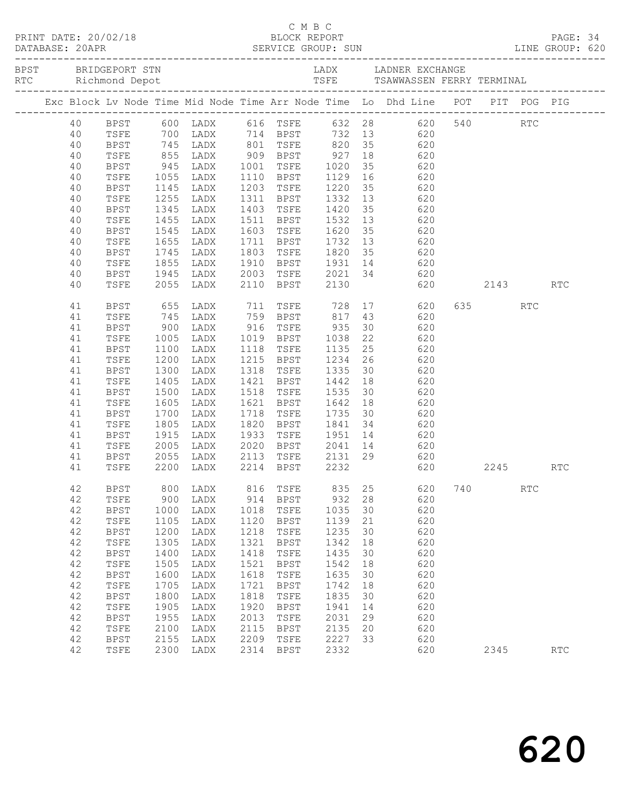|  | 40       |                     |              |                   |              |                             |                 |    | BPST 600 LADX 616 TSFE 632 28 620 540 RTC                                                      |         |            |            |  |
|--|----------|---------------------|--------------|-------------------|--------------|-----------------------------|-----------------|----|------------------------------------------------------------------------------------------------|---------|------------|------------|--|
|  | 40       | TSFE                |              |                   |              |                             |                 |    | 700 LADX 714 BPST 732 13 620                                                                   |         |            |            |  |
|  | 40       | BPST                |              |                   |              |                             |                 |    |                                                                                                |         |            |            |  |
|  | 40       | TSFE                |              |                   |              |                             |                 |    | 745 LADX 801 TSFE 820 35 620<br>855 LADX 909 BPST 927 18 620<br>945 LADX 1001 TSFE 1020 35 620 |         |            |            |  |
|  | 40       | BPST                | 1055         |                   |              |                             |                 |    |                                                                                                |         |            |            |  |
|  | 40       | TSFE                |              | LADX              |              |                             |                 |    | 1110 BPST 1129 16 620                                                                          |         |            |            |  |
|  | 40       | BPST                | 1145         | LADX              |              | 1203 TSFE<br>1311 BPST      | 1220 35         |    | 620                                                                                            |         |            |            |  |
|  | 40<br>40 | TSFE<br>BPST        | 1255<br>1345 | LADX              |              | 1403 TSFE                   | 1332 13<br>1420 | 35 | 620<br>$620$<br>$620$                                                                          |         |            |            |  |
|  | 40       | TSFE                | 1455         | LADX<br>LADX      |              | 1511 BPST                   | 1532            | 13 | 620                                                                                            |         |            |            |  |
|  | 40       | BPST                | 1545         | LADX              |              | 1603 TSFE                   | 1620 35         |    | 620                                                                                            |         |            |            |  |
|  | 40       | TSFE                | 1655         | LADX              |              |                             |                 |    |                                                                                                |         |            |            |  |
|  | 40       | BPST                | 1745         | LADX              |              |                             |                 |    | 1711 BPST 1732 13 620<br>1803 TSFE 1820 35 620                                                 |         |            |            |  |
|  | 40       | TSFE                | 1855         | LADX              |              |                             |                 |    | 1910 BPST 1931 14 620                                                                          |         |            |            |  |
|  | 40       | BPST                | 1945         | LADX              |              |                             |                 |    | 2003 TSFE 2021 34 620                                                                          |         |            |            |  |
|  | 40       | TSFE                | 2055         | LADX              |              | 2110 BPST                   | 2130            |    | 620                                                                                            | 2143    |            | <b>RTC</b> |  |
|  | 41       | BPST                | 655          | LADX              |              | 711 TSFE                    | 728             |    | 17<br>620                                                                                      | 635 000 | <b>RTC</b> |            |  |
|  | 41       | TSFE                |              | 745 LADX          |              | 759 BPST 817 43             |                 |    | 620                                                                                            |         |            |            |  |
|  | 41       | BPST                | $900$ $1005$ | LADX              |              |                             |                 |    | 30 620                                                                                         |         |            |            |  |
|  | 41       | TSFE                | 1005         | LADX              |              |                             |                 |    | 620                                                                                            |         |            |            |  |
|  | 41       | BPST                | 1100         | LADX              | 1118         | TSFE                        |                 |    | 1135 25 620                                                                                    |         |            |            |  |
|  | 41       | TSFE                | 1200         | LADX              |              |                             |                 |    | 1215 BPST 1234 26 620                                                                          |         |            |            |  |
|  | 41       | <b>BPST</b>         | 1300         | LADX              |              | 1318 TSFE                   |                 |    | 1335 30 620                                                                                    |         |            |            |  |
|  | 41       | TSFE                | 1405         | LADX              |              | 1421 BPST 1442 18           |                 |    | 620                                                                                            |         |            |            |  |
|  | 41       | BPST                | 1500         | LADX              |              | 1518 TSFE                   |                 |    | $1535$ 30 620                                                                                  |         |            |            |  |
|  | 41       | TSFE                | 1605         | LADX              |              | 1621 BPST                   | 1642 18         |    | 620                                                                                            |         |            |            |  |
|  | 41       | BPST                | 1700         | LADX              |              | 1718 TSFE                   | 1735 30         |    | 620                                                                                            |         |            |            |  |
|  | 41       | TSFE                | 1805         | LADX              |              | 1820 BPST                   | 1841 34         |    | 620                                                                                            |         |            |            |  |
|  | 41       | BPST                | 1915         | LADX              | 1933         | TSFE                        |                 |    | $1951$ $14$ $620$                                                                              |         |            |            |  |
|  | 41       | TSFE                | 2005         | LADX              |              |                             |                 |    | 2020 BPST 2041 14 620                                                                          |         |            |            |  |
|  | 41<br>41 | BPST<br>TSFE        | 2055         | LADX<br>2200 LADX |              | 2113 TSFE<br>2214 BPST 2232 |                 |    | 2131 29 620<br>$620$                                                                           | 2245    |            | <b>RTC</b> |  |
|  | 42       |                     |              |                   |              |                             |                 |    | BPST 800 LADX 816 TSFE 835 25 620 740                                                          |         | RTC        |            |  |
|  | 42       | TSFE                | 900          | LADX              | 914          | BPST                        | 932             | 28 | 620                                                                                            |         |            |            |  |
|  | 42       | BPST                | 1000         | LADX              | 1018         | TSFE                        | 1035            | 30 | 620                                                                                            |         |            |            |  |
|  | 42       | TSFE                | 1105         | LADX              | 1120         | BPST                        | 1139            | 21 | 620                                                                                            |         |            |            |  |
|  | 42       | BPST                | 1200         | LADX              | 1218         | TSFE                        | 1235            | 30 | 620                                                                                            |         |            |            |  |
|  | 42       | TSFE                | 1305         | LADX              | 1321         | BPST                        | 1342            | 18 | 620                                                                                            |         |            |            |  |
|  | 42       | <b>BPST</b>         | 1400         | LADX              | 1418         | TSFE                        | 1435            | 30 | 620                                                                                            |         |            |            |  |
|  | 42       | TSFE                | 1505         | LADX              | 1521         | <b>BPST</b>                 | 1542            | 18 | 620                                                                                            |         |            |            |  |
|  | 42       | BPST                | 1600         | LADX              | 1618         | TSFE                        | 1635            | 30 | 620                                                                                            |         |            |            |  |
|  | 42       | TSFE                | 1705         | LADX              | 1721         | BPST                        | 1742            | 18 | 620                                                                                            |         |            |            |  |
|  | 42       | <b>BPST</b>         | 1800         | LADX              | 1818         | TSFE                        | 1835            | 30 | 620                                                                                            |         |            |            |  |
|  | 42       | TSFE                | 1905         | LADX              | 1920         | BPST                        | 1941            | 14 | 620                                                                                            |         |            |            |  |
|  | 42       | BPST                | 1955         | LADX              | 2013         | TSFE                        | 2031            | 29 | 620                                                                                            |         |            |            |  |
|  | 42       | TSFE                | 2100         | LADX              | 2115         | <b>BPST</b>                 | 2135            | 20 | 620                                                                                            |         |            |            |  |
|  | 42<br>42 | <b>BPST</b><br>TSFE | 2155<br>2300 | LADX<br>LADX      | 2209<br>2314 | TSFE<br>BPST                | 2227<br>2332    | 33 | 620<br>620                                                                                     | 2345    |            | <b>RTC</b> |  |
|  |          |                     |              |                   |              |                             |                 |    |                                                                                                |         |            |            |  |